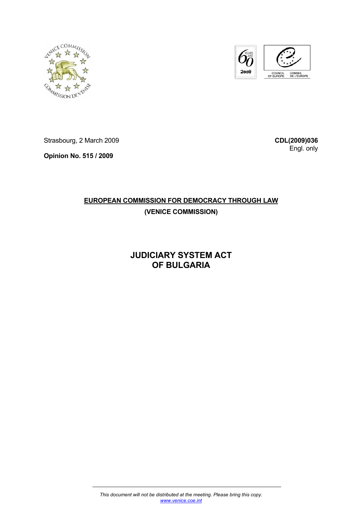



Strasbourg, 2 March 2009

**Opinion No. 515 / 2009** 

**CDL(2009)036** Engl. only

# **EUROPEAN COMMISSION FOR DEMOCRACY THROUGH LAW**

# **(VENICE COMMISSION)**

# **JUDICIARY SYSTEM ACT OF BULGARIA**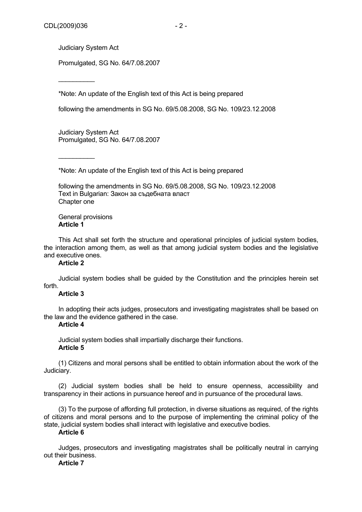$\overline{\phantom{a}}$ 

 $\overline{\phantom{a}}$ 

Promulgated, SG No. 64/7.08.2007

\*Note: An update of the English text of this Act is being prepared

following the amendments in SG No. 69/5.08.2008, SG No. 109/23.12.2008

Judiciary System Act Promulgated, SG No. 64/7.08.2007

\*Note: An update of the English text of this Act is being prepared

following the amendments in SG No. 69/5.08.2008, SG No. 109/23.12.2008 Text in Bulgarian: Закон за съдебната власт Chapter one

General provisions **Article 1** 

This Act shall set forth the structure and operational principles of judicial system bodies, the interaction among them, as well as that among judicial system bodies and the legislative and executive ones.

# **Article 2**

Judicial system bodies shall be guided by the Constitution and the principles herein set forth.

### **Article 3**

In adopting their acts judges, prosecutors and investigating magistrates shall be based on the law and the evidence gathered in the case.

### **Article 4**

Judicial system bodies shall impartially discharge their functions. **Article 5** 

(1) Citizens and moral persons shall be entitled to obtain information about the work of the Judiciary.

(2) Judicial system bodies shall be held to ensure openness, accessibility and transparency in their actions in pursuance hereof and in pursuance of the procedural laws.

(3) To the purpose of affording full protection, in diverse situations as required, of the rights of citizens and moral persons and to the purpose of implementing the criminal policy of the state, judicial system bodies shall interact with legislative and executive bodies.

### **Article 6**

Judges, prosecutors and investigating magistrates shall be politically neutral in carrying out their business.

## **Article 7**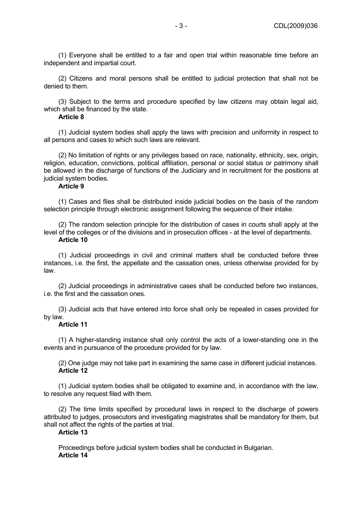(1) Everyone shall be entitled to a fair and open trial within reasonable time before an independent and impartial court.

(2) Citizens and moral persons shall be entitled to judicial protection that shall not be denied to them.

(3) Subject to the terms and procedure specified by law citizens may obtain legal aid, which shall be financed by the state.

## **Article 8**

(1) Judicial system bodies shall apply the laws with precision and uniformity in respect to all persons and cases to which such laws are relevant.

(2) No limitation of rights or any privileges based on race, nationality, ethnicity, sex, origin, religion, education, convictions, political affiliation, personal or social status or patrimony shall be allowed in the discharge of functions of the Judiciary and in recruitment for the positions at judicial system bodies.

## **Article 9**

(1) Cases and files shall be distributed inside judicial bodies on the basis of the random selection principle through electronic assignment following the sequence of their intake.

(2) The random selection principle for the distribution of cases in courts shall apply at the level of the colleges or of the divisions and in prosecution offices - at the level of departments. **Article 10** 

(1) Judicial proceedings in civil and criminal matters shall be conducted before three instances, i.e. the first, the appellate and the cassation ones, unless otherwise provided for by law.

(2) Judicial proceedings in administrative cases shall be conducted before two instances, i.e. the first and the cassation ones.

(3) Judicial acts that have entered into force shall only be repealed in cases provided for by law.

### **Article 11**

(1) A higher-standing instance shall only control the acts of a lower-standing one in the events and in pursuance of the procedure provided for by law.

(2) One judge may not take part in examining the same case in different judicial instances. **Article 12** 

(1) Judicial system bodies shall be obligated to examine and, in accordance with the law, to resolve any request filed with them.

(2) The time limits specified by procedural laws in respect to the discharge of powers attributed to judges, prosecutors and investigating magistrates shall be mandatory for them, but shall not affect the rights of the parties at trial.

### **Article 13**

Proceedings before judicial system bodies shall be conducted in Bulgarian. **Article 14**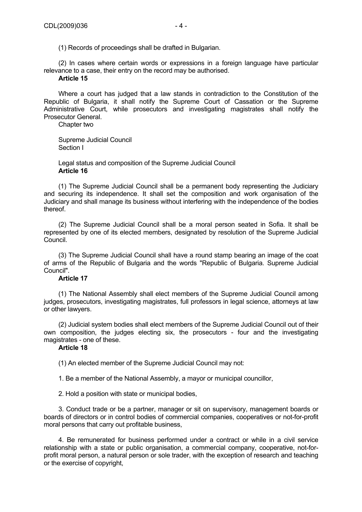(1) Records of proceedings shall be drafted in Bulgarian.

(2) In cases where certain words or expressions in a foreign language have particular relevance to a case, their entry on the record may be authorised.

# **Article 15**

Where a court has judged that a law stands in contradiction to the Constitution of the Republic of Bulgaria, it shall notify the Supreme Court of Cassation or the Supreme Administrative Court, while prosecutors and investigating magistrates shall notify the Prosecutor General.

Chapter two

Supreme Judicial Council Section I

Legal status and composition of the Supreme Judicial Council **Article 16** 

(1) The Supreme Judicial Council shall be a permanent body representing the Judiciary and securing its independence. It shall set the composition and work organisation of the Judiciary and shall manage its business without interfering with the independence of the bodies thereof.

(2) The Supreme Judicial Council shall be a moral person seated in Sofia. It shall be represented by one of its elected members, designated by resolution of the Supreme Judicial Council.

(3) The Supreme Judicial Council shall have a round stamp bearing an image of the coat of arms of the Republic of Bulgaria and the words "Republic of Bulgaria. Supreme Judicial Council".

## **Article 17**

(1) The National Assembly shall elect members of the Supreme Judicial Council among judges, prosecutors, investigating magistrates, full professors in legal science, attorneys at law or other lawyers.

(2) Judicial system bodies shall elect members of the Supreme Judicial Council out of their own composition, the judges electing six, the prosecutors - four and the investigating magistrates - one of these.

# **Article 18**

(1) An elected member of the Supreme Judicial Council may not:

1. Be a member of the National Assembly, a mayor or municipal councillor,

2. Hold a position with state or municipal bodies,

3. Conduct trade or be a partner, manager or sit on supervisory, management boards or boards of directors or in control bodies of commercial companies, cooperatives or not-for-profit moral persons that carry out profitable business,

4. Be remunerated for business performed under a contract or while in a civil service relationship with a state or public organisation, a commercial company, cooperative, not-forprofit moral person, a natural person or sole trader, with the exception of research and teaching or the exercise of copyright,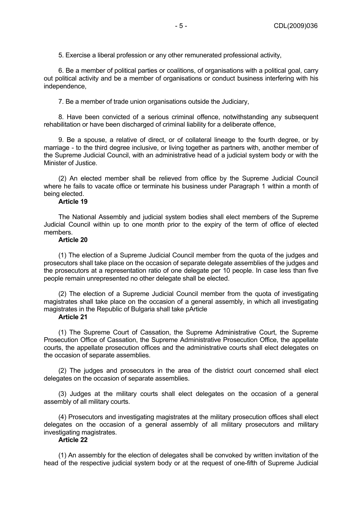5. Exercise a liberal profession or any other remunerated professional activity,

6. Be a member of political parties or coalitions, of organisations with a political goal, carry out political activity and be a member of organisations or conduct business interfering with his independence,

7. Be a member of trade union organisations outside the Judiciary,

8. Have been convicted of a serious criminal offence, notwithstanding any subsequent rehabilitation or have been discharged of criminal liability for a deliberate offence,

9. Be a spouse, a relative of direct, or of collateral lineage to the fourth degree, or by marriage - to the third degree inclusive, or living together as partners with, another member of the Supreme Judicial Council, with an administrative head of a judicial system body or with the Minister of Justice.

(2) An elected member shall be relieved from office by the Supreme Judicial Council where he fails to vacate office or terminate his business under Paragraph 1 within a month of being elected.

### **Article 19**

The National Assembly and judicial system bodies shall elect members of the Supreme Judicial Council within up to one month prior to the expiry of the term of office of elected members.

### **Article 20**

(1) The election of a Supreme Judicial Council member from the quota of the judges and prosecutors shall take place on the occasion of separate delegate assemblies of the judges and the prosecutors at a representation ratio of one delegate per 10 people. In case less than five people remain unrepresented no other delegate shall be elected.

(2) The election of a Supreme Judicial Council member from the quota of investigating magistrates shall take place on the occasion of a general assembly, in which all investigating magistrates in the Republic of Bulgaria shall take pArticle

## **Article 21**

(1) The Supreme Court of Cassation, the Supreme Administrative Court, the Supreme Prosecution Office of Cassation, the Supreme Administrative Prosecution Office, the appellate courts, the appellate prosecution offices and the administrative courts shall elect delegates on the occasion of separate assemblies.

(2) The judges and prosecutors in the area of the district court concerned shall elect delegates on the occasion of separate assemblies.

(3) Judges at the military courts shall elect delegates on the occasion of a general assembly of all military courts.

(4) Prosecutors and investigating magistrates at the military prosecution offices shall elect delegates on the occasion of a general assembly of all military prosecutors and military investigating magistrates.

## **Article 22**

(1) An assembly for the election of delegates shall be convoked by written invitation of the head of the respective judicial system body or at the request of one-fifth of Supreme Judicial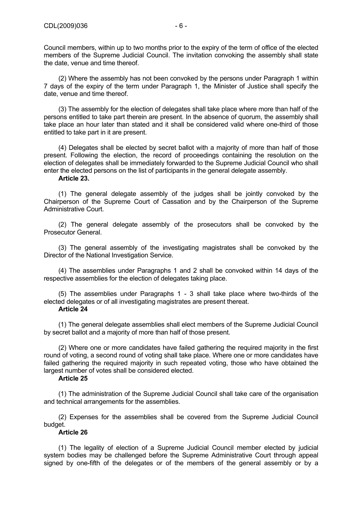Council members, within up to two months prior to the expiry of the term of office of the elected members of the Supreme Judicial Council. The invitation convoking the assembly shall state the date, venue and time thereof.

(2) Where the assembly has not been convoked by the persons under Paragraph 1 within 7 days of the expiry of the term under Paragraph 1, the Minister of Justice shall specify the date, venue and time thereof.

(3) The assembly for the election of delegates shall take place where more than half of the persons entitled to take part therein are present. In the absence of quorum, the assembly shall take place an hour later than stated and it shall be considered valid where one-third of those entitled to take part in it are present.

(4) Delegates shall be elected by secret ballot with a majority of more than half of those present. Following the election, the record of proceedings containing the resolution on the election of delegates shall be immediately forwarded to the Supreme Judicial Council who shall enter the elected persons on the list of participants in the general delegate assembly.

### **Article 23.**

(1) The general delegate assembly of the judges shall be jointly convoked by the Chairperson of the Supreme Court of Cassation and by the Chairperson of the Supreme Administrative Court.

(2) The general delegate assembly of the prosecutors shall be convoked by the Prosecutor General.

(3) The general assembly of the investigating magistrates shall be convoked by the Director of the National Investigation Service.

(4) The assemblies under Paragraphs 1 and 2 shall be convoked within 14 days of the respective assemblies for the election of delegates taking place.

(5) The assemblies under Paragraphs 1 - 3 shall take place where two-thirds of the elected delegates or of all investigating magistrates are present thereat.

### **Article 24**

(1) The general delegate assemblies shall elect members of the Supreme Judicial Council by secret ballot and a majority of more than half of those present.

(2) Where one or more candidates have failed gathering the required majority in the first round of voting, a second round of voting shall take place. Where one or more candidates have failed gathering the required majority in such repeated voting, those who have obtained the largest number of votes shall be considered elected.

### **Article 25**

(1) The administration of the Supreme Judicial Council shall take care of the organisation and technical arrangements for the assemblies.

(2) Expenses for the assemblies shall be covered from the Supreme Judicial Council budget.

## **Article 26**

(1) The legality of election of a Supreme Judicial Council member elected by judicial system bodies may be challenged before the Supreme Administrative Court through appeal signed by one-fifth of the delegates or of the members of the general assembly or by a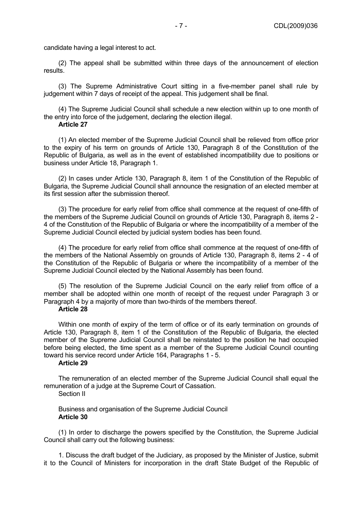candidate having a legal interest to act.

(2) The appeal shall be submitted within three days of the announcement of election results.

(3) The Supreme Administrative Court sitting in a five-member panel shall rule by judgement within 7 days of receipt of the appeal. This judgement shall be final.

(4) The Supreme Judicial Council shall schedule a new election within up to one month of the entry into force of the judgement, declaring the election illegal.

# **Article 27**

(1) An elected member of the Supreme Judicial Council shall be relieved from office prior to the expiry of his term on grounds of Article 130, Paragraph 8 of the Constitution of the Republic of Bulgaria, as well as in the event of established incompatibility due to positions or business under Article 18, Paragraph 1.

(2) In cases under Article 130, Paragraph 8, item 1 of the Constitution of the Republic of Bulgaria, the Supreme Judicial Council shall announce the resignation of an elected member at its first session after the submission thereof.

(3) The procedure for early relief from office shall commence at the request of one-fifth of the members of the Supreme Judicial Council on grounds of Article 130, Paragraph 8, items 2 - 4 of the Constitution of the Republic of Bulgaria or where the incompatibility of a member of the Supreme Judicial Council elected by judicial system bodies has been found.

(4) The procedure for early relief from office shall commence at the request of one-fifth of the members of the National Assembly on grounds of Article 130, Paragraph 8, items 2 - 4 of the Constitution of the Republic of Bulgaria or where the incompatibility of a member of the Supreme Judicial Council elected by the National Assembly has been found.

(5) The resolution of the Supreme Judicial Council on the early relief from office of a member shall be adopted within one month of receipt of the request under Paragraph 3 or Paragraph 4 by a majority of more than two-thirds of the members thereof.

### **Article 28**

Within one month of expiry of the term of office or of its early termination on grounds of Article 130, Paragraph 8, item 1 of the Constitution of the Republic of Bulgaria, the elected member of the Supreme Judicial Council shall be reinstated to the position he had occupied before being elected, the time spent as a member of the Supreme Judicial Council counting toward his service record under Article 164, Paragraphs 1 - 5.

## **Article 29**

The remuneration of an elected member of the Supreme Judicial Council shall equal the remuneration of a judge at the Supreme Court of Cassation.

Section II

Business and organisation of the Supreme Judicial Council **Article 30** 

(1) In order to discharge the powers specified by the Constitution, the Supreme Judicial Council shall carry out the following business:

1. Discuss the draft budget of the Judiciary, as proposed by the Minister of Justice, submit it to the Council of Ministers for incorporation in the draft State Budget of the Republic of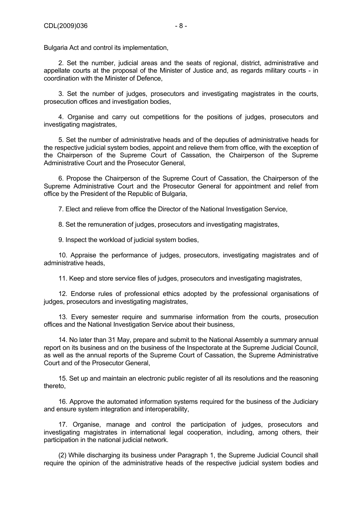Bulgaria Act and control its implementation,

2. Set the number, judicial areas and the seats of regional, district, administrative and appellate courts at the proposal of the Minister of Justice and, as regards military courts - in coordination with the Minister of Defence,

3. Set the number of judges, prosecutors and investigating magistrates in the courts, prosecution offices and investigation bodies,

4. Organise and carry out competitions for the positions of judges, prosecutors and investigating magistrates,

5. Set the number of administrative heads and of the deputies of administrative heads for the respective judicial system bodies, appoint and relieve them from office, with the exception of the Chairperson of the Supreme Court of Cassation, the Chairperson of the Supreme Administrative Court and the Prosecutor General,

6. Propose the Chairperson of the Supreme Court of Cassation, the Chairperson of the Supreme Administrative Court and the Prosecutor General for appointment and relief from office by the President of the Republic of Bulgaria,

7. Elect and relieve from office the Director of the National Investigation Service,

8. Set the remuneration of judges, prosecutors and investigating magistrates,

9. Inspect the workload of judicial system bodies,

10. Appraise the performance of judges, prosecutors, investigating magistrates and of administrative heads,

11. Keep and store service files of judges, prosecutors and investigating magistrates,

12. Endorse rules of professional ethics adopted by the professional organisations of judges, prosecutors and investigating magistrates,

13. Every semester require and summarise information from the courts, prosecution offices and the National Investigation Service about their business,

14. No later than 31 May, prepare and submit to the National Assembly a summary annual report on its business and on the business of the Inspectorate at the Supreme Judicial Council, as well as the annual reports of the Supreme Court of Cassation, the Supreme Administrative Court and of the Prosecutor General,

15. Set up and maintain an electronic public register of all its resolutions and the reasoning thereto,

16. Approve the automated information systems required for the business of the Judiciary and ensure system integration and interoperability,

17. Organise, manage and control the participation of judges, prosecutors and investigating magistrates in international legal cooperation, including, among others, their participation in the national judicial network.

(2) While discharging its business under Paragraph 1, the Supreme Judicial Council shall require the opinion of the administrative heads of the respective judicial system bodies and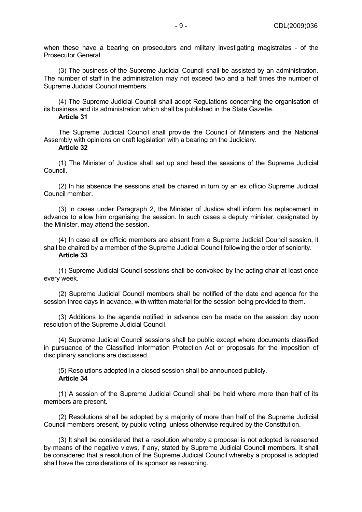when these have a bearing on prosecutors and military investigating magistrates - of the Prosecutor General.

(3) The business of the Supreme Judicial Council shall be assisted by an administration. The number of staff in the administration may not exceed two and a half times the number of Supreme Judicial Council members.

(4) The Supreme Judicial Council shall adopt Regulations concerning the organisation of its business and its administration which shall be published in the State Gazette. **Article 31** 

The Supreme Judicial Council shall provide the Council of Ministers and the National Assembly with opinions on draft legislation with a bearing on the Judiciary.

#### **Article 32**

(1) The Minister of Justice shall set up and head the sessions of the Supreme Judicial Council.

(2) In his absence the sessions shall be chaired in turn by an ex officio Supreme Judicial Council member.

(3) In cases under Paragraph 2, the Minister of Justice shall inform his replacement in advance to allow him organising the session. In such cases a deputy minister, designated by the Minister, may attend the session.

(4) In case all ex officio members are absent from a Supreme Judicial Council session, it shall be chaired by a member of the Supreme Judicial Council following the order of seniority. **Article 33** 

(1) Supreme Judicial Council sessions shall be convoked by the acting chair at least once every week.

(2) Supreme Judicial Council members shall be notified of the date and agenda for the session three days in advance, with written material for the session being provided to them.

(3) Additions to the agenda notified in advance can be made on the session day upon resolution of the Supreme Judicial Council.

(4) Supreme Judicial Council sessions shall be public except where documents classified in pursuance of the Classified Information Protection Act or proposals for the imposition of disciplinary sanctions are discussed.

(5) Resolutions adopted in a closed session shall be announced publicly. **Article 34** 

(1) A session of the Supreme Judicial Council shall be held where more than half of its members are present.

(2) Resolutions shall be adopted by a majority of more than half of the Supreme Judicial Council members present, by public voting, unless otherwise required by the Constitution.

(3) It shall be considered that a resolution whereby a proposal is not adopted is reasoned by means of the negative views, if any, stated by Supreme Judicial Council members. It shall be considered that a resolution of the Supreme Judicial Council whereby a proposal is adopted shall have the considerations of its sponsor as reasoning.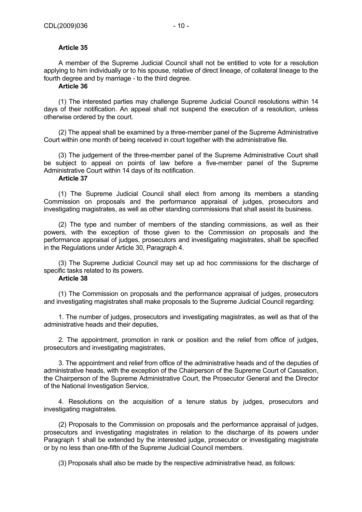### **Article 35**

A member of the Supreme Judicial Council shall not be entitled to vote for a resolution applying to him individually or to his spouse, relative of direct lineage, of collateral lineage to the fourth degree and by marriage - to the third degree.

### **Article 36**

(1) The interested parties may challenge Supreme Judicial Council resolutions within 14 days of their notification. An appeal shall not suspend the execution of a resolution, unless otherwise ordered by the court.

(2) The appeal shall be examined by a three-member panel of the Supreme Administrative Court within one month of being received in court together with the administrative file.

(3) The judgement of the three-member panel of the Supreme Administrative Court shall be subject to appeal on points of law before a five-member panel of the Supreme Administrative Court within 14 days of its notification.

### **Article 37**

(1) The Supreme Judicial Council shall elect from among its members a standing Commission on proposals and the performance appraisal of judges, prosecutors and investigating magistrates, as well as other standing commissions that shall assist its business.

(2) The type and number of members of the standing commissions, as well as their powers, with the exception of those given to the Commission on proposals and the performance appraisal of judges, prosecutors and investigating magistrates, shall be specified in the Regulations under Article 30, Paragraph 4.

(3) The Supreme Judicial Council may set up ad hoc commissions for the discharge of specific tasks related to its powers.

### **Article 38**

(1) The Commission on proposals and the performance appraisal of judges, prosecutors and investigating magistrates shall make proposals to the Supreme Judicial Council regarding:

1. The number of judges, prosecutors and investigating magistrates, as well as that of the administrative heads and their deputies,

2. The appointment, promotion in rank or position and the relief from office of judges, prosecutors and investigating magistrates,

3. The appointment and relief from office of the administrative heads and of the deputies of administrative heads, with the exception of the Chairperson of the Supreme Court of Cassation, the Chairperson of the Supreme Administrative Court, the Prosecutor General and the Director of the National Investigation Service,

4. Resolutions on the acquisition of a tenure status by judges, prosecutors and investigating magistrates.

(2) Proposals to the Commission on proposals and the performance appraisal of judges, prosecutors and investigating magistrates in relation to the discharge of its powers under Paragraph 1 shall be extended by the interested judge, prosecutor or investigating magistrate or by no less than one-fifth of the Supreme Judicial Council members.

(3) Proposals shall also be made by the respective administrative head, as follows: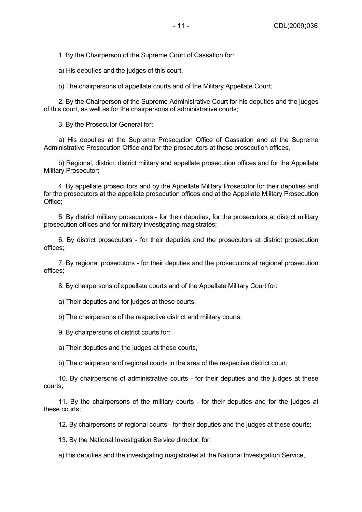1. By the Chairperson of the Supreme Court of Cassation for:

a) His deputies and the judges of this court,

b) The chairpersons of appellate courts and of the Military Appellate Court;

2. By the Chairperson of the Supreme Administrative Court for his deputies and the judges of this court, as well as for the chairpersons of administrative courts;

3. By the Prosecutor General for:

a) His deputies at the Supreme Prosecution Office of Cassation and at the Supreme Administrative Prosecution Office and for the prosecutors at these prosecution offices,

b) Regional, district, district military and appellate prosecution offices and for the Appellate Military Prosecutor;

4. By appellate prosecutors and by the Appellate Military Prosecutor for their deputies and for the prosecutors at the appellate prosecution offices and at the Appellate Military Prosecution Office;

5. By district military prosecutors - for their deputies, for the prosecutors at district military prosecution offices and for military investigating magistrates;

6. By district prosecutors - for their deputies and the prosecutors at district prosecution offices;

7. By regional prosecutors - for their deputies and the prosecutors at regional prosecution offices;

8. By chairpersons of appellate courts and of the Appellate Military Court for:

a) Their deputies and for judges at these courts,

b) The chairpersons of the respective district and military courts;

9. By chairpersons of district courts for:

a) Their deputies and the judges at these courts,

b) The chairpersons of regional courts in the area of the respective district court;

10. By chairpersons of administrative courts - for their deputies and the judges at these courts;

11. By the chairpersons of the military courts - for their deputies and for the judges at these courts;

12. By chairpersons of regional courts - for their deputies and the judges at these courts;

13. By the National Investigation Service director, for:

a) His deputies and the investigating magistrates at the National Investigation Service,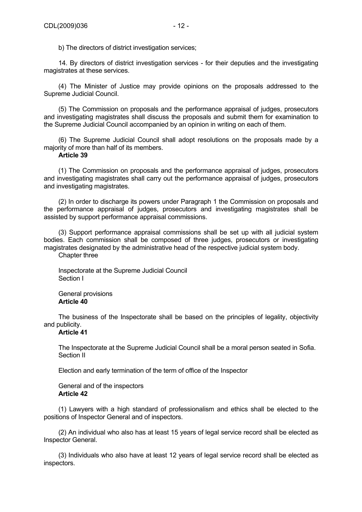b) The directors of district investigation services;

14. By directors of district investigation services - for their deputies and the investigating magistrates at these services.

(4) The Minister of Justice may provide opinions on the proposals addressed to the Supreme Judicial Council.

(5) The Commission on proposals and the performance appraisal of judges, prosecutors and investigating magistrates shall discuss the proposals and submit them for examination to the Supreme Judicial Council accompanied by an opinion in writing on each of them.

(6) The Supreme Judicial Council shall adopt resolutions on the proposals made by a majority of more than half of its members.

### **Article 39**

(1) The Commission on proposals and the performance appraisal of judges, prosecutors and investigating magistrates shall carry out the performance appraisal of judges, prosecutors and investigating magistrates.

(2) In order to discharge its powers under Paragraph 1 the Commission on proposals and the performance appraisal of judges, prosecutors and investigating magistrates shall be assisted by support performance appraisal commissions.

(3) Support performance appraisal commissions shall be set up with all judicial system bodies. Each commission shall be composed of three judges, prosecutors or investigating magistrates designated by the administrative head of the respective judicial system body.

Chapter three

Inspectorate at the Supreme Judicial Council Section I

General provisions **Article 40** 

The business of the Inspectorate shall be based on the principles of legality, objectivity and publicity.

### **Article 41**

The Inspectorate at the Supreme Judicial Council shall be a moral person seated in Sofia. Section II

Election and early termination of the term of office of the Inspector

General and of the inspectors **Article 42** 

(1) Lawyers with a high standard of professionalism and ethics shall be elected to the positions of Inspector General and of inspectors.

(2) An individual who also has at least 15 years of legal service record shall be elected as Inspector General.

(3) Individuals who also have at least 12 years of legal service record shall be elected as inspectors.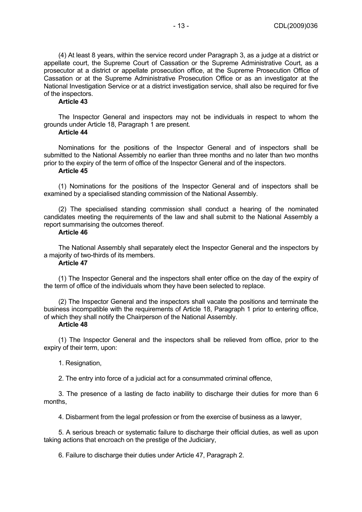(4) At least 8 years, within the service record under Paragraph 3, as a judge at a district or appellate court, the Supreme Court of Cassation or the Supreme Administrative Court, as a prosecutor at a district or appellate prosecution office, at the Supreme Prosecution Office of Cassation or at the Supreme Administrative Prosecution Office or as an investigator at the National Investigation Service or at a district investigation service, shall also be required for five of the inspectors.

## **Article 43**

The Inspector General and inspectors may not be individuals in respect to whom the grounds under Article 18, Paragraph 1 are present.

### **Article 44**

Nominations for the positions of the Inspector General and of inspectors shall be submitted to the National Assembly no earlier than three months and no later than two months prior to the expiry of the term of office of the Inspector General and of the inspectors.

### **Article 45**

(1) Nominations for the positions of the Inspector General and of inspectors shall be examined by a specialised standing commission of the National Assembly.

(2) The specialised standing commission shall conduct a hearing of the nominated candidates meeting the requirements of the law and shall submit to the National Assembly a report summarising the outcomes thereof.

### **Article 46**

The National Assembly shall separately elect the Inspector General and the inspectors by a majority of two-thirds of its members.

## **Article 47**

(1) The Inspector General and the inspectors shall enter office on the day of the expiry of the term of office of the individuals whom they have been selected to replace.

(2) The Inspector General and the inspectors shall vacate the positions and terminate the business incompatible with the requirements of Article 18, Paragraph 1 prior to entering office, of which they shall notify the Chairperson of the National Assembly.

### **Article 48**

(1) The Inspector General and the inspectors shall be relieved from office, prior to the expiry of their term, upon:

### 1. Resignation,

2. The entry into force of a judicial act for a consummated criminal offence,

3. The presence of a lasting de facto inability to discharge their duties for more than 6 months,

4. Disbarment from the legal profession or from the exercise of business as a lawyer,

5. A serious breach or systematic failure to discharge their official duties, as well as upon taking actions that encroach on the prestige of the Judiciary,

6. Failure to discharge their duties under Article 47, Paragraph 2.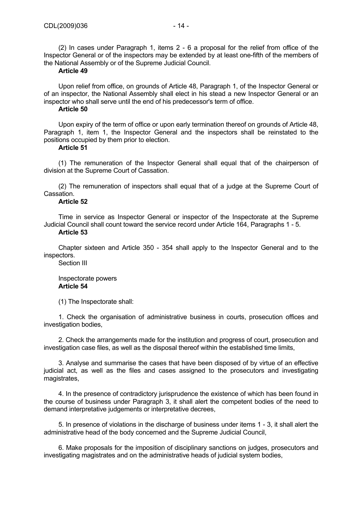(2) In cases under Paragraph 1, items 2 - 6 a proposal for the relief from office of the Inspector General or of the inspectors may be extended by at least one-fifth of the members of the National Assembly or of the Supreme Judicial Council.

### **Article 49**

Upon relief from office, on grounds of Article 48, Paragraph 1, of the Inspector General or of an inspector, the National Assembly shall elect in his stead a new Inspector General or an inspector who shall serve until the end of his predecessor's term of office.

### **Article 50**

Upon expiry of the term of office or upon early termination thereof on grounds of Article 48, Paragraph 1, item 1, the Inspector General and the inspectors shall be reinstated to the positions occupied by them prior to election.

### **Article 51**

(1) The remuneration of the Inspector General shall equal that of the chairperson of division at the Supreme Court of Cassation.

(2) The remuneration of inspectors shall equal that of a judge at the Supreme Court of Cassation.

### **Article 52**

Time in service as Inspector General or inspector of the Inspectorate at the Supreme Judicial Council shall count toward the service record under Article 164, Paragraphs 1 - 5.

### **Article 53**

Chapter sixteen and Article 350 - 354 shall apply to the Inspector General and to the inspectors.

Section III

### Inspectorate powers **Article 54**

(1) The Inspectorate shall:

1. Check the organisation of administrative business in courts, prosecution offices and investigation bodies,

2. Check the arrangements made for the institution and progress of court, prosecution and investigation case files, as well as the disposal thereof within the established time limits,

3. Analyse and summarise the cases that have been disposed of by virtue of an effective judicial act, as well as the files and cases assigned to the prosecutors and investigating magistrates,

4. In the presence of contradictory jurisprudence the existence of which has been found in the course of business under Paragraph 3, it shall alert the competent bodies of the need to demand interpretative judgements or interpretative decrees,

5. In presence of violations in the discharge of business under items 1 - 3, it shall alert the administrative head of the body concerned and the Supreme Judicial Council,

6. Make proposals for the imposition of disciplinary sanctions on judges, prosecutors and investigating magistrates and on the administrative heads of judicial system bodies,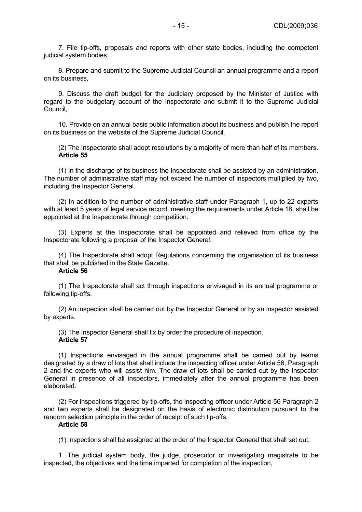7. File tip-offs, proposals and reports with other state bodies, including the competent judicial system bodies,

8. Prepare and submit to the Supreme Judicial Council an annual programme and a report on its business,

9. Discuss the draft budget for the Judiciary proposed by the Minister of Justice with regard to the budgetary account of the Inspectorate and submit it to the Supreme Judicial Council,

10. Provide on an annual basis public information about its business and publish the report on its business on the website of the Supreme Judicial Council.

(2) The Inspectorate shall adopt resolutions by a majority of more than half of its members. **Article 55** 

(1) In the discharge of its business the Inspectorate shall be assisted by an administration. The number of administrative staff may not exceed the number of inspectors multiplied by two, including the Inspector General.

(2) In addition to the number of administrative staff under Paragraph 1, up to 22 experts with at least 5 years of legal service record, meeting the requirements under Article 18, shall be appointed at the Inspectorate through competition.

(3) Experts at the Inspectorate shall be appointed and relieved from office by the Inspectorate following a proposal of the Inspector General.

(4) The Inspectorate shall adopt Regulations concerning the organisation of its business that shall be published in the State Gazette.

### **Article 56**

(1) The Inspectorate shall act through inspections envisaged in its annual programme or following tip-offs.

(2) An inspection shall be carried out by the Inspector General or by an inspector assisted by experts.

(3) The Inspector General shall fix by order the procedure of inspection. **Article 57** 

(1) Inspections envisaged in the annual programme shall be carried out by teams designated by a draw of lots that shall include the inspecting officer under Article 56, Paragraph 2 and the experts who will assist him. The draw of lots shall be carried out by the Inspector General in presence of all inspectors, immediately after the annual programme has been elaborated.

(2) For inspections triggered by tip-offs, the inspecting officer under Article 56 Paragraph 2 and two experts shall be designated on the basis of electronic distribution pursuant to the random selection principle in the order of receipt of such tip-offs.

### **Article 58**

(1) Inspections shall be assigned at the order of the Inspector General that shall set out:

1. The judicial system body, the judge, prosecutor or investigating magistrate to be inspected, the objectives and the time imparted for completion of the inspection,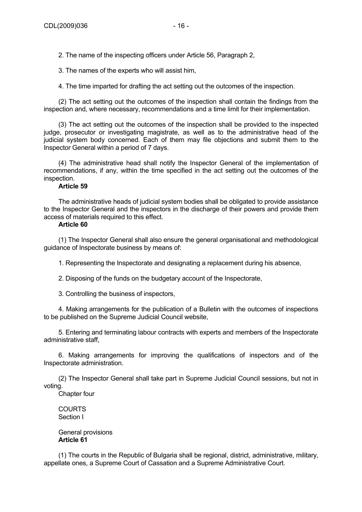2. The name of the inspecting officers under Article 56, Paragraph 2,

3. The names of the experts who will assist him,

4. The time imparted for drafting the act setting out the outcomes of the inspection.

(2) The act setting out the outcomes of the inspection shall contain the findings from the inspection and, where necessary, recommendations and a time limit for their implementation.

(3) The act setting out the outcomes of the inspection shall be provided to the inspected judge, prosecutor or investigating magistrate, as well as to the administrative head of the judicial system body concerned. Each of them may file objections and submit them to the Inspector General within a period of 7 days.

(4) The administrative head shall notify the Inspector General of the implementation of recommendations, if any, within the time specified in the act setting out the outcomes of the inspection.

## **Article 59**

The administrative heads of judicial system bodies shall be obligated to provide assistance to the Inspector General and the inspectors in the discharge of their powers and provide them access of materials required to this effect.

## **Article 60**

(1) The Inspector General shall also ensure the general organisational and methodological guidance of Inspectorate business by means of:

1. Representing the Inspectorate and designating a replacement during his absence,

2. Disposing of the funds on the budgetary account of the Inspectorate,

3. Controlling the business of inspectors,

4. Making arrangements for the publication of a Bulletin with the outcomes of inspections to be published on the Supreme Judicial Council website,

5. Entering and terminating labour contracts with experts and members of the Inspectorate administrative staff,

6. Making arrangements for improving the qualifications of inspectors and of the Inspectorate administration.

(2) The Inspector General shall take part in Supreme Judicial Council sessions, but not in voting.

Chapter four

COURTS Section I

General provisions **Article 61** 

(1) The courts in the Republic of Bulgaria shall be regional, district, administrative, military, appellate ones, a Supreme Court of Cassation and a Supreme Administrative Court.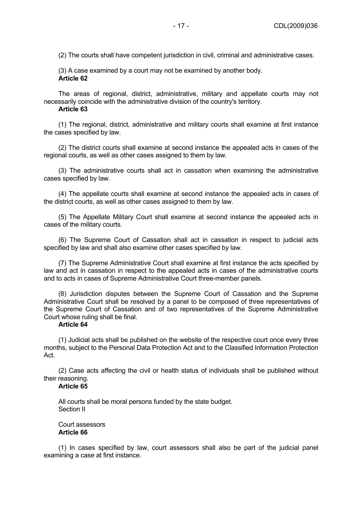(2) The courts shall have competent jurisdiction in civil, criminal and administrative cases.

(3) A case examined by a court may not be examined by another body. **Article 62** 

The areas of regional, district, administrative, military and appellate courts may not necessarily coincide with the administrative division of the country's territory.

### **Article 63**

(1) The regional, district, administrative and military courts shall examine at first instance the cases specified by law.

(2) The district courts shall examine at second instance the appealed acts in cases of the regional courts, as well as other cases assigned to them by law.

(3) The administrative courts shall act in cassation when examining the administrative cases specified by law.

(4) The appellate courts shall examine at second instance the appealed acts in cases of the district courts, as well as other cases assigned to them by law.

(5) The Appellate Military Court shall examine at second instance the appealed acts in cases of the military courts.

(6) The Supreme Court of Cassation shall act in cassation in respect to judicial acts specified by law and shall also examine other cases specified by law.

(7) The Supreme Administrative Court shall examine at first instance the acts specified by law and act in cassation in respect to the appealed acts in cases of the administrative courts and to acts in cases of Supreme Administrative Court three-member panels.

(8) Jurisdiction disputes between the Supreme Court of Cassation and the Supreme Administrative Court shall be resolved by a panel to be composed of three representatives of the Supreme Court of Cassation and of two representatives of the Supreme Administrative Court whose ruling shall be final.

### **Article 64**

(1) Judicial acts shall be published on the website of the respective court once every three months, subject to the Personal Data Protection Act and to the Classified Information Protection Act.

(2) Case acts affecting the civil or health status of individuals shall be published without their reasoning.

## **Article 65**

All courts shall be moral persons funded by the state budget. Section II

Court assessors **Article 66** 

(1) In cases specified by law, court assessors shall also be part of the judicial panel examining a case at first instance.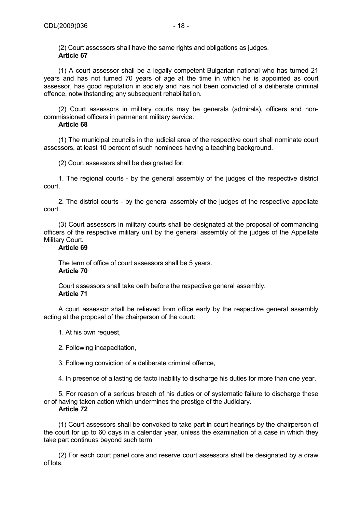(2) Court assessors shall have the same rights and obligations as judges. **Article 67** 

(1) A court assessor shall be a legally competent Bulgarian national who has turned 21 years and has not turned 70 years of age at the time in which he is appointed as court assessor, has good reputation in society and has not been convicted of a deliberate criminal offence, notwithstanding any subsequent rehabilitation.

(2) Court assessors in military courts may be generals (admirals), officers and noncommissioned officers in permanent military service.

### **Article 68**

(1) The municipal councils in the judicial area of the respective court shall nominate court assessors, at least 10 percent of such nominees having a teaching background.

(2) Court assessors shall be designated for:

1. The regional courts - by the general assembly of the judges of the respective district court,

2. The district courts - by the general assembly of the judges of the respective appellate court.

(3) Court assessors in military courts shall be designated at the proposal of commanding officers of the respective military unit by the general assembly of the judges of the Appellate Military Court.

### **Article 69**

The term of office of court assessors shall be 5 years. **Article 70** 

Court assessors shall take oath before the respective general assembly. **Article 71** 

A court assessor shall be relieved from office early by the respective general assembly acting at the proposal of the chairperson of the court:

- 1. At his own request,
- 2. Following incapacitation,

3. Following conviction of a deliberate criminal offence,

4. In presence of a lasting de facto inability to discharge his duties for more than one year,

5. For reason of a serious breach of his duties or of systematic failure to discharge these or of having taken action which undermines the prestige of the Judiciary.

## **Article 72**

(1) Court assessors shall be convoked to take part in court hearings by the chairperson of the court for up to 60 days in a calendar year, unless the examination of a case in which they take part continues beyond such term.

(2) For each court panel core and reserve court assessors shall be designated by a draw of lots.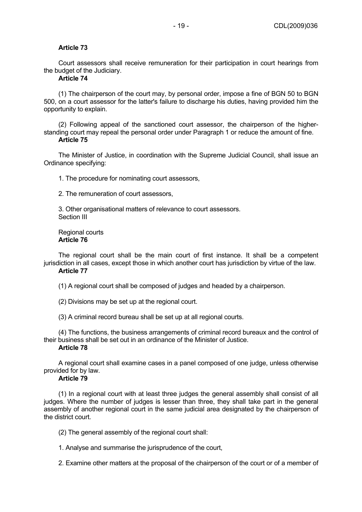## **Article 73**

Court assessors shall receive remuneration for their participation in court hearings from the budget of the Judiciary.

# **Article 74**

(1) The chairperson of the court may, by personal order, impose a fine of BGN 50 to BGN 500, on a court assessor for the latter's failure to discharge his duties, having provided him the opportunity to explain.

(2) Following appeal of the sanctioned court assessor, the chairperson of the higherstanding court may repeal the personal order under Paragraph 1 or reduce the amount of fine. **Article 75** 

The Minister of Justice, in coordination with the Supreme Judicial Council, shall issue an Ordinance specifying:

1. The procedure for nominating court assessors,

2. The remuneration of court assessors,

3. Other organisational matters of relevance to court assessors. Section III

Regional courts **Article 76** 

The regional court shall be the main court of first instance. It shall be a competent jurisdiction in all cases, except those in which another court has jurisdiction by virtue of the law. **Article 77** 

(1) A regional court shall be composed of judges and headed by a chairperson.

(2) Divisions may be set up at the regional court.

(3) A criminal record bureau shall be set up at all regional courts.

(4) The functions, the business arrangements of criminal record bureaux and the control of their business shall be set out in an ordinance of the Minister of Justice. **Article 78** 

A regional court shall examine cases in a panel composed of one judge, unless otherwise provided for by law.

## **Article 79**

(1) In a regional court with at least three judges the general assembly shall consist of all judges. Where the number of judges is lesser than three, they shall take part in the general assembly of another regional court in the same judicial area designated by the chairperson of the district court.

(2) The general assembly of the regional court shall:

1. Analyse and summarise the jurisprudence of the court,

2. Examine other matters at the proposal of the chairperson of the court or of a member of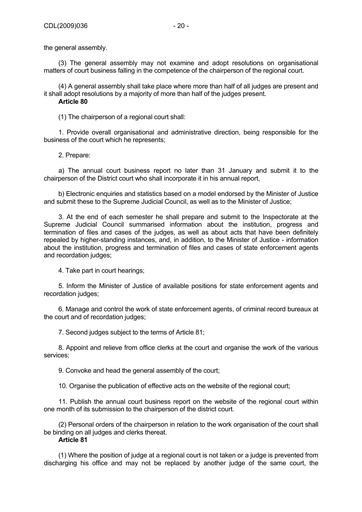the general assembly.

(3) The general assembly may not examine and adopt resolutions on organisational matters of court business falling in the competence of the chairperson of the regional court.

(4) A general assembly shall take place where more than half of all judges are present and it shall adopt resolutions by a majority of more than half of the judges present. **Article 80** 

(1) The chairperson of a regional court shall:

1. Provide overall organisational and administrative direction, being responsible for the business of the court which he represents;

2. Prepare:

a) The annual court business report no later than 31 January and submit it to the chairperson of the District court who shall incorporate it in his annual report,

b) Electronic enquiries and statistics based on a model endorsed by the Minister of Justice and submit these to the Supreme Judicial Council, as well as to the Minister of Justice;

3. At the end of each semester he shall prepare and submit to the Inspectorate at the Supreme Judicial Council summarised information about the institution, progress and termination of files and cases of the judges, as well as about acts that have been definitely repealed by higher-standing instances, and, in addition, to the Minister of Justice - information about the institution, progress and termination of files and cases of state enforcement agents and recordation judges;

4. Take part in court hearings;

5. Inform the Minister of Justice of available positions for state enforcement agents and recordation judges;

6. Manage and control the work of state enforcement agents, of criminal record bureaux at the court and of recordation judges;

7. Second judges subject to the terms of Article 81;

8. Appoint and relieve from office clerks at the court and organise the work of the various services;

9. Convoke and head the general assembly of the court;

10. Organise the publication of effective acts on the website of the regional court;

11. Publish the annual court business report on the website of the regional court within one month of its submission to the chairperson of the district court.

(2) Personal orders of the chairperson in relation to the work organisation of the court shall be binding on all judges and clerks thereat.

# **Article 81**

(1) Where the position of judge at a regional court is not taken or a judge is prevented from discharging his office and may not be replaced by another judge of the same court, the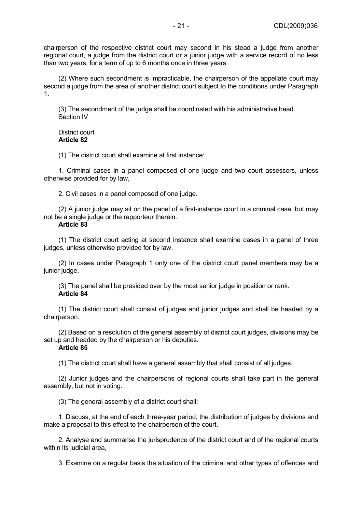chairperson of the respective district court may second in his stead a judge from another regional court, a judge from the district court or a junior judge with a service record of no less than two years, for a term of up to 6 months once in three years.

(2) Where such secondment is impracticable, the chairperson of the appellate court may second a judge from the area of another district court subject to the conditions under Paragraph 1.

(3) The secondment of the judge shall be coordinated with his administrative head. Section IV

District court **Article 82** 

(1) The district court shall examine at first instance:

1. Criminal cases in a panel composed of one judge and two court assessors, unless otherwise provided for by law,

2. Civil cases in a panel composed of one judge.

(2) A junior judge may sit on the panel of a first-instance court in a criminal case, but may not be a single judge or the rapporteur therein.

## **Article 83**

(1) The district court acting at second instance shall examine cases in a panel of three judges, unless otherwise provided for by law.

(2) In cases under Paragraph 1 only one of the district court panel members may be a junior judge.

(3) The panel shall be presided over by the most senior judge in position or rank. **Article 84** 

(1) The district court shall consist of judges and junior judges and shall be headed by a chairperson.

(2) Based on a resolution of the general assembly of district court judges, divisions may be set up and headed by the chairperson or his deputies.

# **Article 85**

(1) The district court shall have a general assembly that shall consist of all judges.

(2) Junior judges and the chairpersons of regional courts shall take part in the general assembly, but not in voting.

(3) The general assembly of a district court shall:

1. Discuss, at the end of each three-year period, the distribution of judges by divisions and make a proposal to this effect to the chairperson of the court,

2. Analyse and summarise the jurisprudence of the district court and of the regional courts within its judicial area,

3. Examine on a regular basis the situation of the criminal and other types of offences and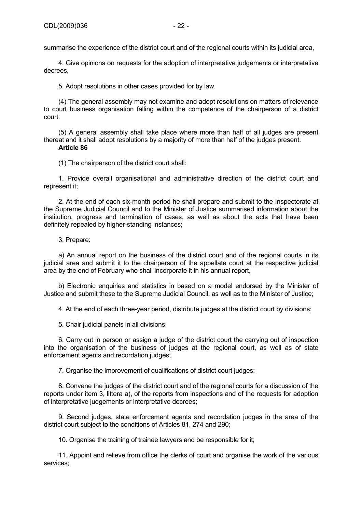summarise the experience of the district court and of the regional courts within its judicial area,

4. Give opinions on requests for the adoption of interpretative judgements or interpretative decrees,

5. Adopt resolutions in other cases provided for by law.

(4) The general assembly may not examine and adopt resolutions on matters of relevance to court business organisation falling within the competence of the chairperson of a district court.

(5) A general assembly shall take place where more than half of all judges are present thereat and it shall adopt resolutions by a majority of more than half of the judges present.

### **Article 86**

(1) The chairperson of the district court shall:

1. Provide overall organisational and administrative direction of the district court and represent it;

2. At the end of each six-month period he shall prepare and submit to the Inspectorate at the Supreme Judicial Council and to the Minister of Justice summarised information about the institution, progress and termination of cases, as well as about the acts that have been definitely repealed by higher-standing instances;

## 3. Prepare:

a) An annual report on the business of the district court and of the regional courts in its judicial area and submit it to the chairperson of the appellate court at the respective judicial area by the end of February who shall incorporate it in his annual report,

b) Electronic enquiries and statistics in based on a model endorsed by the Minister of Justice and submit these to the Supreme Judicial Council, as well as to the Minister of Justice;

4. At the end of each three-year period, distribute judges at the district court by divisions;

5. Chair judicial panels in all divisions;

6. Carry out in person or assign a judge of the district court the carrying out of inspection into the organisation of the business of judges at the regional court, as well as of state enforcement agents and recordation judges;

7. Organise the improvement of qualifications of district court judges;

8. Convene the judges of the district court and of the regional courts for a discussion of the reports under item 3, littera a), of the reports from inspections and of the requests for adoption of interpretative judgements or interpretative decrees;

9. Second judges, state enforcement agents and recordation judges in the area of the district court subject to the conditions of Articles 81, 274 and 290;

10. Organise the training of trainee lawyers and be responsible for it;

11. Appoint and relieve from office the clerks of court and organise the work of the various services;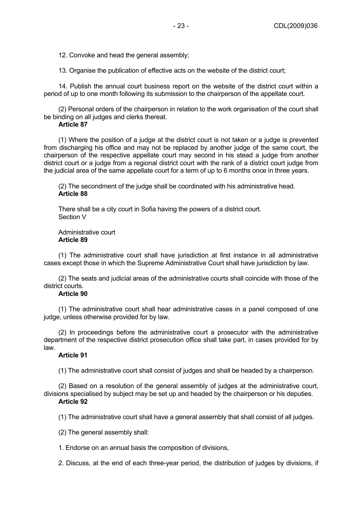12. Convoke and head the general assembly;

13. Organise the publication of effective acts on the website of the district court;

14. Publish the annual court business report on the website of the district court within a period of up to one month following its submission to the chairperson of the appellate court.

(2) Personal orders of the chairperson in relation to the work organisation of the court shall be binding on all judges and clerks thereat.

# **Article 87**

(1) Where the position of a judge at the district court is not taken or a judge is prevented from discharging his office and may not be replaced by another judge of the same court, the chairperson of the respective appellate court may second in his stead a judge from another district court or a judge from a regional district court with the rank of a district court judge from the judicial area of the same appellate court for a term of up to 6 months once in three years.

(2) The secondment of the judge shall be coordinated with his administrative head. **Article 88** 

There shall be a city court in Sofia having the powers of a district court. Section V

Administrative court **Article 89** 

(1) The administrative court shall have jurisdiction at first instance in all administrative cases except those in which the Supreme Administrative Court shall have jurisdiction by law.

(2) The seats and judicial areas of the administrative courts shall coincide with those of the district courts.

### **Article 90**

(1) The administrative court shall hear administrative cases in a panel composed of one judge, unless otherwise provided for by law.

(2) In proceedings before the administrative court a prosecutor with the administrative department of the respective district prosecution office shall take part, in cases provided for by law.

### **Article 91**

(1) The administrative court shall consist of judges and shall be headed by a chairperson.

(2) Based on a resolution of the general assembly of judges at the administrative court, divisions specialised by subject may be set up and headed by the chairperson or his deputies. **Article 92** 

(1) The administrative court shall have a general assembly that shall consist of all judges.

(2) The general assembly shall:

1. Endorse on an annual basis the composition of divisions,

2. Discuss, at the end of each three-year period, the distribution of judges by divisions, if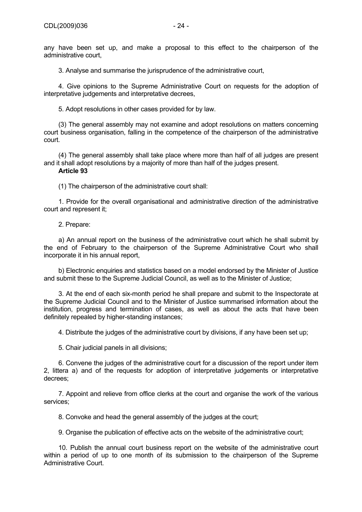any have been set up, and make a proposal to this effect to the chairperson of the administrative court,

3. Analyse and summarise the jurisprudence of the administrative court,

4. Give opinions to the Supreme Administrative Court on requests for the adoption of interpretative judgements and interpretative decrees,

5. Adopt resolutions in other cases provided for by law.

(3) The general assembly may not examine and adopt resolutions on matters concerning court business organisation, falling in the competence of the chairperson of the administrative court.

(4) The general assembly shall take place where more than half of all judges are present and it shall adopt resolutions by a majority of more than half of the judges present.

## **Article 93**

(1) The chairperson of the administrative court shall:

1. Provide for the overall organisational and administrative direction of the administrative court and represent it;

## 2. Prepare:

a) An annual report on the business of the administrative court which he shall submit by the end of February to the chairperson of the Supreme Administrative Court who shall incorporate it in his annual report,

b) Electronic enquiries and statistics based on a model endorsed by the Minister of Justice and submit these to the Supreme Judicial Council, as well as to the Minister of Justice;

3. At the end of each six-month period he shall prepare and submit to the Inspectorate at the Supreme Judicial Council and to the Minister of Justice summarised information about the institution, progress and termination of cases, as well as about the acts that have been definitely repealed by higher-standing instances;

4. Distribute the judges of the administrative court by divisions, if any have been set up;

5. Chair judicial panels in all divisions;

6. Convene the judges of the administrative court for a discussion of the report under item 2, littera a) and of the requests for adoption of interpretative judgements or interpretative decrees;

7. Appoint and relieve from office clerks at the court and organise the work of the various services;

8. Convoke and head the general assembly of the judges at the court:

9. Organise the publication of effective acts on the website of the administrative court;

10. Publish the annual court business report on the website of the administrative court within a period of up to one month of its submission to the chairperson of the Supreme Administrative Court.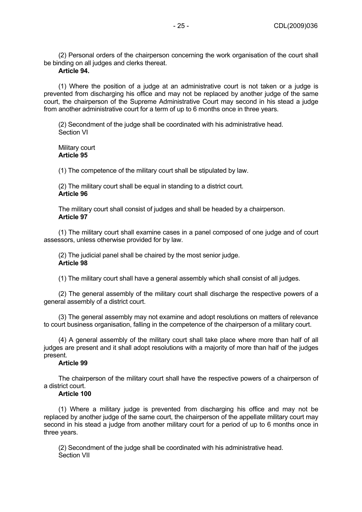(2) Personal orders of the chairperson concerning the work organisation of the court shall be binding on all judges and clerks thereat.

## **Article 94.**

(1) Where the position of a judge at an administrative court is not taken or a judge is prevented from discharging his office and may not be replaced by another judge of the same court, the chairperson of the Supreme Administrative Court may second in his stead a judge from another administrative court for a term of up to 6 months once in three years.

(2) Secondment of the judge shall be coordinated with his administrative head. Section VI

Military court **Article 95** 

(1) The competence of the military court shall be stipulated by law.

(2) The military court shall be equal in standing to a district court. **Article 96** 

The military court shall consist of judges and shall be headed by a chairperson. **Article 97** 

(1) The military court shall examine cases in a panel composed of one judge and of court assessors, unless otherwise provided for by law.

(2) The judicial panel shall be chaired by the most senior judge. **Article 98** 

(1) The military court shall have a general assembly which shall consist of all judges.

(2) The general assembly of the military court shall discharge the respective powers of a general assembly of a district court.

(3) The general assembly may not examine and adopt resolutions on matters of relevance to court business organisation, falling in the competence of the chairperson of a military court.

(4) A general assembly of the military court shall take place where more than half of all judges are present and it shall adopt resolutions with a majority of more than half of the judges present.

## **Article 99**

The chairperson of the military court shall have the respective powers of a chairperson of a district court.

### **Article 100**

(1) Where a military judge is prevented from discharging his office and may not be replaced by another judge of the same court, the chairperson of the appellate military court may second in his stead a judge from another military court for a period of up to 6 months once in three years.

(2) Secondment of the judge shall be coordinated with his administrative head. Section VII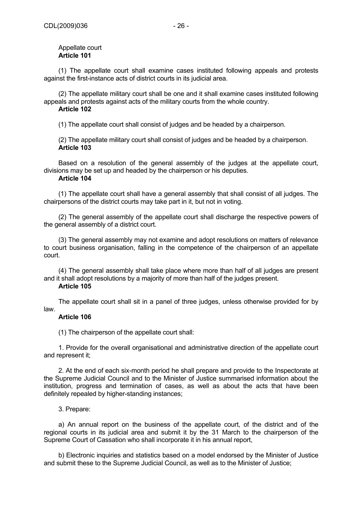## Appellate court **Article 101**

(1) The appellate court shall examine cases instituted following appeals and protests against the first-instance acts of district courts in its judicial area.

(2) The appellate military court shall be one and it shall examine cases instituted following appeals and protests against acts of the military courts from the whole country.

### **Article 102**

(1) The appellate court shall consist of judges and be headed by a chairperson.

(2) The appellate military court shall consist of judges and be headed by a chairperson. **Article 103** 

Based on a resolution of the general assembly of the judges at the appellate court, divisions may be set up and headed by the chairperson or his deputies.

# **Article 104**

(1) The appellate court shall have a general assembly that shall consist of all judges. The chairpersons of the district courts may take part in it, but not in voting.

(2) The general assembly of the appellate court shall discharge the respective powers of the general assembly of a district court.

(3) The general assembly may not examine and adopt resolutions on matters of relevance to court business organisation, falling in the competence of the chairperson of an appellate court.

(4) The general assembly shall take place where more than half of all judges are present and it shall adopt resolutions by a majority of more than half of the judges present.

### **Article 105**

The appellate court shall sit in a panel of three judges, unless otherwise provided for by law.

# **Article 106**

(1) The chairperson of the appellate court shall:

1. Provide for the overall organisational and administrative direction of the appellate court and represent it;

2. At the end of each six-month period he shall prepare and provide to the Inspectorate at the Supreme Judicial Council and to the Minister of Justice summarised information about the institution, progress and termination of cases, as well as about the acts that have been definitely repealed by higher-standing instances;

# 3. Prepare:

a) An annual report on the business of the appellate court, of the district and of the regional courts in its judicial area and submit it by the 31 March to the chairperson of the Supreme Court of Cassation who shall incorporate it in his annual report,

b) Electronic inquiries and statistics based on a model endorsed by the Minister of Justice and submit these to the Supreme Judicial Council, as well as to the Minister of Justice;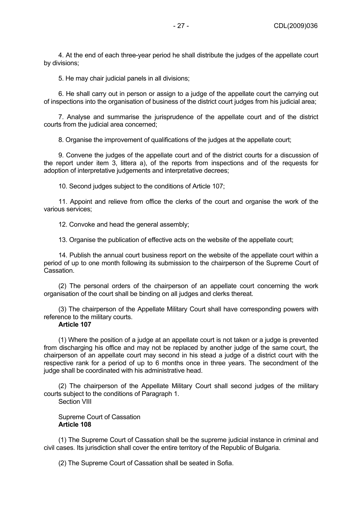4. At the end of each three-year period he shall distribute the judges of the appellate court by divisions;

5. He may chair judicial panels in all divisions;

6. He shall carry out in person or assign to a judge of the appellate court the carrying out of inspections into the organisation of business of the district court judges from his judicial area;

7. Analyse and summarise the jurisprudence of the appellate court and of the district courts from the judicial area concerned;

8. Organise the improvement of qualifications of the judges at the appellate court;

9. Convene the judges of the appellate court and of the district courts for a discussion of the report under item 3, littera a), of the reports from inspections and of the requests for adoption of interpretative judgements and interpretative decrees;

10. Second judges subject to the conditions of Article 107;

11. Appoint and relieve from office the clerks of the court and organise the work of the various services;

12. Convoke and head the general assembly;

13. Organise the publication of effective acts on the website of the appellate court;

14. Publish the annual court business report on the website of the appellate court within a period of up to one month following its submission to the chairperson of the Supreme Court of Cassation.

(2) The personal orders of the chairperson of an appellate court concerning the work organisation of the court shall be binding on all judges and clerks thereat.

(3) The chairperson of the Appellate Military Court shall have corresponding powers with reference to the military courts.

### **Article 107**

(1) Where the position of a judge at an appellate court is not taken or a judge is prevented from discharging his office and may not be replaced by another judge of the same court, the chairperson of an appellate court may second in his stead a judge of a district court with the respective rank for a period of up to 6 months once in three years. The secondment of the judge shall be coordinated with his administrative head.

(2) The chairperson of the Appellate Military Court shall second judges of the military courts subject to the conditions of Paragraph 1.

Section VIII

Supreme Court of Cassation **Article 108** 

(1) The Supreme Court of Cassation shall be the supreme judicial instance in criminal and civil cases. Its jurisdiction shall cover the entire territory of the Republic of Bulgaria.

(2) The Supreme Court of Cassation shall be seated in Sofia.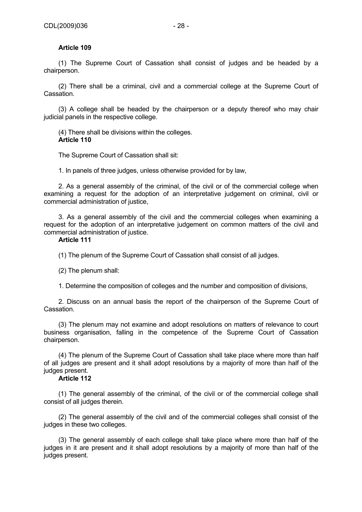# **Article 109**

(1) The Supreme Court of Cassation shall consist of judges and be headed by a chairperson.

(2) There shall be a criminal, civil and a commercial college at the Supreme Court of Cassation.

(3) A college shall be headed by the chairperson or a deputy thereof who may chair judicial panels in the respective college.

(4) There shall be divisions within the colleges. **Article 110** 

The Supreme Court of Cassation shall sit:

1. In panels of three judges, unless otherwise provided for by law,

2. As a general assembly of the criminal, of the civil or of the commercial college when examining a request for the adoption of an interpretative judgement on criminal, civil or commercial administration of justice,

3. As a general assembly of the civil and the commercial colleges when examining a request for the adoption of an interpretative judgement on common matters of the civil and commercial administration of justice.

### **Article 111**

(1) The plenum of the Supreme Court of Cassation shall consist of all judges.

(2) The plenum shall:

1. Determine the composition of colleges and the number and composition of divisions,

2. Discuss on an annual basis the report of the chairperson of the Supreme Court of Cassation.

(3) The plenum may not examine and adopt resolutions on matters of relevance to court business organisation, falling in the competence of the Supreme Court of Cassation chairperson.

(4) The plenum of the Supreme Court of Cassation shall take place where more than half of all judges are present and it shall adopt resolutions by a majority of more than half of the judges present.

### **Article 112**

(1) The general assembly of the criminal, of the civil or of the commercial college shall consist of all judges therein.

(2) The general assembly of the civil and of the commercial colleges shall consist of the judges in these two colleges.

(3) The general assembly of each college shall take place where more than half of the judges in it are present and it shall adopt resolutions by a majority of more than half of the judges present.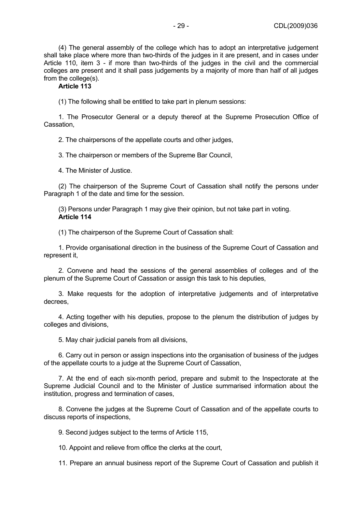(4) The general assembly of the college which has to adopt an interpretative judgement shall take place where more than two-thirds of the judges in it are present, and in cases under Article 110, item 3 - if more than two-thirds of the judges in the civil and the commercial colleges are present and it shall pass judgements by a majority of more than half of all judges from the college(s).

# **Article 113**

(1) The following shall be entitled to take part in plenum sessions:

1. The Prosecutor General or a deputy thereof at the Supreme Prosecution Office of Cassation,

2. The chairpersons of the appellate courts and other judges,

3. The chairperson or members of the Supreme Bar Council,

4. The Minister of Justice.

(2) The chairperson of the Supreme Court of Cassation shall notify the persons under Paragraph 1 of the date and time for the session.

(3) Persons under Paragraph 1 may give their opinion, but not take part in voting. **Article 114** 

(1) The chairperson of the Supreme Court of Cassation shall:

1. Provide organisational direction in the business of the Supreme Court of Cassation and represent it,

2. Convene and head the sessions of the general assemblies of colleges and of the plenum of the Supreme Court of Cassation or assign this task to his deputies,

3. Make requests for the adoption of interpretative judgements and of interpretative decrees,

4. Acting together with his deputies, propose to the plenum the distribution of judges by colleges and divisions,

5. May chair judicial panels from all divisions,

6. Carry out in person or assign inspections into the organisation of business of the judges of the appellate courts to a judge at the Supreme Court of Cassation,

7. At the end of each six-month period, prepare and submit to the Inspectorate at the Supreme Judicial Council and to the Minister of Justice summarised information about the institution, progress and termination of cases,

8. Convene the judges at the Supreme Court of Cassation and of the appellate courts to discuss reports of inspections,

9. Second judges subject to the terms of Article 115,

10. Appoint and relieve from office the clerks at the court,

11. Prepare an annual business report of the Supreme Court of Cassation and publish it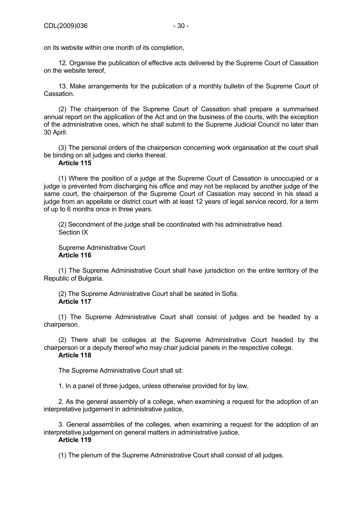on its website within one month of its completion,

12. Organise the publication of effective acts delivered by the Supreme Court of Cassation on the website tereof,

13. Make arrangements for the publication of a monthly bulletin of the Supreme Court of Cassation.

(2) The chairperson of the Supreme Court of Cassation shall prepare a summarised annual report on the application of the Act and on the business of the courts, with the exception of the administrative ones, which he shall submit to the Supreme Judicial Council no later than 30 April.

(3) The personal orders of the chairperson concerning work organisation at the court shall be binding on all judges and clerks thereat.

## **Article 115**

(1) Where the position of a judge at the Supreme Court of Cassation is unoccupied or a judge is prevented from discharging his office and may not be replaced by another judge of the same court, the chairperson of the Supreme Court of Cassation may second in his stead a judge from an appellate or district court with at least 12 years of legal service record, for a term of up to 6 months once in three years.

(2) Secondment of the judge shall be coordinated with his administrative head. Section IX

Supreme Administrative Court **Article 116** 

(1) The Supreme Administrative Court shall have jurisdiction on the entire territory of the Republic of Bulgaria.

(2) The Supreme Administrative Court shall be seated in Sofia. **Article 117** 

(1) The Supreme Administrative Court shall consist of judges and be headed by a chairperson.

(2) There shall be colleges at the Supreme Administrative Court headed by the chairperson or a deputy thereof who may chair judicial panels in the respective college.

# **Article 118**

The Supreme Administrative Court shall sit:

1. In a panel of three judges, unless otherwise provided for by law,

2. As the general assembly of a college, when examining a request for the adoption of an interpretative judgement in administrative justice,

3. General assemblies of the colleges, when examining a request for the adoption of an interpretative judgement on general matters in administrative justice.

## **Article 119**

(1) The plenum of the Supreme Administrative Court shall consist of all judges.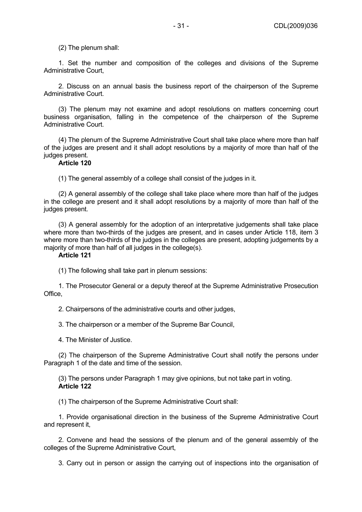(2) The plenum shall:

1. Set the number and composition of the colleges and divisions of the Supreme Administrative Court,

2. Discuss on an annual basis the business report of the chairperson of the Supreme Administrative Court.

(3) The plenum may not examine and adopt resolutions on matters concerning court business organisation, falling in the competence of the chairperson of the Supreme Administrative Court.

(4) The plenum of the Supreme Administrative Court shall take place where more than half of the judges are present and it shall adopt resolutions by a majority of more than half of the judges present.

# **Article 120**

(1) The general assembly of a college shall consist of the judges in it.

(2) A general assembly of the college shall take place where more than half of the judges in the college are present and it shall adopt resolutions by a majority of more than half of the judges present.

(3) A general assembly for the adoption of an interpretative judgements shall take place where more than two-thirds of the judges are present, and in cases under Article 118, item 3 where more than two-thirds of the judges in the colleges are present, adopting judgements by a majority of more than half of all judges in the college(s).

### **Article 121**

(1) The following shall take part in plenum sessions:

1. The Prosecutor General or a deputy thereof at the Supreme Administrative Prosecution Office,

2. Chairpersons of the administrative courts and other judges,

3. The chairperson or a member of the Supreme Bar Council,

4. The Minister of Justice.

(2) The chairperson of the Supreme Administrative Court shall notify the persons under Paragraph 1 of the date and time of the session.

(3) The persons under Paragraph 1 may give opinions, but not take part in voting. **Article 122** 

(1) The chairperson of the Supreme Administrative Court shall:

1. Provide organisational direction in the business of the Supreme Administrative Court and represent it,

2. Convene and head the sessions of the plenum and of the general assembly of the colleges of the Supreme Administrative Court,

3. Carry out in person or assign the carrying out of inspections into the organisation of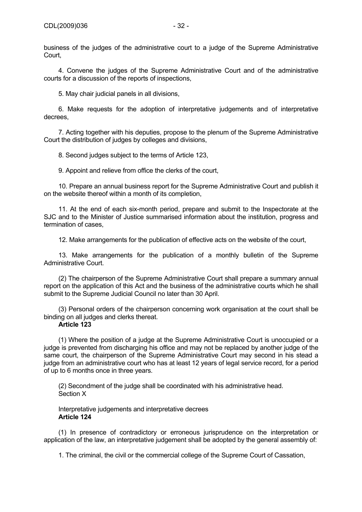business of the judges of the administrative court to a judge of the Supreme Administrative Court,

4. Convene the judges of the Supreme Administrative Court and of the administrative courts for a discussion of the reports of inspections,

5. May chair judicial panels in all divisions,

6. Make requests for the adoption of interpretative judgements and of interpretative decrees,

7. Acting together with his deputies, propose to the plenum of the Supreme Administrative Court the distribution of judges by colleges and divisions,

8. Second judges subject to the terms of Article 123,

9. Appoint and relieve from office the clerks of the court,

10. Prepare an annual business report for the Supreme Administrative Court and publish it on the website thereof within a month of its completion,

11. At the end of each six-month period, prepare and submit to the Inspectorate at the SJC and to the Minister of Justice summarised information about the institution, progress and termination of cases,

12. Make arrangements for the publication of effective acts on the website of the court,

13. Make arrangements for the publication of a monthly bulletin of the Supreme Administrative Court.

(2) The chairperson of the Supreme Administrative Court shall prepare a summary annual report on the application of this Act and the business of the administrative courts which he shall submit to the Supreme Judicial Council no later than 30 April.

(3) Personal orders of the chairperson concerning work organisation at the court shall be binding on all judges and clerks thereat.

## **Article 123**

(1) Where the position of a judge at the Supreme Administrative Court is unoccupied or a judge is prevented from discharging his office and may not be replaced by another judge of the same court, the chairperson of the Supreme Administrative Court may second in his stead a judge from an administrative court who has at least 12 years of legal service record, for a period of up to 6 months once in three years.

(2) Secondment of the judge shall be coordinated with his administrative head. Section X

Interpretative judgements and interpretative decrees **Article 124** 

(1) In presence of contradictory or erroneous jurisprudence on the interpretation or application of the law, an interpretative judgement shall be adopted by the general assembly of:

1. The criminal, the civil or the commercial college of the Supreme Court of Cassation,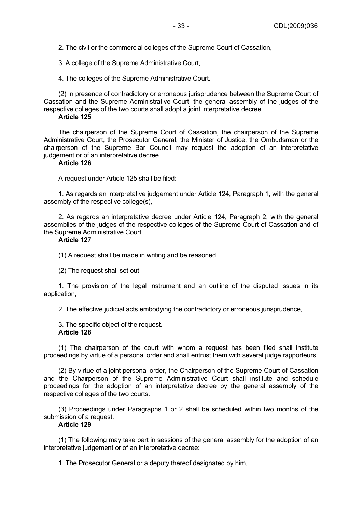2. The civil or the commercial colleges of the Supreme Court of Cassation,

3. A college of the Supreme Administrative Court,

4. The colleges of the Supreme Administrative Court.

(2) In presence of contradictory or erroneous jurisprudence between the Supreme Court of Cassation and the Supreme Administrative Court, the general assembly of the judges of the respective colleges of the two courts shall adopt a joint interpretative decree.

### **Article 125**

The chairperson of the Supreme Court of Cassation, the chairperson of the Supreme Administrative Court, the Prosecutor General, the Minister of Justice, the Ombudsman or the chairperson of the Supreme Bar Council may request the adoption of an interpretative judgement or of an interpretative decree.

# **Article 126**

A request under Article 125 shall be filed:

1. As regards an interpretative judgement under Article 124, Paragraph 1, with the general assembly of the respective college(s),

2. As regards an interpretative decree under Article 124, Paragraph 2, with the general assemblies of the judges of the respective colleges of the Supreme Court of Cassation and of the Supreme Administrative Court.

# **Article 127**

(1) A request shall be made in writing and be reasoned.

(2) The request shall set out:

1. The provision of the legal instrument and an outline of the disputed issues in its application,

2. The effective judicial acts embodying the contradictory or erroneous jurisprudence,

3. The specific object of the request. **Article 128** 

(1) The chairperson of the court with whom a request has been filed shall institute proceedings by virtue of a personal order and shall entrust them with several judge rapporteurs.

(2) By virtue of a joint personal order, the Chairperson of the Supreme Court of Cassation and the Chairperson of the Supreme Administrative Court shall institute and schedule proceedings for the adoption of an interpretative decree by the general assembly of the respective colleges of the two courts.

(3) Proceedings under Paragraphs 1 or 2 shall be scheduled within two months of the submission of a request.

## **Article 129**

(1) The following may take part in sessions of the general assembly for the adoption of an interpretative judgement or of an interpretative decree:

1. The Prosecutor General or a deputy thereof designated by him,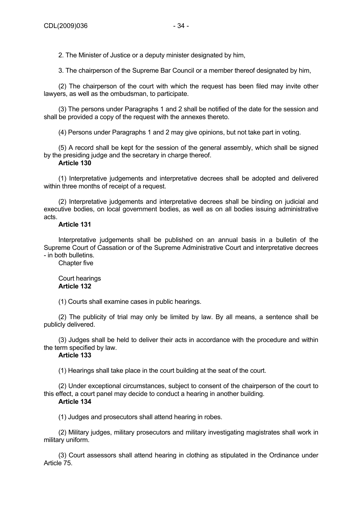2. The Minister of Justice or a deputy minister designated by him,

3. The chairperson of the Supreme Bar Council or a member thereof designated by him,

(2) The chairperson of the court with which the request has been filed may invite other lawyers, as well as the ombudsman, to participate.

(3) The persons under Paragraphs 1 and 2 shall be notified of the date for the session and shall be provided a copy of the request with the annexes thereto.

(4) Persons under Paragraphs 1 and 2 may give opinions, but not take part in voting.

(5) A record shall be kept for the session of the general assembly, which shall be signed by the presiding judge and the secretary in charge thereof.

# **Article 130**

(1) Interpretative judgements and interpretative decrees shall be adopted and delivered within three months of receipt of a request.

(2) Interpretative judgements and interpretative decrees shall be binding on judicial and executive bodies, on local government bodies, as well as on all bodies issuing administrative acts.

# **Article 131**

Interpretative judgements shall be published on an annual basis in a bulletin of the Supreme Court of Cassation or of the Supreme Administrative Court and interpretative decrees - in both bulletins.

Chapter five

### Court hearings **Article 132**

(1) Courts shall examine cases in public hearings.

(2) The publicity of trial may only be limited by law. By all means, a sentence shall be publicly delivered.

(3) Judges shall be held to deliver their acts in accordance with the procedure and within the term specified by law.

# **Article 133**

(1) Hearings shall take place in the court building at the seat of the court.

(2) Under exceptional circumstances, subject to consent of the chairperson of the court to this effect, a court panel may decide to conduct a hearing in another building. **Article 134** 

(1) Judges and prosecutors shall attend hearing in robes.

(2) Military judges, military prosecutors and military investigating magistrates shall work in military uniform.

(3) Court assessors shall attend hearing in clothing as stipulated in the Ordinance under Article 75.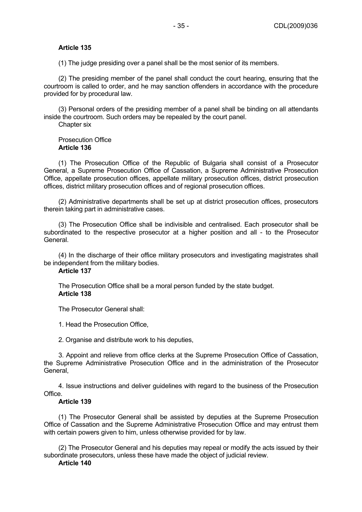### **Article 135**

(1) The judge presiding over a panel shall be the most senior of its members.

(2) The presiding member of the panel shall conduct the court hearing, ensuring that the courtroom is called to order, and he may sanction offenders in accordance with the procedure provided for by procedural law.

(3) Personal orders of the presiding member of a panel shall be binding on all attendants inside the courtroom. Such orders may be repealed by the court panel.

Chapter six

Prosecution Office **Article 136** 

(1) The Prosecution Office of the Republic of Bulgaria shall consist of a Prosecutor General, a Supreme Prosecution Office of Cassation, a Supreme Administrative Prosecution Office, appellate prosecution offices, appellate military prosecution offices, district prosecution offices, district military prosecution offices and of regional prosecution offices.

(2) Administrative departments shall be set up at district prosecution offices, prosecutors therein taking part in administrative cases.

(3) The Prosecution Office shall be indivisible and centralised. Each prosecutor shall be subordinated to the respective prosecutor at a higher position and all - to the Prosecutor General.

(4) In the discharge of their office military prosecutors and investigating magistrates shall be independent from the military bodies.

## **Article 137**

The Prosecution Office shall be a moral person funded by the state budget. **Article 138** 

The Prosecutor General shall:

1. Head the Prosecution Office,

2. Organise and distribute work to his deputies,

3. Appoint and relieve from office clerks at the Supreme Prosecution Office of Cassation, the Supreme Administrative Prosecution Office and in the administration of the Prosecutor General,

4. Issue instructions and deliver guidelines with regard to the business of the Prosecution Office.

### **Article 139**

(1) The Prosecutor General shall be assisted by deputies at the Supreme Prosecution Office of Cassation and the Supreme Administrative Prosecution Office and may entrust them with certain powers given to him, unless otherwise provided for by law.

(2) The Prosecutor General and his deputies may repeal or modify the acts issued by their subordinate prosecutors, unless these have made the object of judicial review.

# **Article 140**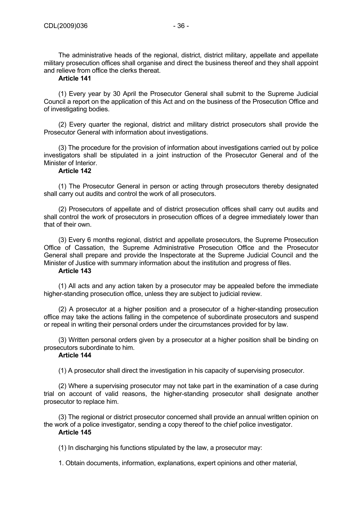The administrative heads of the regional, district, district military, appellate and appellate military prosecution offices shall organise and direct the business thereof and they shall appoint and relieve from office the clerks thereat.

# **Article 141**

(1) Every year by 30 April the Prosecutor General shall submit to the Supreme Judicial Council a report on the application of this Act and on the business of the Prosecution Office and of investigating bodies.

(2) Every quarter the regional, district and military district prosecutors shall provide the Prosecutor General with information about investigations.

(3) The procedure for the provision of information about investigations carried out by police investigators shall be stipulated in a joint instruction of the Prosecutor General and of the Minister of Interior.

# **Article 142**

(1) The Prosecutor General in person or acting through prosecutors thereby designated shall carry out audits and control the work of all prosecutors.

(2) Prosecutors of appellate and of district prosecution offices shall carry out audits and shall control the work of prosecutors in prosecution offices of a degree immediately lower than that of their own.

(3) Every 6 months regional, district and appellate prosecutors, the Supreme Prosecution Office of Cassation, the Supreme Administrative Prosecution Office and the Prosecutor General shall prepare and provide the Inspectorate at the Supreme Judicial Council and the Minister of Justice with summary information about the institution and progress of files.

# **Article 143**

(1) All acts and any action taken by a prosecutor may be appealed before the immediate higher-standing prosecution office, unless they are subject to judicial review.

(2) A prosecutor at a higher position and a prosecutor of a higher-standing prosecution office may take the actions falling in the competence of subordinate prosecutors and suspend or repeal in writing their personal orders under the circumstances provided for by law.

(3) Written personal orders given by a prosecutor at a higher position shall be binding on prosecutors subordinate to him.

# **Article 144**

(1) A prosecutor shall direct the investigation in his capacity of supervising prosecutor.

(2) Where a supervising prosecutor may not take part in the examination of a case during trial on account of valid reasons, the higher-standing prosecutor shall designate another prosecutor to replace him.

(3) The regional or district prosecutor concerned shall provide an annual written opinion on the work of a police investigator, sending a copy thereof to the chief police investigator. **Article 145** 

(1) In discharging his functions stipulated by the law, a prosecutor may:

1. Obtain documents, information, explanations, expert opinions and other material,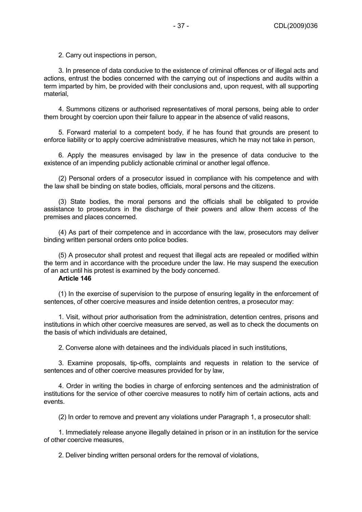2. Carry out inspections in person,

3. In presence of data conducive to the existence of criminal offences or of illegal acts and actions, entrust the bodies concerned with the carrying out of inspections and audits within a term imparted by him, be provided with their conclusions and, upon request, with all supporting material,

4. Summons citizens or authorised representatives of moral persons, being able to order them brought by coercion upon their failure to appear in the absence of valid reasons,

5. Forward material to a competent body, if he has found that grounds are present to enforce liability or to apply coercive administrative measures, which he may not take in person,

6. Apply the measures envisaged by law in the presence of data conducive to the existence of an impending publicly actionable criminal or another legal offence.

(2) Personal orders of a prosecutor issued in compliance with his competence and with the law shall be binding on state bodies, officials, moral persons and the citizens.

(3) State bodies, the moral persons and the officials shall be obligated to provide assistance to prosecutors in the discharge of their powers and allow them access of the premises and places concerned.

(4) As part of their competence and in accordance with the law, prosecutors may deliver binding written personal orders onto police bodies.

(5) A prosecutor shall protest and request that illegal acts are repealed or modified within the term and in accordance with the procedure under the law. He may suspend the execution of an act until his protest is examined by the body concerned.

# **Article 146**

(1) In the exercise of supervision to the purpose of ensuring legality in the enforcement of sentences, of other coercive measures and inside detention centres, a prosecutor may:

1. Visit, without prior authorisation from the administration, detention centres, prisons and institutions in which other coercive measures are served, as well as to check the documents on the basis of which individuals are detained,

2. Converse alone with detainees and the individuals placed in such institutions,

3. Examine proposals, tip-offs, complaints and requests in relation to the service of sentences and of other coercive measures provided for by law,

4. Order in writing the bodies in charge of enforcing sentences and the administration of institutions for the service of other coercive measures to notify him of certain actions, acts and events.

(2) In order to remove and prevent any violations under Paragraph 1, a prosecutor shall:

1. Immediately release anyone illegally detained in prison or in an institution for the service of other coercive measures,

2. Deliver binding written personal orders for the removal of violations,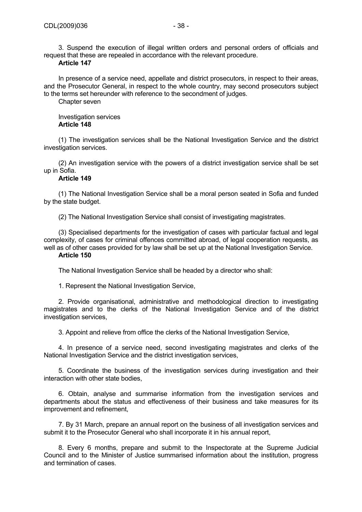3. Suspend the execution of illegal written orders and personal orders of officials and request that these are repealed in accordance with the relevant procedure.

# **Article 147**

In presence of a service need, appellate and district prosecutors, in respect to their areas, and the Prosecutor General, in respect to the whole country, may second prosecutors subject to the terms set hereunder with reference to the secondment of judges.

Chapter seven

Investigation services **Article 148** 

(1) The investigation services shall be the National Investigation Service and the district investigation services.

(2) An investigation service with the powers of a district investigation service shall be set up in Sofia.

## **Article 149**

(1) The National Investigation Service shall be a moral person seated in Sofia and funded by the state budget.

(2) The National Investigation Service shall consist of investigating magistrates.

(3) Specialised departments for the investigation of cases with particular factual and legal complexity, of cases for criminal offences committed abroad, of legal cooperation requests, as well as of other cases provided for by law shall be set up at the National Investigation Service.

## **Article 150**

The National Investigation Service shall be headed by a director who shall:

1. Represent the National Investigation Service,

2. Provide organisational, administrative and methodological direction to investigating magistrates and to the clerks of the National Investigation Service and of the district investigation services,

3. Appoint and relieve from office the clerks of the National Investigation Service,

4. In presence of a service need, second investigating magistrates and clerks of the National Investigation Service and the district investigation services,

5. Coordinate the business of the investigation services during investigation and their interaction with other state bodies,

6. Obtain, analyse and summarise information from the investigation services and departments about the status and effectiveness of their business and take measures for its improvement and refinement,

7. By 31 March, prepare an annual report on the business of all investigation services and submit it to the Prosecutor General who shall incorporate it in his annual report,

8. Every 6 months, prepare and submit to the Inspectorate at the Supreme Judicial Council and to the Minister of Justice summarised information about the institution, progress and termination of cases.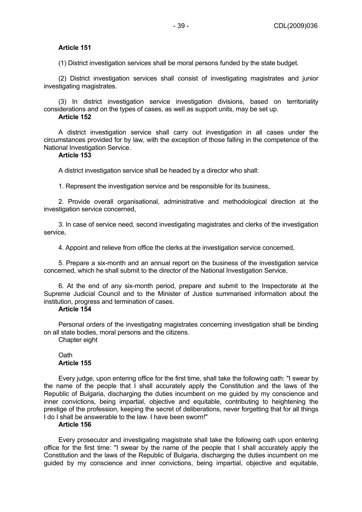# **Article 151**

(1) District investigation services shall be moral persons funded by the state budget.

(2) District investigation services shall consist of investigating magistrates and junior investigating magistrates.

(3) In district investigation service investigation divisions, based on territoriality considerations and on the types of cases, as well as support units, may be set up.

# **Article 152**

A district investigation service shall carry out investigation in all cases under the circumstances provided for by law, with the exception of those falling in the competence of the National Investigation Service.

# **Article 153**

A district investigation service shall be headed by a director who shall:

1. Represent the investigation service and be responsible for its business,

2. Provide overall organisational, administrative and methodological direction at the investigation service concerned,

3. In case of service need, second investigating magistrates and clerks of the investigation service,

4. Appoint and relieve from office the clerks at the investigation service concerned,

5. Prepare a six-month and an annual report on the business of the investigation service concerned, which he shall submit to the director of the National Investigation Service,

6. At the end of any six-month period, prepare and submit to the Inspectorate at the Supreme Judicial Council and to the Minister of Justice summarised information about the institution, progress and termination of cases.

## **Article 154**

Personal orders of the investigating magistrates concerning investigation shall be binding on all state bodies, moral persons and the citizens.

Chapter eight

# Oath **Article 155**

Every judge, upon entering office for the first time, shall take the following oath: "I swear by the name of the people that I shall accurately apply the Constitution and the laws of the Republic of Bulgaria, discharging the duties incumbent on me guided by my conscience and inner convictions, being impartial, objective and equitable, contributing to heightening the prestige of the profession, keeping the secret of deliberations, never forgetting that for all things I do I shall be answerable to the law. I have been sworn!"

## **Article 156**

Every prosecutor and investigating magistrate shall take the following oath upon entering office for the first time: "I swear by the name of the people that I shall accurately apply the Constitution and the laws of the Republic of Bulgaria, discharging the duties incumbent on me guided by my conscience and inner convictions, being impartial, objective and equitable,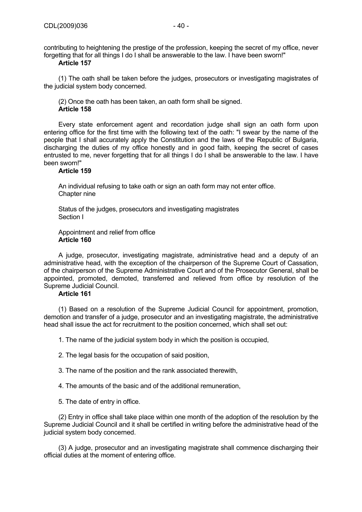contributing to heightening the prestige of the profession, keeping the secret of my office, never forgetting that for all things I do I shall be answerable to the law. I have been sworn!"

# **Article 157**

(1) The oath shall be taken before the judges, prosecutors or investigating magistrates of the judicial system body concerned.

(2) Once the oath has been taken, an oath form shall be signed. **Article 158** 

Every state enforcement agent and recordation judge shall sign an oath form upon entering office for the first time with the following text of the oath: "I swear by the name of the people that I shall accurately apply the Constitution and the laws of the Republic of Bulgaria, discharging the duties of my office honestly and in good faith, keeping the secret of cases entrusted to me, never forgetting that for all things I do I shall be answerable to the law. I have been sworn!"

## **Article 159**

An individual refusing to take oath or sign an oath form may not enter office. Chapter nine

Status of the judges, prosecutors and investigating magistrates Section I

## Appointment and relief from office **Article 160**

A judge, prosecutor, investigating magistrate, administrative head and a deputy of an administrative head, with the exception of the chairperson of the Supreme Court of Cassation, of the chairperson of the Supreme Administrative Court and of the Prosecutor General, shall be appointed, promoted, demoted, transferred and relieved from office by resolution of the Supreme Judicial Council.

# **Article 161**

(1) Based on a resolution of the Supreme Judicial Council for appointment, promotion, demotion and transfer of a judge, prosecutor and an investigating magistrate, the administrative head shall issue the act for recruitment to the position concerned, which shall set out:

1. The name of the judicial system body in which the position is occupied,

2. The legal basis for the occupation of said position,

3. The name of the position and the rank associated therewith,

4. The amounts of the basic and of the additional remuneration,

5. The date of entry in office.

(2) Entry in office shall take place within one month of the adoption of the resolution by the Supreme Judicial Council and it shall be certified in writing before the administrative head of the judicial system body concerned.

(3) A judge, prosecutor and an investigating magistrate shall commence discharging their official duties at the moment of entering office.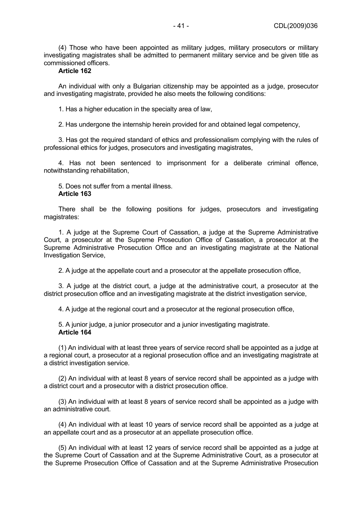(4) Those who have been appointed as military judges, military prosecutors or military investigating magistrates shall be admitted to permanent military service and be given title as commissioned officers.

# **Article 162**

An individual with only a Bulgarian citizenship may be appointed as a judge, prosecutor and investigating magistrate, provided he also meets the following conditions:

1. Has a higher education in the specialty area of law,

2. Has undergone the internship herein provided for and obtained legal competency,

3. Has got the required standard of ethics and professionalism complying with the rules of professional ethics for judges, prosecutors and investigating magistrates,

4. Has not been sentenced to imprisonment for a deliberate criminal offence, notwithstanding rehabilitation,

5. Does not suffer from a mental illness. **Article 163** 

There shall be the following positions for judges, prosecutors and investigating magistrates:

1. A judge at the Supreme Court of Cassation, a judge at the Supreme Administrative Court, a prosecutor at the Supreme Prosecution Office of Cassation, a prosecutor at the Supreme Administrative Prosecution Office and an investigating magistrate at the National Investigation Service,

2. A judge at the appellate court and a prosecutor at the appellate prosecution office,

3. A judge at the district court, a judge at the administrative court, a prosecutor at the district prosecution office and an investigating magistrate at the district investigation service,

4. A judge at the regional court and a prosecutor at the regional prosecution office,

5. A junior judge, a junior prosecutor and a junior investigating magistrate. **Article 164** 

(1) An individual with at least three years of service record shall be appointed as a judge at a regional court, a prosecutor at a regional prosecution office and an investigating magistrate at a district investigation service.

(2) An individual with at least 8 years of service record shall be appointed as a judge with a district court and a prosecutor with a district prosecution office.

(3) An individual with at least 8 years of service record shall be appointed as a judge with an administrative court.

(4) An individual with at least 10 years of service record shall be appointed as a judge at an appellate court and as a prosecutor at an appellate prosecution office.

(5) An individual with at least 12 years of service record shall be appointed as a judge at the Supreme Court of Cassation and at the Supreme Administrative Court, as a prosecutor at the Supreme Prosecution Office of Cassation and at the Supreme Administrative Prosecution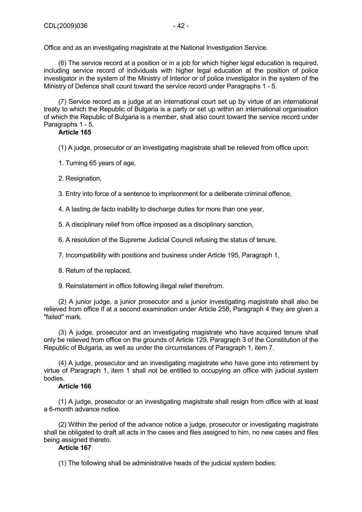Office and as an investigating magistrate at the National Investigation Service.

(6) The service record at a position or in a job for which higher legal education is required, including service record of individuals with higher legal education at the position of police investigator in the system of the Ministry of Interior or of police investigator in the system of the Ministry of Defence shall count toward the service record under Paragraphs 1 - 5.

(7) Service record as a judge at an international court set up by virtue of an international treaty to which the Republic of Bulgaria is a party or set up within an international organisation of which the Republic of Bulgaria is a member, shall also count toward the service record under Paragraphs 1 - 5.

# **Article 165**

(1) A judge, prosecutor or an investigating magistrate shall be relieved from office upon:

1. Turning 65 years of age,

2. Resignation,

3. Entry into force of a sentence to imprisonment for a deliberate criminal offence,

4. A lasting de facto inability to discharge duties for more than one year,

5. A disciplinary relief from office imposed as a disciplinary sanction,

6. A resolution of the Supreme Judicial Council refusing the status of tenure,

7. Incompatibility with positions and business under Article 195, Paragraph 1,

8. Return of the replaced,

9. Reinstatement in office following illegal relief therefrom.

(2) A junior judge, a junior prosecutor and a junior investigating magistrate shall also be relieved from office if at a second examination under Article 258, Paragraph 4 they are given a "failed" mark.

(3) A judge, prosecutor and an investigating magistrate who have acquired tenure shall only be relieved from office on the grounds of Article 129, Paragraph 3 of the Constitution of the Republic of Bulgaria, as well as under the circumstances of Paragraph 1, item 7.

(4) A judge, prosecutor and an investigating magistrate who have gone into retirement by virtue of Paragraph 1, item 1 shall not be entitled to occupying an office with judicial system bodies.

# **Article 166**

(1) A judge, prosecutor or an investigating magistrate shall resign from office with at least a 6-month advance notice.

(2) Within the period of the advance notice a judge, prosecutor or investigating magistrate shall be obligated to draft all acts in the cases and files assigned to him, no new cases and files being assigned thereto.

## **Article 167**

(1) The following shall be administrative heads of the judicial system bodies: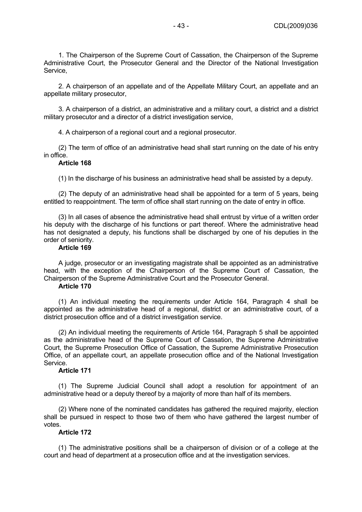1. The Chairperson of the Supreme Court of Cassation, the Chairperson of the Supreme Administrative Court, the Prosecutor General and the Director of the National Investigation Service,

2. A chairperson of an appellate and of the Appellate Military Court, an appellate and an appellate military prosecutor,

3. A chairperson of a district, an administrative and a military court, a district and a district military prosecutor and a director of a district investigation service,

4. A chairperson of a regional court and a regional prosecutor.

(2) The term of office of an administrative head shall start running on the date of his entry in office.

# **Article 168**

(1) In the discharge of his business an administrative head shall be assisted by a deputy.

(2) The deputy of an administrative head shall be appointed for a term of 5 years, being entitled to reappointment. The term of office shall start running on the date of entry in office.

(3) In all cases of absence the administrative head shall entrust by virtue of a written order his deputy with the discharge of his functions or part thereof. Where the administrative head has not designated a deputy, his functions shall be discharged by one of his deputies in the order of seniority.

## **Article 169**

A judge, prosecutor or an investigating magistrate shall be appointed as an administrative head, with the exception of the Chairperson of the Supreme Court of Cassation, the Chairperson of the Supreme Administrative Court and the Prosecutor General.

## **Article 170**

(1) An individual meeting the requirements under Article 164, Paragraph 4 shall be appointed as the administrative head of a regional, district or an administrative court, of a district prosecution office and of a district investigation service.

(2) An individual meeting the requirements of Article 164, Paragraph 5 shall be appointed as the administrative head of the Supreme Court of Cassation, the Supreme Administrative Court, the Supreme Prosecution Office of Cassation, the Supreme Administrative Prosecution Office, of an appellate court, an appellate prosecution office and of the National Investigation Service.

#### **Article 171**

(1) The Supreme Judicial Council shall adopt a resolution for appointment of an administrative head or a deputy thereof by a majority of more than half of its members.

(2) Where none of the nominated candidates has gathered the required majority, election shall be pursued in respect to those two of them who have gathered the largest number of votes.

## **Article 172**

(1) The administrative positions shall be a chairperson of division or of a college at the court and head of department at a prosecution office and at the investigation services.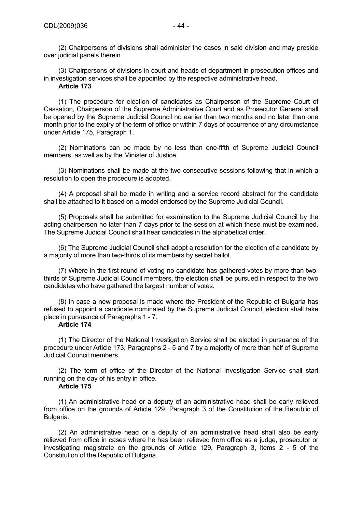(2) Chairpersons of divisions shall administer the cases in said division and may preside over judicial panels therein.

(3) Chairpersons of divisions in court and heads of department in prosecution offices and in investigation services shall be appointed by the respective administrative head. **Article 173** 

(1) The procedure for election of candidates as Chairperson of the Supreme Court of Cassation, Chairperson of the Supreme Administrative Court and as Prosecutor General shall be opened by the Supreme Judicial Council no earlier than two months and no later than one month prior to the expiry of the term of office or within 7 days of occurrence of any circumstance under Article 175, Paragraph 1.

(2) Nominations can be made by no less than one-fifth of Supreme Judicial Council members, as well as by the Minister of Justice.

(3) Nominations shall be made at the two consecutive sessions following that in which a resolution to open the procedure is adopted.

(4) A proposal shall be made in writing and a service record abstract for the candidate shall be attached to it based on a model endorsed by the Supreme Judicial Council.

(5) Proposals shall be submitted for examination to the Supreme Judicial Council by the acting chairperson no later than 7 days prior to the session at which these must be examined. The Supreme Judicial Council shall hear candidates in the alphabetical order.

(6) The Supreme Judicial Council shall adopt a resolution for the election of a candidate by a majority of more than two-thirds of its members by secret ballot.

(7) Where in the first round of voting no candidate has gathered votes by more than twothirds of Supreme Judicial Council members, the election shall be pursued in respect to the two candidates who have gathered the largest number of votes.

(8) In case a new proposal is made where the President of the Republic of Bulgaria has refused to appoint a candidate nominated by the Supreme Judicial Council, election shall take place in pursuance of Paragraphs 1 - 7.

# **Article 174**

(1) The Director of the National Investigation Service shall be elected in pursuance of the procedure under Article 173, Paragraphs 2 - 5 and 7 by a majority of more than half of Supreme Judicial Council members.

(2) The term of office of the Director of the National Investigation Service shall start running on the day of his entry in office.

# **Article 175**

(1) An administrative head or a deputy of an administrative head shall be early relieved from office on the grounds of Article 129, Paragraph 3 of the Constitution of the Republic of Bulgaria.

(2) An administrative head or a deputy of an administrative head shall also be early relieved from office in cases where he has been relieved from office as a judge, prosecutor or investigating magistrate on the grounds of Article 129, Paragraph 3, items 2 - 5 of the Constitution of the Republic of Bulgaria.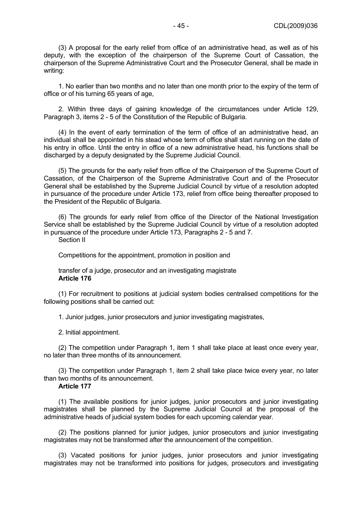(3) A proposal for the early relief from office of an administrative head, as well as of his deputy, with the exception of the chairperson of the Supreme Court of Cassation, the chairperson of the Supreme Administrative Court and the Prosecutor General, shall be made in writing:

1. No earlier than two months and no later than one month prior to the expiry of the term of office or of his turning 65 years of age,

2. Within three days of gaining knowledge of the circumstances under Article 129, Paragraph 3, items 2 - 5 of the Constitution of the Republic of Bulgaria.

(4) In the event of early termination of the term of office of an administrative head, an individual shall be appointed in his stead whose term of office shall start running on the date of his entry in office. Until the entry in office of a new administrative head, his functions shall be discharged by a deputy designated by the Supreme Judicial Council.

(5) The grounds for the early relief from office of the Chairperson of the Supreme Court of Cassation, of the Chairperson of the Supreme Administrative Court and of the Prosecutor General shall be established by the Supreme Judicial Council by virtue of a resolution adopted in pursuance of the procedure under Article 173, relief from office being thereafter proposed to the President of the Republic of Bulgaria.

(6) The grounds for early relief from office of the Director of the National Investigation Service shall be established by the Supreme Judicial Council by virtue of a resolution adopted in pursuance of the procedure under Article 173, Paragraphs 2 - 5 and 7.

Section II

Competitions for the appointment, promotion in position and

transfer of a judge, prosecutor and an investigating magistrate **Article 176** 

(1) For recruitment to positions at judicial system bodies centralised competitions for the following positions shall be carried out:

1. Junior judges, junior prosecutors and junior investigating magistrates,

2. Initial appointment.

(2) The competition under Paragraph 1, item 1 shall take place at least once every year, no later than three months of its announcement.

(3) The competition under Paragraph 1, item 2 shall take place twice every year, no later than two months of its announcement.

# **Article 177**

(1) The available positions for junior judges, junior prosecutors and junior investigating magistrates shall be planned by the Supreme Judicial Council at the proposal of the administrative heads of judicial system bodies for each upcoming calendar year.

(2) The positions planned for junior judges, junior prosecutors and junior investigating magistrates may not be transformed after the announcement of the competition.

(3) Vacated positions for junior judges, junior prosecutors and junior investigating magistrates may not be transformed into positions for judges, prosecutors and investigating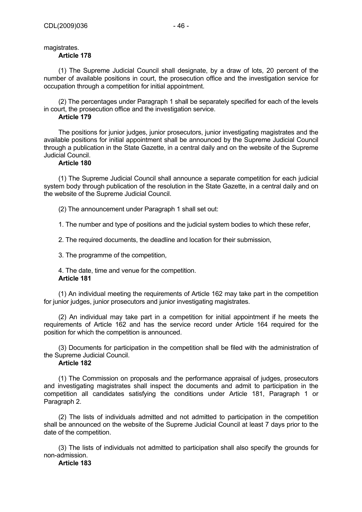# magistrates.

# **Article 178**

(1) The Supreme Judicial Council shall designate, by a draw of lots, 20 percent of the number of available positions in court, the prosecution office and the investigation service for occupation through a competition for initial appointment.

(2) The percentages under Paragraph 1 shall be separately specified for each of the levels in court, the prosecution office and the investigation service.

# **Article 179**

The positions for junior judges, junior prosecutors, junior investigating magistrates and the available positions for initial appointment shall be announced by the Supreme Judicial Council through a publication in the State Gazette, in a central daily and on the website of the Supreme Judicial Council.

# **Article 180**

(1) The Supreme Judicial Council shall announce a separate competition for each judicial system body through publication of the resolution in the State Gazette, in a central daily and on the website of the Supreme Judicial Council.

(2) The announcement under Paragraph 1 shall set out:

1. The number and type of positions and the judicial system bodies to which these refer,

2. The required documents, the deadline and location for their submission,

3. The programme of the competition,

4. The date, time and venue for the competition. **Article 181** 

(1) An individual meeting the requirements of Article 162 may take part in the competition for junior judges, junior prosecutors and junior investigating magistrates.

(2) An individual may take part in a competition for initial appointment if he meets the requirements of Article 162 and has the service record under Article 164 required for the position for which the competition is announced.

(3) Documents for participation in the competition shall be filed with the administration of the Supreme Judicial Council.

# **Article 182**

(1) The Commission on proposals and the performance appraisal of judges, prosecutors and investigating magistrates shall inspect the documents and admit to participation in the competition all candidates satisfying the conditions under Article 181, Paragraph 1 or Paragraph 2.

(2) The lists of individuals admitted and not admitted to participation in the competition shall be announced on the website of the Supreme Judicial Council at least 7 days prior to the date of the competition.

(3) The lists of individuals not admitted to participation shall also specify the grounds for non-admission.

**Article 183**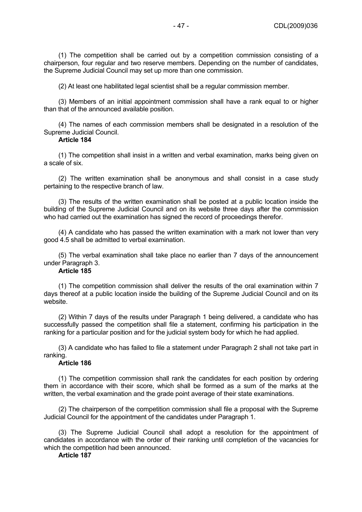(1) The competition shall be carried out by a competition commission consisting of a chairperson, four regular and two reserve members. Depending on the number of candidates, the Supreme Judicial Council may set up more than one commission.

(2) At least one habilitated legal scientist shall be a regular commission member.

(3) Members of an initial appointment commission shall have a rank equal to or higher than that of the announced available position.

(4) The names of each commission members shall be designated in a resolution of the Supreme Judicial Council.

## **Article 184**

(1) The competition shall insist in a written and verbal examination, marks being given on a scale of six.

(2) The written examination shall be anonymous and shall consist in a case study pertaining to the respective branch of law.

(3) The results of the written examination shall be posted at a public location inside the building of the Supreme Judicial Council and on its website three days after the commission who had carried out the examination has signed the record of proceedings therefor.

(4) A candidate who has passed the written examination with a mark not lower than very good 4.5 shall be admitted to verbal examination.

(5) The verbal examination shall take place no earlier than 7 days of the announcement under Paragraph 3.

# **Article 185**

(1) The competition commission shall deliver the results of the oral examination within 7 days thereof at a public location inside the building of the Supreme Judicial Council and on its website.

(2) Within 7 days of the results under Paragraph 1 being delivered, a candidate who has successfully passed the competition shall file a statement, confirming his participation in the ranking for a particular position and for the judicial system body for which he had applied.

(3) A candidate who has failed to file a statement under Paragraph 2 shall not take part in ranking.

# **Article 186**

(1) The competition commission shall rank the candidates for each position by ordering them in accordance with their score, which shall be formed as a sum of the marks at the written, the verbal examination and the grade point average of their state examinations.

(2) The chairperson of the competition commission shall file a proposal with the Supreme Judicial Council for the appointment of the candidates under Paragraph 1.

(3) The Supreme Judicial Council shall adopt a resolution for the appointment of candidates in accordance with the order of their ranking until completion of the vacancies for which the competition had been announced.

# **Article 187**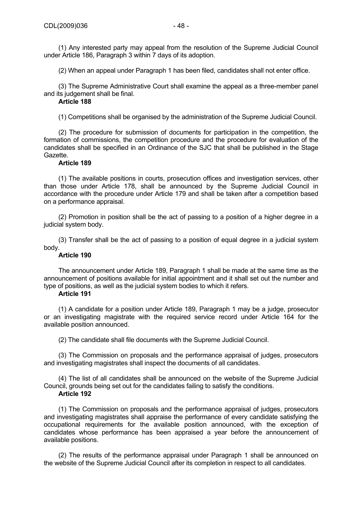(2) When an appeal under Paragraph 1 has been filed, candidates shall not enter office.

(3) The Supreme Administrative Court shall examine the appeal as a three-member panel and its judgement shall be final.

# **Article 188**

(1) Competitions shall be organised by the administration of the Supreme Judicial Council.

(2) The procedure for submission of documents for participation in the competition, the formation of commissions, the competition procedure and the procedure for evaluation of the candidates shall be specified in an Ordinance of the SJC that shall be published in the Stage Gazette.

# **Article 189**

(1) The available positions in courts, prosecution offices and investigation services, other than those under Article 178, shall be announced by the Supreme Judicial Council in accordance with the procedure under Article 179 and shall be taken after a competition based on a performance appraisal.

(2) Promotion in position shall be the act of passing to a position of a higher degree in a judicial system body.

(3) Transfer shall be the act of passing to a position of equal degree in a judicial system body.

# **Article 190**

The announcement under Article 189, Paragraph 1 shall be made at the same time as the announcement of positions available for initial appointment and it shall set out the number and type of positions, as well as the judicial system bodies to which it refers.

## **Article 191**

(1) A candidate for a position under Article 189, Paragraph 1 may be a judge, prosecutor or an investigating magistrate with the required service record under Article 164 for the available position announced.

(2) The candidate shall file documents with the Supreme Judicial Council.

(3) The Commission on proposals and the performance appraisal of judges, prosecutors and investigating magistrates shall inspect the documents of all candidates.

(4) The list of all candidates shall be announced on the website of the Supreme Judicial Council, grounds being set out for the candidates failing to satisfy the conditions.

## **Article 192**

(1) The Commission on proposals and the performance appraisal of judges, prosecutors and investigating magistrates shall appraise the performance of every candidate satisfying the occupational requirements for the available position announced, with the exception of candidates whose performance has been appraised a year before the announcement of available positions.

(2) The results of the performance appraisal under Paragraph 1 shall be announced on the website of the Supreme Judicial Council after its completion in respect to all candidates.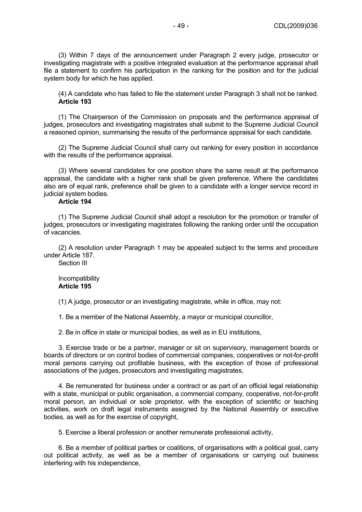(3) Within 7 days of the announcement under Paragraph 2 every judge, prosecutor or investigating magistrate with a positive integrated evaluation at the performance appraisal shall file a statement to confirm his participation in the ranking for the position and for the judicial system body for which he has applied.

(4) A candidate who has failed to file the statement under Paragraph 3 shall not be ranked. **Article 193** 

(1) The Chairperson of the Commission on proposals and the performance appraisal of judges, prosecutors and investigating magistrates shall submit to the Supreme Judicial Council a reasoned opinion, summarising the results of the performance appraisal for each candidate.

(2) The Supreme Judicial Council shall carry out ranking for every position in accordance with the results of the performance appraisal.

(3) Where several candidates for one position share the same result at the performance appraisal, the candidate with a higher rank shall be given preference. Where the candidates also are of equal rank, preference shall be given to a candidate with a longer service record in judicial system bodies.

# **Article 194**

(1) The Supreme Judicial Council shall adopt a resolution for the promotion or transfer of judges, prosecutors or investigating magistrates following the ranking order until the occupation of vacancies.

(2) A resolution under Paragraph 1 may be appealed subject to the terms and procedure under Article 187.

Section III

Incompatibility **Article 195** 

(1) A judge, prosecutor or an investigating magistrate, while in office, may not:

1. Be a member of the National Assembly, a mayor or municipal councillor,

2. Be in office in state or municipal bodies, as well as in EU institutions,

3. Exercise trade or be a partner, manager or sit on supervisory, management boards or boards of directors or on control bodies of commercial companies, cooperatives or not-for-profit moral persons carrying out profitable business, with the exception of those of professional associations of the judges, prosecutors and investigating magistrates,

4. Be remunerated for business under a contract or as part of an official legal relationship with a state, municipal or public organisation, a commercial company, cooperative, not-for-profit moral person, an individual or sole proprietor, with the exception of scientific or teaching activities, work on draft legal instruments assigned by the National Assembly or executive bodies, as well as for the exercise of copyright,

5. Exercise a liberal profession or another remunerate professional activity,

6. Be a member of political parties or coalitions, of organisations with a political goal, carry out political activity, as well as be a member of organisations or carrying out business interfering with his independence,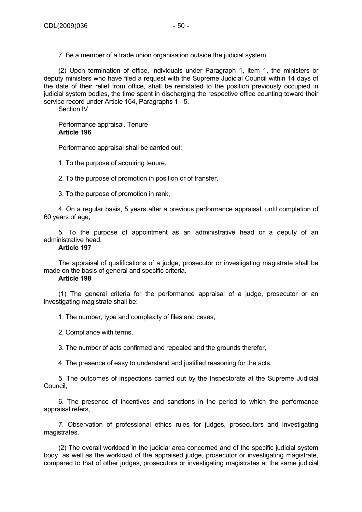7. Be a member of a trade union organisation outside the judicial system.

(2) Upon termination of office, individuals under Paragraph 1, item 1, the ministers or deputy ministers who have filed a request with the Supreme Judicial Council within 14 days of the date of their relief from office, shall be reinstated to the position previously occupied in judicial system bodies, the time spent in discharging the respective office counting toward their service record under Article 164, Paragraphs 1 - 5.

Section IV

Performance appraisal. Tenure **Article 196** 

Performance appraisal shall be carried out:

1. To the purpose of acquiring tenure,

2. To the purpose of promotion in position or of transfer,

3. To the purpose of promotion in rank,

4. On a regular basis, 5 years after a previous performance appraisal, until completion of 60 years of age,

5. To the purpose of appointment as an administrative head or a deputy of an administrative head.

# **Article 197**

The appraisal of qualifications of a judge, prosecutor or investigating magistrate shall be made on the basis of general and specific criteria.

# **Article 198**

(1) The general criteria for the performance appraisal of a judge, prosecutor or an investigating magistrate shall be:

1. The number, type and complexity of files and cases,

2. Compliance with terms,

3. The number of acts confirmed and repealed and the grounds therefor,

4. The presence of easy to understand and justified reasoning for the acts,

5. The outcomes of inspections carried out by the Inspectorate at the Supreme Judicial Council,

6. The presence of incentives and sanctions in the period to which the performance appraisal refers,

7. Observation of professional ethics rules for judges, prosecutors and investigating magistrates.

(2) The overall workload in the judicial area concerned and of the specific judicial system body, as well as the workload of the appraised judge, prosecutor or investigating magistrate, compared to that of other judges, prosecutors or investigating magistrates at the same judicial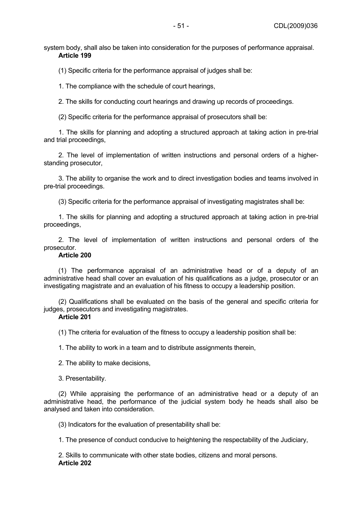system body, shall also be taken into consideration for the purposes of performance appraisal. **Article 199** 

(1) Specific criteria for the performance appraisal of judges shall be:

1. The compliance with the schedule of court hearings,

2. The skills for conducting court hearings and drawing up records of proceedings.

(2) Specific criteria for the performance appraisal of prosecutors shall be:

1. The skills for planning and adopting a structured approach at taking action in pre-trial and trial proceedings,

2. The level of implementation of written instructions and personal orders of a higherstanding prosecutor,

3. The ability to organise the work and to direct investigation bodies and teams involved in pre-trial proceedings.

(3) Specific criteria for the performance appraisal of investigating magistrates shall be:

1. The skills for planning and adopting a structured approach at taking action in pre-trial proceedings,

2. The level of implementation of written instructions and personal orders of the prosecutor.

# **Article 200**

(1) The performance appraisal of an administrative head or of a deputy of an administrative head shall cover an evaluation of his qualifications as a judge, prosecutor or an investigating magistrate and an evaluation of his fitness to occupy a leadership position.

(2) Qualifications shall be evaluated on the basis of the general and specific criteria for judges, prosecutors and investigating magistrates.

# **Article 201**

(1) The criteria for evaluation of the fitness to occupy a leadership position shall be:

1. The ability to work in a team and to distribute assignments therein,

2. The ability to make decisions,

3. Presentability.

(2) While appraising the performance of an administrative head or a deputy of an administrative head, the performance of the judicial system body he heads shall also be analysed and taken into consideration.

(3) Indicators for the evaluation of presentability shall be:

1. The presence of conduct conducive to heightening the respectability of the Judiciary,

2. Skills to communicate with other state bodies, citizens and moral persons. **Article 202**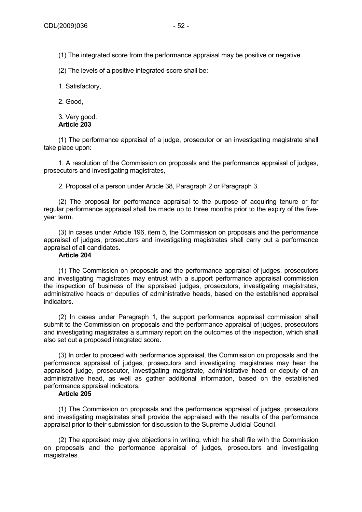(1) The integrated score from the performance appraisal may be positive or negative.

(2) The levels of a positive integrated score shall be:

1. Satisfactory,

2. Good,

3. Very good. **Article 203** 

(1) The performance appraisal of a judge, prosecutor or an investigating magistrate shall take place upon:

1. A resolution of the Commission on proposals and the performance appraisal of judges, prosecutors and investigating magistrates,

2. Proposal of a person under Article 38, Paragraph 2 or Paragraph 3.

(2) The proposal for performance appraisal to the purpose of acquiring tenure or for regular performance appraisal shall be made up to three months prior to the expiry of the fiveyear term.

(3) In cases under Article 196, item 5, the Commission on proposals and the performance appraisal of judges, prosecutors and investigating magistrates shall carry out a performance appraisal of all candidates.

## **Article 204**

(1) The Commission on proposals and the performance appraisal of judges, prosecutors and investigating magistrates may entrust with a support performance appraisal commission the inspection of business of the appraised judges, prosecutors, investigating magistrates, administrative heads or deputies of administrative heads, based on the established appraisal indicators.

(2) In cases under Paragraph 1, the support performance appraisal commission shall submit to the Commission on proposals and the performance appraisal of judges, prosecutors and investigating magistrates a summary report on the outcomes of the inspection, which shall also set out a proposed integrated score.

(3) In order to proceed with performance appraisal, the Commission on proposals and the performance appraisal of judges, prosecutors and investigating magistrates may hear the appraised judge, prosecutor, investigating magistrate, administrative head or deputy of an administrative head, as well as gather additional information, based on the established performance appraisal indicators.

## **Article 205**

(1) The Commission on proposals and the performance appraisal of judges, prosecutors and investigating magistrates shall provide the appraised with the results of the performance appraisal prior to their submission for discussion to the Supreme Judicial Council.

(2) The appraised may give objections in writing, which he shall file with the Commission on proposals and the performance appraisal of judges, prosecutors and investigating magistrates.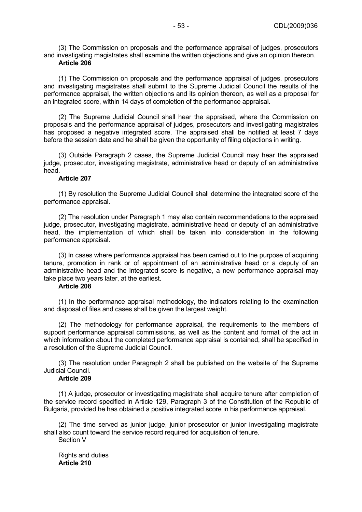(3) The Commission on proposals and the performance appraisal of judges, prosecutors and investigating magistrates shall examine the written objections and give an opinion thereon. **Article 206** 

(1) The Commission on proposals and the performance appraisal of judges, prosecutors and investigating magistrates shall submit to the Supreme Judicial Council the results of the performance appraisal, the written objections and its opinion thereon, as well as a proposal for an integrated score, within 14 days of completion of the performance appraisal.

(2) The Supreme Judicial Council shall hear the appraised, where the Commission on proposals and the performance appraisal of judges, prosecutors and investigating magistrates has proposed a negative integrated score. The appraised shall be notified at least 7 days before the session date and he shall be given the opportunity of filing objections in writing.

(3) Outside Paragraph 2 cases, the Supreme Judicial Council may hear the appraised judge, prosecutor, investigating magistrate, administrative head or deputy of an administrative head.

#### **Article 207**

(1) By resolution the Supreme Judicial Council shall determine the integrated score of the performance appraisal.

(2) The resolution under Paragraph 1 may also contain recommendations to the appraised judge, prosecutor, investigating magistrate, administrative head or deputy of an administrative head, the implementation of which shall be taken into consideration in the following performance appraisal.

(3) In cases where performance appraisal has been carried out to the purpose of acquiring tenure, promotion in rank or of appointment of an administrative head or a deputy of an administrative head and the integrated score is negative, a new performance appraisal may take place two years later, at the earliest.

# **Article 208**

(1) In the performance appraisal methodology, the indicators relating to the examination and disposal of files and cases shall be given the largest weight.

(2) The methodology for performance appraisal, the requirements to the members of support performance appraisal commissions, as well as the content and format of the act in which information about the completed performance appraisal is contained, shall be specified in a resolution of the Supreme Judicial Council.

(3) The resolution under Paragraph 2 shall be published on the website of the Supreme Judicial Council.

# **Article 209**

(1) A judge, prosecutor or investigating magistrate shall acquire tenure after completion of the service record specified in Article 129, Paragraph 3 of the Constitution of the Republic of Bulgaria, provided he has obtained a positive integrated score in his performance appraisal.

(2) The time served as junior judge, junior prosecutor or junior investigating magistrate shall also count toward the service record required for acquisition of tenure. Section V

Rights and duties **Article 210**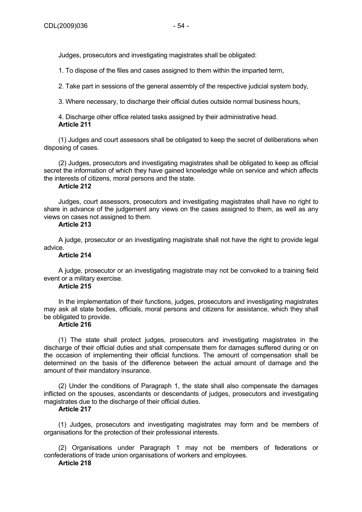Judges, prosecutors and investigating magistrates shall be obligated:

1. To dispose of the files and cases assigned to them within the imparted term,

2. Take part in sessions of the general assembly of the respective judicial system body,

3. Where necessary, to discharge their official duties outside normal business hours,

4. Discharge other office related tasks assigned by their administrative head. **Article 211** 

(1) Judges and court assessors shall be obligated to keep the secret of deliberations when disposing of cases.

(2) Judges, prosecutors and investigating magistrates shall be obligated to keep as official secret the information of which they have gained knowledge while on service and which affects the interests of citizens, moral persons and the state.

# **Article 212**

Judges, court assessors, prosecutors and investigating magistrates shall have no right to share in advance of the judgement any views on the cases assigned to them, as well as any views on cases not assigned to them.

# **Article 213**

A judge, prosecutor or an investigating magistrate shall not have the right to provide legal advice.

#### **Article 214**

A judge, prosecutor or an investigating magistrate may not be convoked to a training field event or a military exercise.

# **Article 215**

In the implementation of their functions, judges, prosecutors and investigating magistrates may ask all state bodies, officials, moral persons and citizens for assistance, which they shall be obligated to provide.

# **Article 216**

(1) The state shall protect judges, prosecutors and investigating magistrates in the discharge of their official duties and shall compensate them for damages suffered during or on the occasion of implementing their official functions. The amount of compensation shall be determined on the basis of the difference between the actual amount of damage and the amount of their mandatory insurance.

(2) Under the conditions of Paragraph 1, the state shall also compensate the damages inflicted on the spouses, ascendants or descendants of judges, prosecutors and investigating magistrates due to the discharge of their official duties.

# **Article 217**

(1) Judges, prosecutors and investigating magistrates may form and be members of organisations for the protection of their professional interests.

(2) Organisations under Paragraph 1 may not be members of federations or confederations of trade union organisations of workers and employees.

# **Article 218**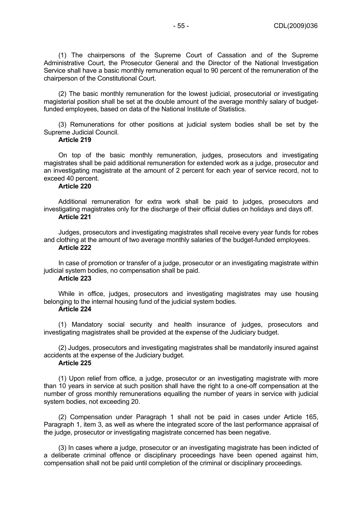(1) The chairpersons of the Supreme Court of Cassation and of the Supreme Administrative Court, the Prosecutor General and the Director of the National Investigation Service shall have a basic monthly remuneration equal to 90 percent of the remuneration of the chairperson of the Constitutional Court.

(2) The basic monthly remuneration for the lowest judicial, prosecutorial or investigating magisterial position shall be set at the double amount of the average monthly salary of budgetfunded employees, based on data of the National Institute of Statistics.

(3) Remunerations for other positions at judicial system bodies shall be set by the Supreme Judicial Council.

# **Article 219**

On top of the basic monthly remuneration, judges, prosecutors and investigating magistrates shall be paid additional remuneration for extended work as a judge, prosecutor and an investigating magistrate at the amount of 2 percent for each year of service record, not to exceed 40 percent.

# **Article 220**

Additional remuneration for extra work shall be paid to judges, prosecutors and investigating magistrates only for the discharge of their official duties on holidays and days off. **Article 221** 

# Judges, prosecutors and investigating magistrates shall receive every year funds for robes and clothing at the amount of two average monthly salaries of the budget-funded employees.

#### **Article 222**

In case of promotion or transfer of a judge, prosecutor or an investigating magistrate within judicial system bodies, no compensation shall be paid.

#### **Article 223**

While in office, judges, prosecutors and investigating magistrates may use housing belonging to the internal housing fund of the judicial system bodies.

#### **Article 224**

(1) Mandatory social security and health insurance of judges, prosecutors and investigating magistrates shall be provided at the expense of the Judiciary budget.

(2) Judges, prosecutors and investigating magistrates shall be mandatorily insured against accidents at the expense of the Judiciary budget.

## **Article 225**

(1) Upon relief from office, a judge, prosecutor or an investigating magistrate with more than 10 years in service at such position shall have the right to a one-off compensation at the number of gross monthly remunerations equalling the number of years in service with judicial system bodies, not exceeding 20.

(2) Compensation under Paragraph 1 shall not be paid in cases under Article 165, Paragraph 1, item 3, as well as where the integrated score of the last performance appraisal of the judge, prosecutor or investigating magistrate concerned has been negative.

(3) In cases where a judge, prosecutor or an investigating magistrate has been indicted of a deliberate criminal offence or disciplinary proceedings have been opened against him, compensation shall not be paid until completion of the criminal or disciplinary proceedings.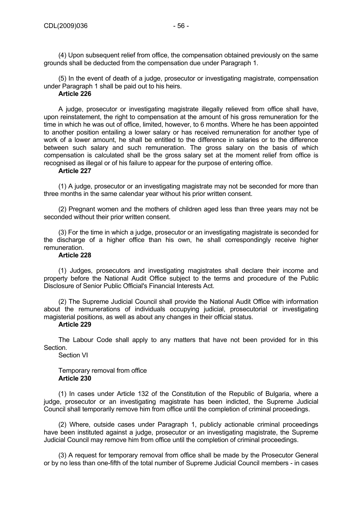(4) Upon subsequent relief from office, the compensation obtained previously on the same grounds shall be deducted from the compensation due under Paragraph 1.

(5) In the event of death of a judge, prosecutor or investigating magistrate, compensation under Paragraph 1 shall be paid out to his heirs.

#### **Article 226**

A judge, prosecutor or investigating magistrate illegally relieved from office shall have, upon reinstatement, the right to compensation at the amount of his gross remuneration for the time in which he was out of office, limited, however, to 6 months. Where he has been appointed to another position entailing a lower salary or has received remuneration for another type of work of a lower amount, he shall be entitled to the difference in salaries or to the difference between such salary and such remuneration. The gross salary on the basis of which compensation is calculated shall be the gross salary set at the moment relief from office is recognised as illegal or of his failure to appear for the purpose of entering office.

### **Article 227**

(1) A judge, prosecutor or an investigating magistrate may not be seconded for more than three months in the same calendar year without his prior written consent.

(2) Pregnant women and the mothers of children aged less than three years may not be seconded without their prior written consent.

(3) For the time in which a judge, prosecutor or an investigating magistrate is seconded for the discharge of a higher office than his own, he shall correspondingly receive higher remuneration.

## **Article 228**

(1) Judges, prosecutors and investigating magistrates shall declare their income and property before the National Audit Office subject to the terms and procedure of the Public Disclosure of Senior Public Official's Financial Interests Act.

(2) The Supreme Judicial Council shall provide the National Audit Office with information about the remunerations of individuals occupying judicial, prosecutorial or investigating magisterial positions, as well as about any changes in their official status.

# **Article 229**

The Labour Code shall apply to any matters that have not been provided for in this Section.

Section VI

Temporary removal from office **Article 230** 

(1) In cases under Article 132 of the Constitution of the Republic of Bulgaria, where a judge, prosecutor or an investigating magistrate has been indicted, the Supreme Judicial Council shall temporarily remove him from office until the completion of criminal proceedings.

(2) Where, outside cases under Paragraph 1, publicly actionable criminal proceedings have been instituted against a judge, prosecutor or an investigating magistrate, the Supreme Judicial Council may remove him from office until the completion of criminal proceedings.

(3) A request for temporary removal from office shall be made by the Prosecutor General or by no less than one-fifth of the total number of Supreme Judicial Council members - in cases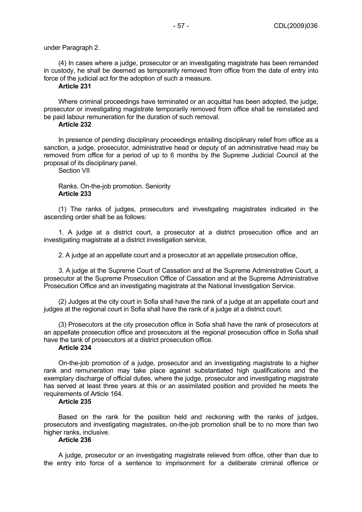#### under Paragraph 2.

(4) In cases where a judge, prosecutor or an investigating magistrate has been remanded in custody, he shall be deemed as temporarily removed from office from the date of entry into force of the judicial act for the adoption of such a measure.

# **Article 231**

Where criminal proceedings have terminated or an acquittal has been adopted, the judge, prosecutor or investigating magistrate temporarily removed from office shall be reinstated and be paid labour remuneration for the duration of such removal.

## **Article 232**

In presence of pending disciplinary proceedings entailing disciplinary relief from office as a sanction, a judge, prosecutor, administrative head or deputy of an administrative head may be removed from office for a period of up to 6 months by the Supreme Judicial Council at the proposal of its disciplinary panel.

Section VII

## Ranks. On-the-job promotion. Seniority **Article 233**

(1) The ranks of judges, prosecutors and investigating magistrates indicated in the ascending order shall be as follows:

1. A judge at a district court, a prosecutor at a district prosecution office and an investigating magistrate at a district investigation service,

2. A judge at an appellate court and a prosecutor at an appellate prosecution office,

3. A judge at the Supreme Court of Cassation and at the Supreme Administrative Court, a prosecutor at the Supreme Prosecution Office of Cassation and at the Supreme Administrative Prosecution Office and an investigating magistrate at the National Investigation Service.

(2) Judges at the city court in Sofia shall have the rank of a judge at an appellate court and judges at the regional court in Sofia shall have the rank of a judge at a district court.

(3) Prosecutors at the city prosecution office in Sofia shall have the rank of prosecutors at an appellate prosecution office and prosecutors at the regional prosecution office in Sofia shall have the tank of prosecutors at a district prosecution office.

#### **Article 234**

On-the-job promotion of a judge, prosecutor and an investigating magistrate to a higher rank and remuneration may take place against substantiated high qualifications and the exemplary discharge of official duties, where the judge, prosecutor and investigating magistrate has served at least three years at this or an assimilated position and provided he meets the requirements of Article 164.

## **Article 235**

Based on the rank for the position held and reckoning with the ranks of judges, prosecutors and investigating magistrates, on-the-job promotion shall be to no more than two higher ranks, inclusive.

# **Article 236**

A judge, prosecutor or an investigating magistrate relieved from office, other than due to the entry into force of a sentence to imprisonment for a deliberate criminal offence or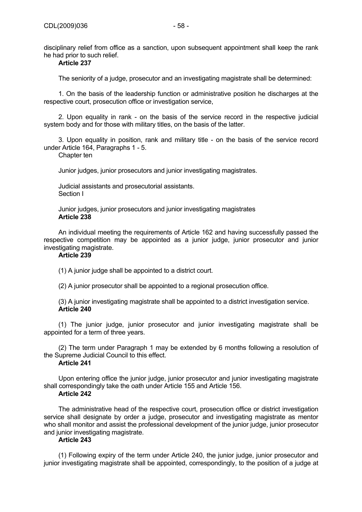disciplinary relief from office as a sanction, upon subsequent appointment shall keep the rank he had prior to such relief.

# **Article 237**

The seniority of a judge, prosecutor and an investigating magistrate shall be determined:

1. On the basis of the leadership function or administrative position he discharges at the respective court, prosecution office or investigation service,

2. Upon equality in rank - on the basis of the service record in the respective judicial system body and for those with military titles, on the basis of the latter.

3. Upon equality in position, rank and military title - on the basis of the service record under Article 164, Paragraphs 1 - 5.

Chapter ten

Junior judges, junior prosecutors and junior investigating magistrates.

Judicial assistants and prosecutorial assistants. Section I

Junior judges, junior prosecutors and junior investigating magistrates **Article 238** 

An individual meeting the requirements of Article 162 and having successfully passed the respective competition may be appointed as a junior judge, junior prosecutor and junior investigating magistrate.

## **Article 239**

(1) A junior judge shall be appointed to a district court.

(2) A junior prosecutor shall be appointed to a regional prosecution office.

(3) A junior investigating magistrate shall be appointed to a district investigation service. **Article 240** 

(1) The junior judge, junior prosecutor and junior investigating magistrate shall be appointed for a term of three years.

(2) The term under Paragraph 1 may be extended by 6 months following a resolution of the Supreme Judicial Council to this effect.

# **Article 241**

Upon entering office the junior judge, junior prosecutor and junior investigating magistrate shall correspondingly take the oath under Article 155 and Article 156.

#### **Article 242**

The administrative head of the respective court, prosecution office or district investigation service shall designate by order a judge, prosecutor and investigating magistrate as mentor who shall monitor and assist the professional development of the junior judge, junior prosecutor and junior investigating magistrate.

# **Article 243**

(1) Following expiry of the term under Article 240, the junior judge, junior prosecutor and junior investigating magistrate shall be appointed, correspondingly, to the position of a judge at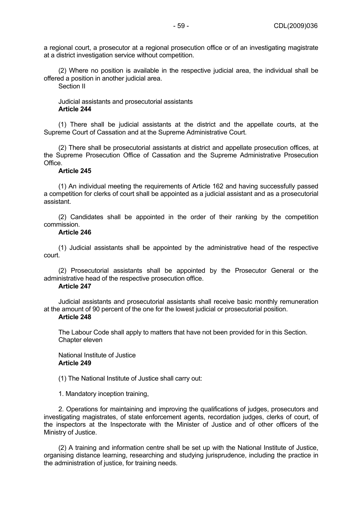a regional court, a prosecutor at a regional prosecution office or of an investigating magistrate at a district investigation service without competition.

(2) Where no position is available in the respective judicial area, the individual shall be offered a position in another judicial area.

Section II

# Judicial assistants and prosecutorial assistants **Article 244**

(1) There shall be judicial assistants at the district and the appellate courts, at the Supreme Court of Cassation and at the Supreme Administrative Court.

(2) There shall be prosecutorial assistants at district and appellate prosecution offices, at the Supreme Prosecution Office of Cassation and the Supreme Administrative Prosecution Office.

### **Article 245**

(1) An individual meeting the requirements of Article 162 and having successfully passed a competition for clerks of court shall be appointed as a judicial assistant and as a prosecutorial assistant.

(2) Candidates shall be appointed in the order of their ranking by the competition commission.

## **Article 246**

(1) Judicial assistants shall be appointed by the administrative head of the respective court.

(2) Prosecutorial assistants shall be appointed by the Prosecutor General or the administrative head of the respective prosecution office.

## **Article 247**

Judicial assistants and prosecutorial assistants shall receive basic monthly remuneration at the amount of 90 percent of the one for the lowest judicial or prosecutorial position.

# **Article 248**

The Labour Code shall apply to matters that have not been provided for in this Section. Chapter eleven

## National Institute of Justice **Article 249**

(1) The National Institute of Justice shall carry out:

1. Mandatory inception training,

2. Operations for maintaining and improving the qualifications of judges, prosecutors and investigating magistrates, of state enforcement agents, recordation judges, clerks of court, of the inspectors at the Inspectorate with the Minister of Justice and of other officers of the Ministry of Justice.

(2) A training and information centre shall be set up with the National Institute of Justice, organising distance learning, researching and studying jurisprudence, including the practice in the administration of justice, for training needs.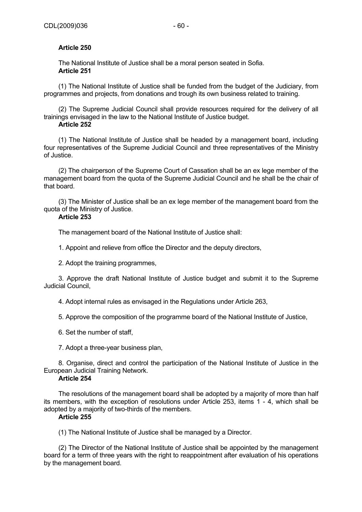# **Article 250**

The National Institute of Justice shall be a moral person seated in Sofia. **Article 251** 

(1) The National Institute of Justice shall be funded from the budget of the Judiciary, from programmes and projects, from donations and trough its own business related to training.

(2) The Supreme Judicial Council shall provide resources required for the delivery of all trainings envisaged in the law to the National Institute of Justice budget. **Article 252** 

(1) The National Institute of Justice shall be headed by a management board, including four representatives of the Supreme Judicial Council and three representatives of the Ministry of Justice.

(2) The chairperson of the Supreme Court of Cassation shall be an ex lege member of the management board from the quota of the Supreme Judicial Council and he shall be the chair of that board.

(3) The Minister of Justice shall be an ex lege member of the management board from the quota of the Ministry of Justice.

# **Article 253**

The management board of the National Institute of Justice shall:

1. Appoint and relieve from office the Director and the deputy directors,

2. Adopt the training programmes,

3. Approve the draft National Institute of Justice budget and submit it to the Supreme Judicial Council,

4. Adopt internal rules as envisaged in the Regulations under Article 263,

5. Approve the composition of the programme board of the National Institute of Justice,

6. Set the number of staff,

7. Adopt a three-year business plan,

8. Organise, direct and control the participation of the National Institute of Justice in the European Judicial Training Network.

# **Article 254**

The resolutions of the management board shall be adopted by a majority of more than half its members, with the exception of resolutions under Article 253, items 1 - 4, which shall be adopted by a majority of two-thirds of the members.

## **Article 255**

(1) The National Institute of Justice shall be managed by a Director.

(2) The Director of the National Institute of Justice shall be appointed by the management board for a term of three years with the right to reappointment after evaluation of his operations by the management board.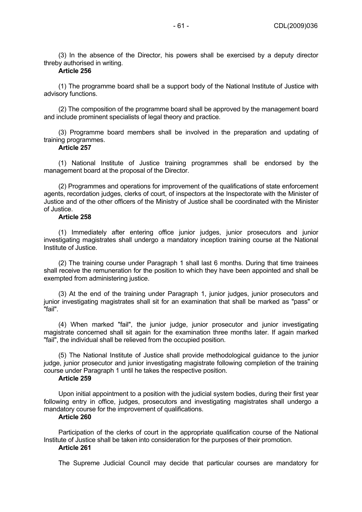(3) In the absence of the Director, his powers shall be exercised by a deputy director threby authorised in writing.

# **Article 256**

(1) The programme board shall be a support body of the National Institute of Justice with advisory functions.

(2) The composition of the programme board shall be approved by the management board and include prominent specialists of legal theory and practice.

(3) Programme board members shall be involved in the preparation and updating of training programmes.

#### **Article 257**

(1) National Institute of Justice training programmes shall be endorsed by the management board at the proposal of the Director.

(2) Programmes and operations for improvement of the qualifications of state enforcement agents, recordation judges, clerks of court, of inspectors at the Inspectorate with the Minister of Justice and of the other officers of the Ministry of Justice shall be coordinated with the Minister of Justice.

## **Article 258**

(1) Immediately after entering office junior judges, junior prosecutors and junior investigating magistrates shall undergo a mandatory inception training course at the National Institute of Justice.

(2) The training course under Paragraph 1 shall last 6 months. During that time trainees shall receive the remuneration for the position to which they have been appointed and shall be exempted from administering justice.

(3) At the end of the training under Paragraph 1, junior judges, junior prosecutors and junior investigating magistrates shall sit for an examination that shall be marked as "pass" or "fail".

(4) When marked "fail", the junior judge, junior prosecutor and junior investigating magistrate concerned shall sit again for the examination three months later. If again marked "fail", the individual shall be relieved from the occupied position.

(5) The National Institute of Justice shall provide methodological guidance to the junior judge, junior prosecutor and junior investigating magistrate following completion of the training course under Paragraph 1 until he takes the respective position.

#### **Article 259**

Upon initial appointment to a position with the judicial system bodies, during their first year following entry in office, judges, prosecutors and investigating magistrates shall undergo a mandatory course for the improvement of qualifications.

# **Article 260**

Participation of the clerks of court in the appropriate qualification course of the National Institute of Justice shall be taken into consideration for the purposes of their promotion.

#### **Article 261**

The Supreme Judicial Council may decide that particular courses are mandatory for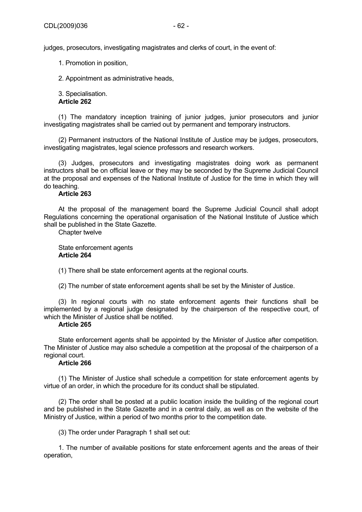judges, prosecutors, investigating magistrates and clerks of court, in the event of:

1. Promotion in position,

2. Appointment as administrative heads,

3. Specialisation.

# **Article 262**

(1) The mandatory inception training of junior judges, junior prosecutors and junior investigating magistrates shall be carried out by permanent and temporary instructors.

(2) Permanent instructors of the National Institute of Justice may be judges, prosecutors, investigating magistrates, legal science professors and research workers.

(3) Judges, prosecutors and investigating magistrates doing work as permanent instructors shall be on official leave or they may be seconded by the Supreme Judicial Council at the proposal and expenses of the National Institute of Justice for the time in which they will do teaching.

## **Article 263**

At the proposal of the management board the Supreme Judicial Council shall adopt Regulations concerning the operational organisation of the National Institute of Justice which shall be published in the State Gazette.

Chapter twelve

State enforcement agents **Article 264** 

(1) There shall be state enforcement agents at the regional courts.

(2) The number of state enforcement agents shall be set by the Minister of Justice.

(3) In regional courts with no state enforcement agents their functions shall be implemented by a regional judge designated by the chairperson of the respective court, of which the Minister of Justice shall be notified.

# **Article 265**

State enforcement agents shall be appointed by the Minister of Justice after competition. The Minister of Justice may also schedule a competition at the proposal of the chairperson of a regional court.

# **Article 266**

(1) The Minister of Justice shall schedule a competition for state enforcement agents by virtue of an order, in which the procedure for its conduct shall be stipulated.

(2) The order shall be posted at a public location inside the building of the regional court and be published in the State Gazette and in a central daily, as well as on the website of the Ministry of Justice, within a period of two months prior to the competition date.

(3) The order under Paragraph 1 shall set out:

1. The number of available positions for state enforcement agents and the areas of their operation,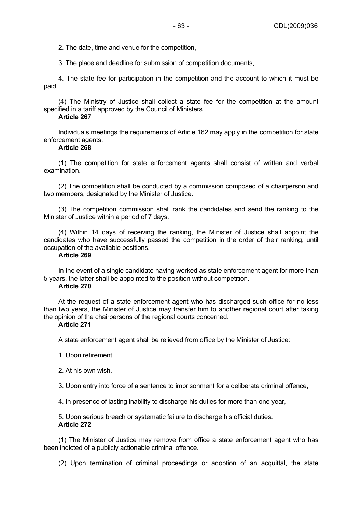2. The date, time and venue for the competition,

3. The place and deadline for submission of competition documents,

4. The state fee for participation in the competition and the account to which it must be paid.

(4) The Ministry of Justice shall collect a state fee for the competition at the amount specified in a tariff approved by the Council of Ministers.

# **Article 267**

Individuals meetings the requirements of Article 162 may apply in the competition for state enforcement agents.

## **Article 268**

(1) The competition for state enforcement agents shall consist of written and verbal examination.

(2) The competition shall be conducted by a commission composed of a chairperson and two members, designated by the Minister of Justice.

(3) The competition commission shall rank the candidates and send the ranking to the Minister of Justice within a period of 7 days.

(4) Within 14 days of receiving the ranking, the Minister of Justice shall appoint the candidates who have successfully passed the competition in the order of their ranking, until occupation of the available positions.

# **Article 269**

In the event of a single candidate having worked as state enforcement agent for more than 5 years, the latter shall be appointed to the position without competition.

## **Article 270**

At the request of a state enforcement agent who has discharged such office for no less than two years, the Minister of Justice may transfer him to another regional court after taking the opinion of the chairpersons of the regional courts concerned.

# **Article 271**

A state enforcement agent shall be relieved from office by the Minister of Justice:

- 1. Upon retirement,
- 2. At his own wish,
- 3. Upon entry into force of a sentence to imprisonment for a deliberate criminal offence,
- 4. In presence of lasting inability to discharge his duties for more than one year,

5. Upon serious breach or systematic failure to discharge his official duties. **Article 272** 

(1) The Minister of Justice may remove from office a state enforcement agent who has been indicted of a publicly actionable criminal offence.

(2) Upon termination of criminal proceedings or adoption of an acquittal, the state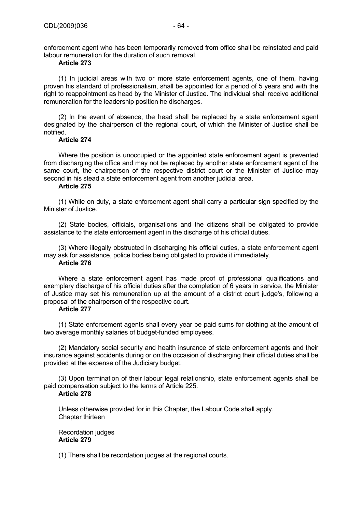# **Article 273**

(1) In judicial areas with two or more state enforcement agents, one of them, having proven his standard of professionalism, shall be appointed for a period of 5 years and with the right to reappointment as head by the Minister of Justice. The individual shall receive additional remuneration for the leadership position he discharges.

(2) In the event of absence, the head shall be replaced by a state enforcement agent designated by the chairperson of the regional court, of which the Minister of Justice shall be notified.

## **Article 274**

Where the position is unoccupied or the appointed state enforcement agent is prevented from discharging the office and may not be replaced by another state enforcement agent of the same court, the chairperson of the respective district court or the Minister of Justice may second in his stead a state enforcement agent from another judicial area.

# **Article 275**

(1) While on duty, a state enforcement agent shall carry a particular sign specified by the Minister of Justice.

(2) State bodies, officials, organisations and the citizens shall be obligated to provide assistance to the state enforcement agent in the discharge of his official duties.

(3) Where illegally obstructed in discharging his official duties, a state enforcement agent may ask for assistance, police bodies being obligated to provide it immediately.

# **Article 276**

Where a state enforcement agent has made proof of professional qualifications and exemplary discharge of his official duties after the completion of 6 years in service, the Minister of Justice may set his remuneration up at the amount of a district court judge's, following a proposal of the chairperson of the respective court.

## **Article 277**

(1) State enforcement agents shall every year be paid sums for clothing at the amount of two average monthly salaries of budget-funded employees.

(2) Mandatory social security and health insurance of state enforcement agents and their insurance against accidents during or on the occasion of discharging their official duties shall be provided at the expense of the Judiciary budget.

(3) Upon termination of their labour legal relationship, state enforcement agents shall be paid compensation subject to the terms of Article 225.

## **Article 278**

Unless otherwise provided for in this Chapter, the Labour Code shall apply. Chapter thirteen

Recordation judges **Article 279** 

(1) There shall be recordation judges at the regional courts.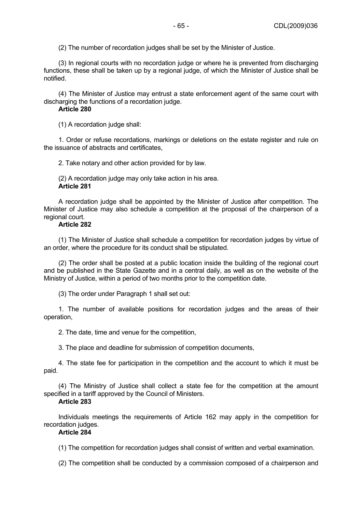(2) The number of recordation judges shall be set by the Minister of Justice.

(3) In regional courts with no recordation judge or where he is prevented from discharging functions, these shall be taken up by a regional judge, of which the Minister of Justice shall be notified.

(4) The Minister of Justice may entrust a state enforcement agent of the same court with discharging the functions of a recordation judge.

## **Article 280**

(1) A recordation judge shall:

1. Order or refuse recordations, markings or deletions on the estate register and rule on the issuance of abstracts and certificates,

2. Take notary and other action provided for by law.

(2) A recordation judge may only take action in his area. **Article 281** 

A recordation judge shall be appointed by the Minister of Justice after competition. The Minister of Justice may also schedule a competition at the proposal of the chairperson of a regional court.

# **Article 282**

(1) The Minister of Justice shall schedule a competition for recordation judges by virtue of an order, where the procedure for its conduct shall be stipulated.

(2) The order shall be posted at a public location inside the building of the regional court and be published in the State Gazette and in a central daily, as well as on the website of the Ministry of Justice, within a period of two months prior to the competition date.

(3) The order under Paragraph 1 shall set out:

1. The number of available positions for recordation judges and the areas of their operation,

2. The date, time and venue for the competition,

3. The place and deadline for submission of competition documents,

4. The state fee for participation in the competition and the account to which it must be paid.

(4) The Ministry of Justice shall collect a state fee for the competition at the amount specified in a tariff approved by the Council of Ministers.

## **Article 283**

Individuals meetings the requirements of Article 162 may apply in the competition for recordation judges.

# **Article 284**

(1) The competition for recordation judges shall consist of written and verbal examination.

(2) The competition shall be conducted by a commission composed of a chairperson and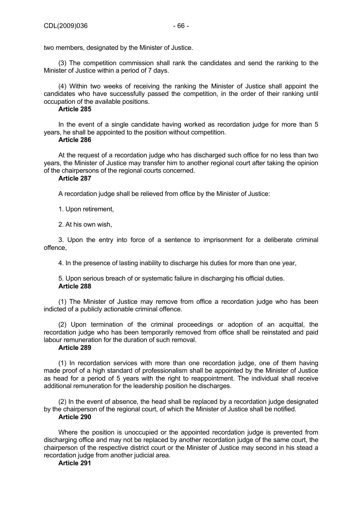two members, designated by the Minister of Justice.

(3) The competition commission shall rank the candidates and send the ranking to the Minister of Justice within a period of 7 days.

(4) Within two weeks of receiving the ranking the Minister of Justice shall appoint the candidates who have successfully passed the competition, in the order of their ranking until occupation of the available positions.

## **Article 285**

In the event of a single candidate having worked as recordation judge for more than 5 years, he shall be appointed to the position without competition.

#### **Article 286**

At the request of a recordation judge who has discharged such office for no less than two years, the Minister of Justice may transfer him to another regional court after taking the opinion of the chairpersons of the regional courts concerned.

## **Article 287**

A recordation judge shall be relieved from office by the Minister of Justice:

1. Upon retirement,

2. At his own wish,

3. Upon the entry into force of a sentence to imprisonment for a deliberate criminal offence,

4. In the presence of lasting inability to discharge his duties for more than one year,

5. Upon serious breach of or systematic failure in discharging his official duties. **Article 288** 

(1) The Minister of Justice may remove from office a recordation judge who has been indicted of a publicly actionable criminal offence.

(2) Upon termination of the criminal proceedings or adoption of an acquittal, the recordation judge who has been temporarily removed from office shall be reinstated and paid labour remuneration for the duration of such removal.

# **Article 289**

(1) In recordation services with more than one recordation judge, one of them having made proof of a high standard of professionalism shall be appointed by the Minister of Justice as head for a period of 5 years with the right to reappointment. The individual shall receive additional remuneration for the leadership position he discharges.

(2) In the event of absence, the head shall be replaced by a recordation judge designated by the chairperson of the regional court, of which the Minister of Justice shall be notified.

# **Article 290**

Where the position is unoccupied or the appointed recordation judge is prevented from discharging office and may not be replaced by another recordation judge of the same court, the chairperson of the respective district court or the Minister of Justice may second in his stead a recordation judge from another judicial area.

## **Article 291**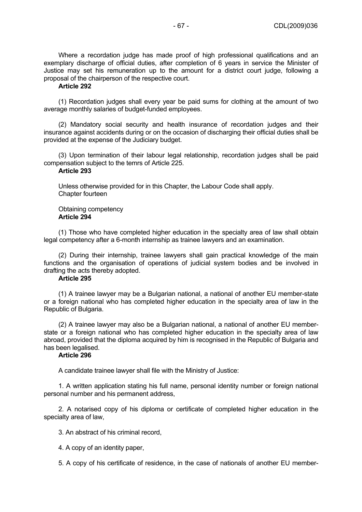Where a recordation judge has made proof of high professional qualifications and an exemplary discharge of official duties, after completion of 6 years in service the Minister of Justice may set his remuneration up to the amount for a district court judge, following a proposal of the chairperson of the respective court.

## **Article 292**

(1) Recordation judges shall every year be paid sums for clothing at the amount of two average monthly salaries of budget-funded employees.

(2) Mandatory social security and health insurance of recordation judges and their insurance against accidents during or on the occasion of discharging their official duties shall be provided at the expense of the Judiciary budget.

(3) Upon termination of their labour legal relationship, recordation judges shall be paid compensation subject to the temrs of Article 225.

# **Article 293**

Unless otherwise provided for in this Chapter, the Labour Code shall apply. Chapter fourteen

#### Obtaining competency **Article 294**

(1) Those who have completed higher education in the specialty area of law shall obtain legal competency after a 6-month internship as trainee lawyers and an examination.

(2) During their internship, trainee lawyers shall gain practical knowledge of the main functions and the organisation of operations of judicial system bodies and be involved in drafting the acts thereby adopted.

# **Article 295**

(1) A trainee lawyer may be a Bulgarian national, a national of another EU member-state or a foreign national who has completed higher education in the specialty area of law in the Republic of Bulgaria.

(2) A trainee lawyer may also be a Bulgarian national, a national of another EU memberstate or a foreign national who has completed higher education in the specialty area of law abroad, provided that the diploma acquired by him is recognised in the Republic of Bulgaria and has been legalised.

# **Article 296**

A candidate trainee lawyer shall file with the Ministry of Justice:

1. A written application stating his full name, personal identity number or foreign national personal number and his permanent address,

2. A notarised copy of his diploma or certificate of completed higher education in the specialty area of law,

3. An abstract of his criminal record,

4. A copy of an identity paper,

5. A copy of his certificate of residence, in the case of nationals of another EU member-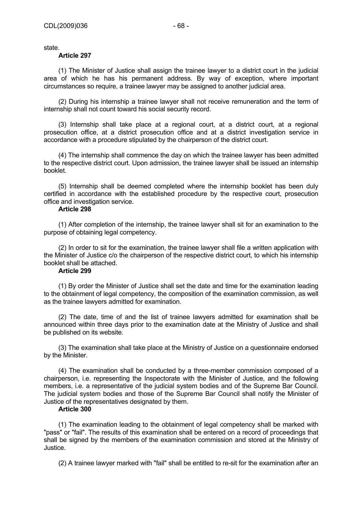state.

# **Article 297**

(1) The Minister of Justice shall assign the trainee lawyer to a district court in the judicial area of which he has his permanent address. By way of exception, where important circumstances so require, a trainee lawyer may be assigned to another judicial area.

(2) During his internship a trainee lawyer shall not receive remuneration and the term of internship shall not count toward his social security record.

(3) Internship shall take place at a regional court, at a district court, at a regional prosecution office, at a district prosecution office and at a district investigation service in accordance with a procedure stipulated by the chairperson of the district court.

(4) The internship shall commence the day on which the trainee lawyer has been admitted to the respective district court. Upon admission, the trainee lawyer shall be issued an internship booklet.

(5) Internship shall be deemed completed where the internship booklet has been duly certified in accordance with the established procedure by the respective court, prosecution office and investigation service.

## **Article 298**

(1) After completion of the internship, the trainee lawyer shall sit for an examination to the purpose of obtaining legal competency.

(2) In order to sit for the examination, the trainee lawyer shall file a written application with the Minister of Justice c/o the chairperson of the respective district court, to which his internship booklet shall be attached.

# **Article 299**

(1) By order the Minister of Justice shall set the date and time for the examination leading to the obtainment of legal competency, the composition of the examination commission, as well as the trainee lawyers admitted for examination.

(2) The date, time of and the list of trainee lawyers admitted for examination shall be announced within three days prior to the examination date at the Ministry of Justice and shall be published on its website.

(3) The examination shall take place at the Ministry of Justice on a questionnaire endorsed by the Minister.

(4) The examination shall be conducted by a three-member commission composed of a chairperson, i.e. representing the Inspectorate with the Minister of Justice, and the following members, i.e. a representative of the judicial system bodies and of the Supreme Bar Council. The judicial system bodies and those of the Supreme Bar Council shall notify the Minister of Justice of the representatives designated by them.

# **Article 300**

(1) The examination leading to the obtainment of legal competency shall be marked with "pass" or "fail". The results of this examination shall be entered on a record of proceedings that shall be signed by the members of the examination commission and stored at the Ministry of Justice.

(2) A trainee lawyer marked with "fail" shall be entitled to re-sit for the examination after an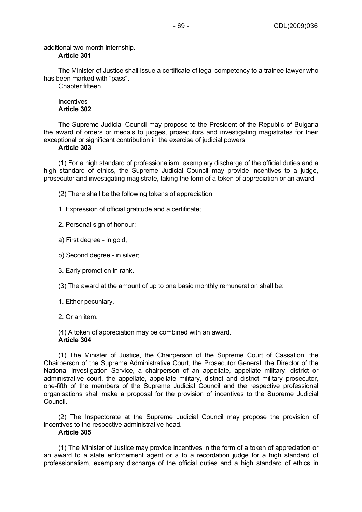additional two-month internship.

The Minister of Justice shall issue a certificate of legal competency to a trainee lawyer who has been marked with "pass".

Chapter fifteen

# **Incentives Article 302**

The Supreme Judicial Council may propose to the President of the Republic of Bulgaria the award of orders or medals to judges, prosecutors and investigating magistrates for their exceptional or significant contribution in the exercise of judicial powers.

## **Article 303**

(1) For a high standard of professionalism, exemplary discharge of the official duties and a high standard of ethics, the Supreme Judicial Council may provide incentives to a judge, prosecutor and investigating magistrate, taking the form of a token of appreciation or an award.

(2) There shall be the following tokens of appreciation:

1. Expression of official gratitude and a certificate;

2. Personal sign of honour:

- a) First degree in gold,
- b) Second degree in silver;
- 3. Early promotion in rank.

(3) The award at the amount of up to one basic monthly remuneration shall be:

- 1. Either pecuniary,
- 2. Or an item.

(4) A token of appreciation may be combined with an award. **Article 304** 

(1) The Minister of Justice, the Chairperson of the Supreme Court of Cassation, the Chairperson of the Supreme Administrative Court, the Prosecutor General, the Director of the National Investigation Service, a chairperson of an appellate, appellate military, district or administrative court, the appellate, appellate military, district and district military prosecutor, one-fifth of the members of the Supreme Judicial Council and the respective professional organisations shall make a proposal for the provision of incentives to the Supreme Judicial Council.

(2) The Inspectorate at the Supreme Judicial Council may propose the provision of incentives to the respective administrative head.

# **Article 305**

(1) The Minister of Justice may provide incentives in the form of a token of appreciation or an award to a state enforcement agent or a to a recordation judge for a high standard of professionalism, exemplary discharge of the official duties and a high standard of ethics in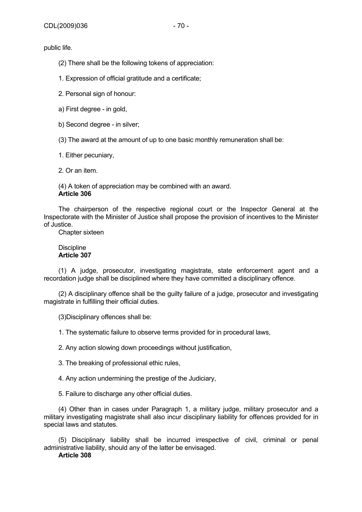public life.

(2) There shall be the following tokens of appreciation:

1. Expression of official gratitude and a certificate;

2. Personal sign of honour:

a) First degree - in gold,

b) Second degree - in silver;

(3) The award at the amount of up to one basic monthly remuneration shall be:

1. Either pecuniary,

2. Or an item.

(4) A token of appreciation may be combined with an award. **Article 306** 

The chairperson of the respective regional court or the Inspector General at the Inspectorate with the Minister of Justice shall propose the provision of incentives to the Minister of Justice.

Chapter sixteen

# **Discipline Article 307**

(1) A judge, prosecutor, investigating magistrate, state enforcement agent and a recordation judge shall be disciplined where they have committed a disciplinary offence.

(2) A disciplinary offence shall be the guilty failure of a judge, prosecutor and investigating magistrate in fulfilling their official duties.

(3)Disciplinary offences shall be:

1. The systematic failure to observe terms provided for in procedural laws,

2. Any action slowing down proceedings without justification,

3. The breaking of professional ethic rules,

4. Any action undermining the prestige of the Judiciary,

5. Failure to discharge any other official duties.

(4) Other than in cases under Paragraph 1, a military judge, military prosecutor and a military investigating magistrate shall also incur disciplinary liability for offences provided for in special laws and statutes.

(5) Disciplinary liability shall be incurred irrespective of civil, criminal or penal administrative liability, should any of the latter be envisaged.

**Article 308**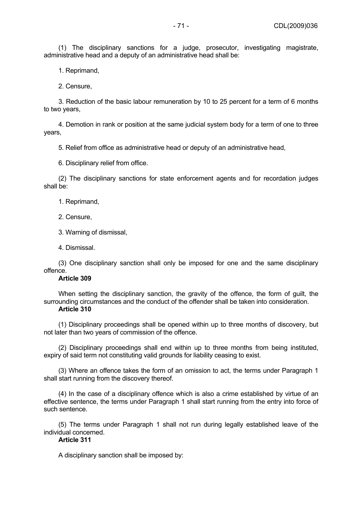(1) The disciplinary sanctions for a judge, prosecutor, investigating magistrate, administrative head and a deputy of an administrative head shall be:

1. Reprimand,

2. Censure,

3. Reduction of the basic labour remuneration by 10 to 25 percent for a term of 6 months to two years,

4. Demotion in rank or position at the same judicial system body for a term of one to three years,

5. Relief from office as administrative head or deputy of an administrative head,

6. Disciplinary relief from office.

(2) The disciplinary sanctions for state enforcement agents and for recordation judges shall be:

1. Reprimand,

2. Censure,

3. Warning of dismissal,

4. Dismissal.

(3) One disciplinary sanction shall only be imposed for one and the same disciplinary offence.

# **Article 309**

When setting the disciplinary sanction, the gravity of the offence, the form of guilt, the surrounding circumstances and the conduct of the offender shall be taken into consideration.

# **Article 310**

(1) Disciplinary proceedings shall be opened within up to three months of discovery, but not later than two years of commission of the offence.

(2) Disciplinary proceedings shall end within up to three months from being instituted, expiry of said term not constituting valid grounds for liability ceasing to exist.

(3) Where an offence takes the form of an omission to act, the terms under Paragraph 1 shall start running from the discovery thereof.

(4) In the case of a disciplinary offence which is also a crime established by virtue of an effective sentence, the terms under Paragraph 1 shall start running from the entry into force of such sentence.

(5) The terms under Paragraph 1 shall not run during legally established leave of the individual concerned.

# **Article 311**

A disciplinary sanction shall be imposed by: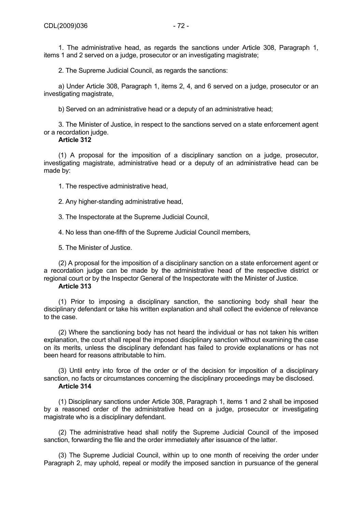1. The administrative head, as regards the sanctions under Article 308, Paragraph 1, items 1 and 2 served on a judge, prosecutor or an investigating magistrate;

2. The Supreme Judicial Council, as regards the sanctions:

a) Under Article 308, Paragraph 1, items 2, 4, and 6 served on a judge, prosecutor or an investigating magistrate,

b) Served on an administrative head or a deputy of an administrative head;

3. The Minister of Justice, in respect to the sanctions served on a state enforcement agent or a recordation judge.

# **Article 312**

(1) A proposal for the imposition of a disciplinary sanction on a judge, prosecutor, investigating magistrate, administrative head or a deputy of an administrative head can be made by:

1. The respective administrative head,

2. Any higher-standing administrative head,

3. The Inspectorate at the Supreme Judicial Council,

4. No less than one-fifth of the Supreme Judicial Council members,

5. The Minister of Justice.

(2) A proposal for the imposition of a disciplinary sanction on a state enforcement agent or a recordation judge can be made by the administrative head of the respective district or regional court or by the Inspector General of the Inspectorate with the Minister of Justice.

## **Article 313**

(1) Prior to imposing a disciplinary sanction, the sanctioning body shall hear the disciplinary defendant or take his written explanation and shall collect the evidence of relevance to the case.

(2) Where the sanctioning body has not heard the individual or has not taken his written explanation, the court shall repeal the imposed disciplinary sanction without examining the case on its merits, unless the disciplinary defendant has failed to provide explanations or has not been heard for reasons attributable to him.

(3) Until entry into force of the order or of the decision for imposition of a disciplinary sanction, no facts or circumstances concerning the disciplinary proceedings may be disclosed. **Article 314** 

(1) Disciplinary sanctions under Article 308, Paragraph 1, items 1 and 2 shall be imposed by a reasoned order of the administrative head on a judge, prosecutor or investigating magistrate who is a disciplinary defendant.

(2) The administrative head shall notify the Supreme Judicial Council of the imposed sanction, forwarding the file and the order immediately after issuance of the latter.

(3) The Supreme Judicial Council, within up to one month of receiving the order under Paragraph 2, may uphold, repeal or modify the imposed sanction in pursuance of the general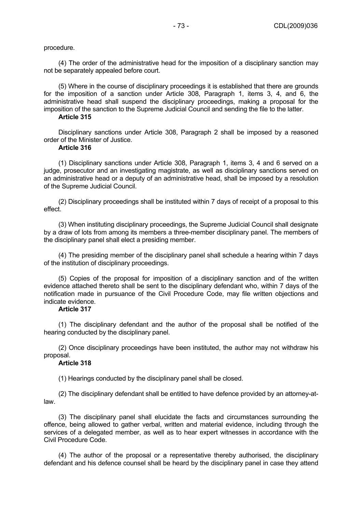procedure.

(4) The order of the administrative head for the imposition of a disciplinary sanction may not be separately appealed before court.

(5) Where in the course of disciplinary proceedings it is established that there are grounds for the imposition of a sanction under Article 308, Paragraph 1, items 3, 4, and 6, the administrative head shall suspend the disciplinary proceedings, making a proposal for the imposition of the sanction to the Supreme Judicial Council and sending the file to the latter.

# **Article 315**

Disciplinary sanctions under Article 308, Paragraph 2 shall be imposed by a reasoned order of the Minister of Justice.

#### **Article 316**

(1) Disciplinary sanctions under Article 308, Paragraph 1, items 3, 4 and 6 served on a judge, prosecutor and an investigating magistrate, as well as disciplinary sanctions served on an administrative head or a deputy of an administrative head, shall be imposed by a resolution of the Supreme Judicial Council.

(2) Disciplinary proceedings shall be instituted within 7 days of receipt of a proposal to this effect.

(3) When instituting disciplinary proceedings, the Supreme Judicial Council shall designate by a draw of lots from among its members a three-member disciplinary panel. The members of the disciplinary panel shall elect a presiding member.

(4) The presiding member of the disciplinary panel shall schedule a hearing within 7 days of the institution of disciplinary proceedings.

(5) Copies of the proposal for imposition of a disciplinary sanction and of the written evidence attached thereto shall be sent to the disciplinary defendant who, within 7 days of the notification made in pursuance of the Civil Procedure Code, may file written objections and indicate evidence.

#### **Article 317**

(1) The disciplinary defendant and the author of the proposal shall be notified of the hearing conducted by the disciplinary panel.

(2) Once disciplinary proceedings have been instituted, the author may not withdraw his proposal.

### **Article 318**

(1) Hearings conducted by the disciplinary panel shall be closed.

(2) The disciplinary defendant shall be entitled to have defence provided by an attorney-atlaw.

(3) The disciplinary panel shall elucidate the facts and circumstances surrounding the offence, being allowed to gather verbal, written and material evidence, including through the services of a delegated member, as well as to hear expert witnesses in accordance with the Civil Procedure Code.

(4) The author of the proposal or a representative thereby authorised, the disciplinary defendant and his defence counsel shall be heard by the disciplinary panel in case they attend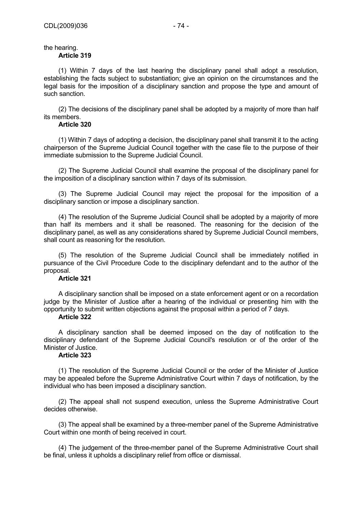# the hearing.

# **Article 319**

(1) Within 7 days of the last hearing the disciplinary panel shall adopt a resolution, establishing the facts subject to substantiation; give an opinion on the circumstances and the legal basis for the imposition of a disciplinary sanction and propose the type and amount of such sanction.

(2) The decisions of the disciplinary panel shall be adopted by a majority of more than half its members.

### **Article 320**

(1) Within 7 days of adopting a decision, the disciplinary panel shall transmit it to the acting chairperson of the Supreme Judicial Council together with the case file to the purpose of their immediate submission to the Supreme Judicial Council.

(2) The Supreme Judicial Council shall examine the proposal of the disciplinary panel for the imposition of a disciplinary sanction within 7 days of its submission.

(3) The Supreme Judicial Council may reject the proposal for the imposition of a disciplinary sanction or impose a disciplinary sanction.

(4) The resolution of the Supreme Judicial Council shall be adopted by a majority of more than half its members and it shall be reasoned. The reasoning for the decision of the disciplinary panel, as well as any considerations shared by Supreme Judicial Council members, shall count as reasoning for the resolution.

(5) The resolution of the Supreme Judicial Council shall be immediately notified in pursuance of the Civil Procedure Code to the disciplinary defendant and to the author of the proposal.

## **Article 321**

A disciplinary sanction shall be imposed on a state enforcement agent or on a recordation judge by the Minister of Justice after a hearing of the individual or presenting him with the opportunity to submit written objections against the proposal within a period of 7 days.

### **Article 322**

A disciplinary sanction shall be deemed imposed on the day of notification to the disciplinary defendant of the Supreme Judicial Council's resolution or of the order of the Minister of Justice.

# **Article 323**

(1) The resolution of the Supreme Judicial Council or the order of the Minister of Justice may be appealed before the Supreme Administrative Court within 7 days of notification, by the individual who has been imposed a disciplinary sanction.

(2) The appeal shall not suspend execution, unless the Supreme Administrative Court decides otherwise.

(3) The appeal shall be examined by a three-member panel of the Supreme Administrative Court within one month of being received in court.

(4) The judgement of the three-member panel of the Supreme Administrative Court shall be final, unless it upholds a disciplinary relief from office or dismissal.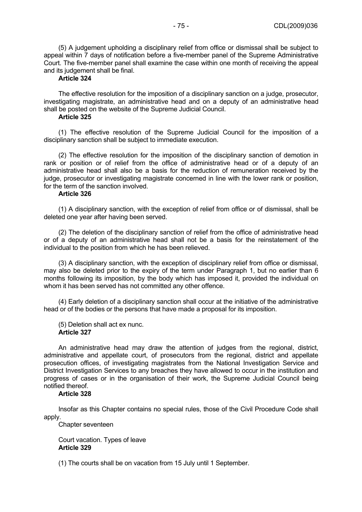(5) A judgement upholding a disciplinary relief from office or dismissal shall be subject to appeal within 7 days of notification before a five-member panel of the Supreme Administrative Court. The five-member panel shall examine the case within one month of receiving the appeal and its judgement shall be final.

## **Article 324**

The effective resolution for the imposition of a disciplinary sanction on a judge, prosecutor, investigating magistrate, an administrative head and on a deputy of an administrative head shall be posted on the website of the Supreme Judicial Council.

# **Article 325**

(1) The effective resolution of the Supreme Judicial Council for the imposition of a disciplinary sanction shall be subject to immediate execution.

(2) The effective resolution for the imposition of the disciplinary sanction of demotion in rank or position or of relief from the office of administrative head or of a deputy of an administrative head shall also be a basis for the reduction of remuneration received by the judge, prosecutor or investigating magistrate concerned in line with the lower rank or position, for the term of the sanction involved.

## **Article 326**

(1) A disciplinary sanction, with the exception of relief from office or of dismissal, shall be deleted one year after having been served.

(2) The deletion of the disciplinary sanction of relief from the office of administrative head or of a deputy of an administrative head shall not be a basis for the reinstatement of the individual to the position from which he has been relieved.

(3) A disciplinary sanction, with the exception of disciplinary relief from office or dismissal, may also be deleted prior to the expiry of the term under Paragraph 1, but no earlier than 6 months following its imposition, by the body which has imposed it, provided the individual on whom it has been served has not committed any other offence.

(4) Early deletion of a disciplinary sanction shall occur at the initiative of the administrative head or of the bodies or the persons that have made a proposal for its imposition.

(5) Deletion shall act ex nunc. **Article 327** 

An administrative head may draw the attention of judges from the regional, district, administrative and appellate court, of prosecutors from the regional, district and appellate prosecution offices, of investigating magistrates from the National Investigation Service and District Investigation Services to any breaches they have allowed to occur in the institution and progress of cases or in the organisation of their work, the Supreme Judicial Council being notified thereof.

#### **Article 328**

Insofar as this Chapter contains no special rules, those of the Civil Procedure Code shall apply.

Chapter seventeen

Court vacation. Types of leave **Article 329** 

(1) The courts shall be on vacation from 15 July until 1 September.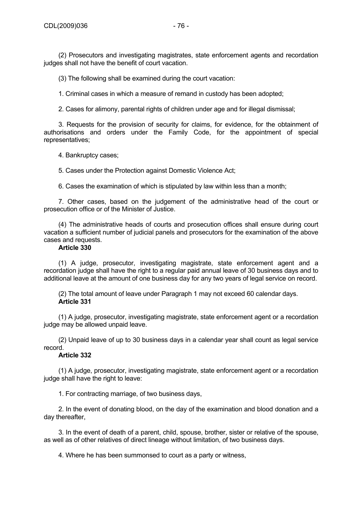(2) Prosecutors and investigating magistrates, state enforcement agents and recordation judges shall not have the benefit of court vacation.

(3) The following shall be examined during the court vacation:

1. Criminal cases in which a measure of remand in custody has been adopted;

2. Cases for alimony, parental rights of children under age and for illegal dismissal;

3. Requests for the provision of security for claims, for evidence, for the obtainment of authorisations and orders under the Family Code, for the appointment of special representatives;

4. Bankruptcy cases;

5. Cases under the Protection against Domestic Violence Act;

6. Cases the examination of which is stipulated by law within less than a month;

7. Other cases, based on the judgement of the administrative head of the court or prosecution office or of the Minister of Justice.

(4) The administrative heads of courts and prosecution offices shall ensure during court vacation a sufficient number of judicial panels and prosecutors for the examination of the above cases and requests.

## **Article 330**

(1) A judge, prosecutor, investigating magistrate, state enforcement agent and a recordation judge shall have the right to a regular paid annual leave of 30 business days and to additional leave at the amount of one business day for any two years of legal service on record.

(2) The total amount of leave under Paragraph 1 may not exceed 60 calendar days. **Article 331** 

(1) A judge, prosecutor, investigating magistrate, state enforcement agent or a recordation judge may be allowed unpaid leave.

(2) Unpaid leave of up to 30 business days in a calendar year shall count as legal service record.

# **Article 332**

(1) A judge, prosecutor, investigating magistrate, state enforcement agent or a recordation judge shall have the right to leave:

1. For contracting marriage, of two business days,

2. In the event of donating blood, on the day of the examination and blood donation and a day thereafter,

3. In the event of death of a parent, child, spouse, brother, sister or relative of the spouse, as well as of other relatives of direct lineage without limitation, of two business days.

4. Where he has been summonsed to court as a party or witness,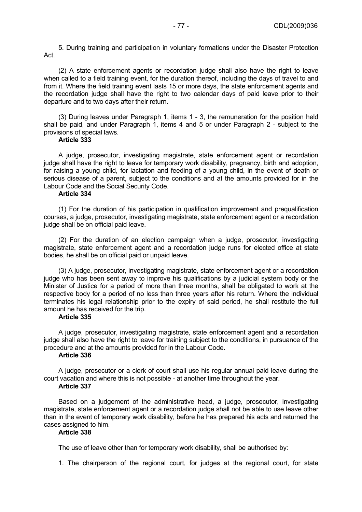5. During training and participation in voluntary formations under the Disaster Protection Act.

(2) A state enforcement agents or recordation judge shall also have the right to leave when called to a field training event, for the duration thereof, including the days of travel to and from it. Where the field training event lasts 15 or more days, the state enforcement agents and the recordation judge shall have the right to two calendar days of paid leave prior to their departure and to two days after their return.

(3) During leaves under Paragraph 1, items 1 - 3, the remuneration for the position held shall be paid, and under Paragraph 1, items 4 and 5 or under Paragraph 2 - subject to the provisions of special laws.

### **Article 333**

A judge, prosecutor, investigating magistrate, state enforcement agent or recordation judge shall have the right to leave for temporary work disability, pregnancy, birth and adoption, for raising a young child, for lactation and feeding of a young child, in the event of death or serious disease of a parent, subject to the conditions and at the amounts provided for in the Labour Code and the Social Security Code.

## **Article 334**

(1) For the duration of his participation in qualification improvement and prequalification courses, a judge, prosecutor, investigating magistrate, state enforcement agent or a recordation judge shall be on official paid leave.

(2) For the duration of an election campaign when a judge, prosecutor, investigating magistrate, state enforcement agent and a recordation judge runs for elected office at state bodies, he shall be on official paid or unpaid leave.

(3) A judge, prosecutor, investigating magistrate, state enforcement agent or a recordation judge who has been sent away to improve his qualifications by a judicial system body or the Minister of Justice for a period of more than three months, shall be obligated to work at the respective body for a period of no less than three years after his return. Where the individual terminates his legal relationship prior to the expiry of said period, he shall restitute the full amount he has received for the trip.

#### **Article 335**

A judge, prosecutor, investigating magistrate, state enforcement agent and a recordation judge shall also have the right to leave for training subject to the conditions, in pursuance of the procedure and at the amounts provided for in the Labour Code.

# **Article 336**

A judge, prosecutor or a clerk of court shall use his regular annual paid leave during the court vacation and where this is not possible - at another time throughout the year.

# **Article 337**

Based on a judgement of the administrative head, a judge, prosecutor, investigating magistrate, state enforcement agent or a recordation judge shall not be able to use leave other than in the event of temporary work disability, before he has prepared his acts and returned the cases assigned to him.

### **Article 338**

The use of leave other than for temporary work disability, shall be authorised by:

1. The chairperson of the regional court, for judges at the regional court, for state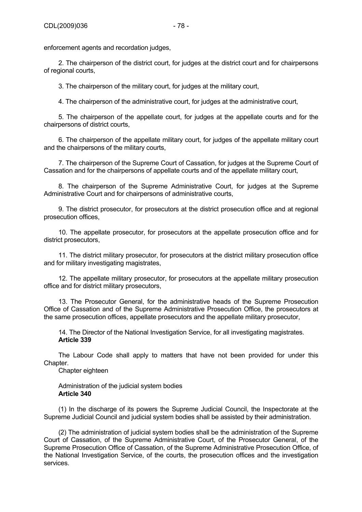2. The chairperson of the district court, for judges at the district court and for chairpersons of regional courts,

3. The chairperson of the military court, for judges at the military court,

4. The chairperson of the administrative court, for judges at the administrative court,

5. The chairperson of the appellate court, for judges at the appellate courts and for the chairpersons of district courts,

6. The chairperson of the appellate military court, for judges of the appellate military court and the chairpersons of the military courts,

7. The chairperson of the Supreme Court of Cassation, for judges at the Supreme Court of Cassation and for the chairpersons of appellate courts and of the appellate military court,

8. The chairperson of the Supreme Administrative Court, for judges at the Supreme Administrative Court and for chairpersons of administrative courts,

9. The district prosecutor, for prosecutors at the district prosecution office and at regional prosecution offices,

10. The appellate prosecutor, for prosecutors at the appellate prosecution office and for district prosecutors,

11. The district military prosecutor, for prosecutors at the district military prosecution office and for military investigating magistrates,

12. The appellate military prosecutor, for prosecutors at the appellate military prosecution office and for district military prosecutors,

13. The Prosecutor General, for the administrative heads of the Supreme Prosecution Office of Cassation and of the Supreme Administrative Prosecution Office, the prosecutors at the same prosecution offices, appellate prosecutors and the appellate military prosecutor,

14. The Director of the National Investigation Service, for all investigating magistrates. **Article 339** 

The Labour Code shall apply to matters that have not been provided for under this Chapter.

Chapter eighteen

Administration of the judicial system bodies **Article 340** 

(1) In the discharge of its powers the Supreme Judicial Council, the Inspectorate at the Supreme Judicial Council and judicial system bodies shall be assisted by their administration.

(2) The administration of judicial system bodies shall be the administration of the Supreme Court of Cassation, of the Supreme Administrative Court, of the Prosecutor General, of the Supreme Prosecution Office of Cassation, of the Supreme Administrative Prosecution Office, of the National Investigation Service, of the courts, the prosecution offices and the investigation services.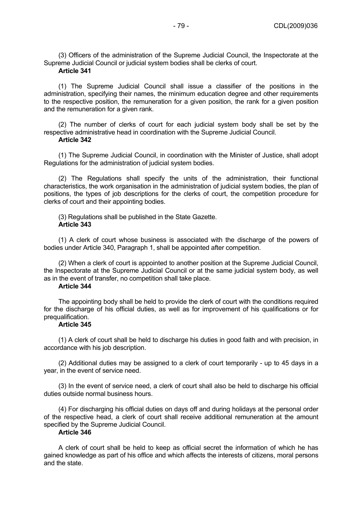(3) Officers of the administration of the Supreme Judicial Council, the Inspectorate at the Supreme Judicial Council or judicial system bodies shall be clerks of court.

#### **Article 341**

(1) The Supreme Judicial Council shall issue a classifier of the positions in the administration, specifying their names, the minimum education degree and other requirements to the respective position, the remuneration for a given position, the rank for a given position and the remuneration for a given rank.

(2) The number of clerks of court for each judicial system body shall be set by the respective administrative head in coordination with the Supreme Judicial Council.

# **Article 342**

(1) The Supreme Judicial Council, in coordination with the Minister of Justice, shall adopt Regulations for the administration of judicial system bodies.

(2) The Regulations shall specify the units of the administration, their functional characteristics, the work organisation in the administration of judicial system bodies, the plan of positions, the types of job descriptions for the clerks of court, the competition procedure for clerks of court and their appointing bodies.

(3) Regulations shall be published in the State Gazette. **Article 343** 

(1) A clerk of court whose business is associated with the discharge of the powers of bodies under Article 340, Paragraph 1, shall be appointed after competition.

(2) When a clerk of court is appointed to another position at the Supreme Judicial Council, the Inspectorate at the Supreme Judicial Council or at the same judicial system body, as well as in the event of transfer, no competition shall take place.

#### **Article 344**

The appointing body shall be held to provide the clerk of court with the conditions required for the discharge of his official duties, as well as for improvement of his qualifications or for prequalification.

#### **Article 345**

(1) A clerk of court shall be held to discharge his duties in good faith and with precision, in accordance with his job description.

(2) Additional duties may be assigned to a clerk of court temporarily - up to 45 days in a year, in the event of service need.

(3) In the event of service need, a clerk of court shall also be held to discharge his official duties outside normal business hours.

(4) For discharging his official duties on days off and during holidays at the personal order of the respective head, a clerk of court shall receive additional remuneration at the amount specified by the Supreme Judicial Council.

### **Article 346**

A clerk of court shall be held to keep as official secret the information of which he has gained knowledge as part of his office and which affects the interests of citizens, moral persons and the state.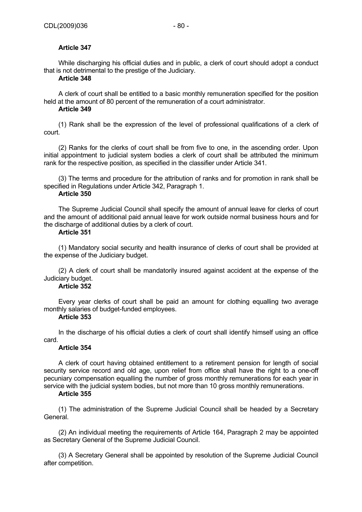# **Article 347**

While discharging his official duties and in public, a clerk of court should adopt a conduct that is not detrimental to the prestige of the Judiciary.

# **Article 348**

A clerk of court shall be entitled to a basic monthly remuneration specified for the position held at the amount of 80 percent of the remuneration of a court administrator.

# **Article 349**

(1) Rank shall be the expression of the level of professional qualifications of a clerk of court.

(2) Ranks for the clerks of court shall be from five to one, in the ascending order. Upon initial appointment to judicial system bodies a clerk of court shall be attributed the minimum rank for the respective position, as specified in the classifier under Article 341.

(3) The terms and procedure for the attribution of ranks and for promotion in rank shall be specified in Regulations under Article 342, Paragraph 1.

# **Article 350**

The Supreme Judicial Council shall specify the amount of annual leave for clerks of court and the amount of additional paid annual leave for work outside normal business hours and for the discharge of additional duties by a clerk of court.

### **Article 351**

(1) Mandatory social security and health insurance of clerks of court shall be provided at the expense of the Judiciary budget.

(2) A clerk of court shall be mandatorily insured against accident at the expense of the Judiciary budget.

# **Article 352**

Every year clerks of court shall be paid an amount for clothing equalling two average monthly salaries of budget-funded employees.

### **Article 353**

In the discharge of his official duties a clerk of court shall identify himself using an office card.

# **Article 354**

A clerk of court having obtained entitlement to a retirement pension for length of social security service record and old age, upon relief from office shall have the right to a one-off pecuniary compensation equalling the number of gross monthly remunerations for each year in service with the judicial system bodies, but not more than 10 gross monthly remunerations.

### **Article 355**

(1) The administration of the Supreme Judicial Council shall be headed by a Secretary General.

(2) An individual meeting the requirements of Article 164, Paragraph 2 may be appointed as Secretary General of the Supreme Judicial Council.

(3) A Secretary General shall be appointed by resolution of the Supreme Judicial Council after competition.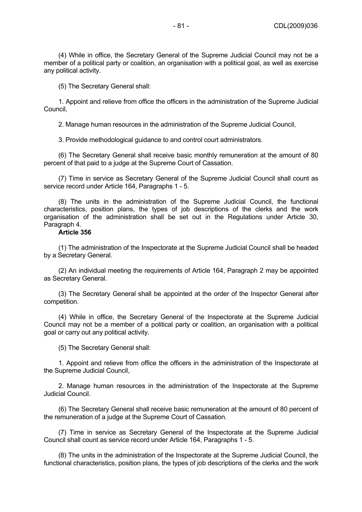(4) While in office, the Secretary General of the Supreme Judicial Council may not be a member of a political party or coalition, an organisation with a political goal, as well as exercise any political activity.

(5) The Secretary General shall:

1. Appoint and relieve from office the officers in the administration of the Supreme Judicial Council,

2. Manage human resources in the administration of the Supreme Judicial Council,

3. Provide methodological guidance to and control court administrators.

(6) The Secretary General shall receive basic monthly remuneration at the amount of 80 percent of that paid to a judge at the Supreme Court of Cassation.

(7) Time in service as Secretary General of the Supreme Judicial Council shall count as service record under Article 164, Paragraphs 1 - 5.

(8) The units in the administration of the Supreme Judicial Council, the functional characteristics, position plans, the types of job descriptions of the clerks and the work organisation of the administration shall be set out in the Regulations under Article 30, Paragraph 4.

#### **Article 356**

(1) The administration of the Inspectorate at the Supreme Judicial Council shall be headed by a Secretary General.

(2) An individual meeting the requirements of Article 164, Paragraph 2 may be appointed as Secretary General.

(3) The Secretary General shall be appointed at the order of the Inspector General after competition.

(4) While in office, the Secretary General of the Inspectorate at the Supreme Judicial Council may not be a member of a political party or coalition, an organisation with a political goal or carry out any political activity.

(5) The Secretary General shall:

1. Appoint and relieve from office the officers in the administration of the Inspectorate at the Supreme Judicial Council,

2. Manage human resources in the administration of the Inspectorate at the Supreme Judicial Council.

(6) The Secretary General shall receive basic remuneration at the amount of 80 percent of the remuneration of a judge at the Supreme Court of Cassation.

(7) Time in service as Secretary General of the Inspectorate at the Supreme Judicial Council shall count as service record under Article 164, Paragraphs 1 - 5.

(8) The units in the administration of the Inspectorate at the Supreme Judicial Council, the functional characteristics, position plans, the types of job descriptions of the clerks and the work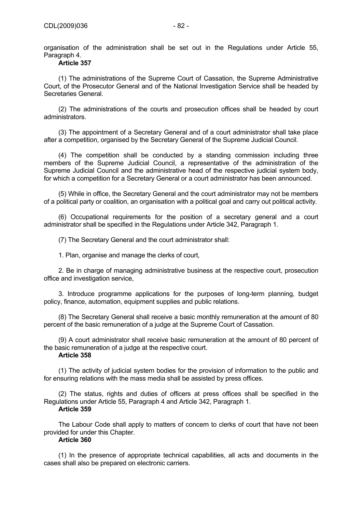organisation of the administration shall be set out in the Regulations under Article 55, Paragraph 4.

# **Article 357**

(1) The administrations of the Supreme Court of Cassation, the Supreme Administrative Court, of the Prosecutor General and of the National Investigation Service shall be headed by Secretaries General.

(2) The administrations of the courts and prosecution offices shall be headed by court administrators.

(3) The appointment of a Secretary General and of a court administrator shall take place after a competition, organised by the Secretary General of the Supreme Judicial Council.

(4) The competition shall be conducted by a standing commission including three members of the Supreme Judicial Council, a representative of the administration of the Supreme Judicial Council and the administrative head of the respective judicial system body, for which a competition for a Secretary General or a court administrator has been announced.

(5) While in office, the Secretary General and the court administrator may not be members of a political party or coalition, an organisation with a political goal and carry out political activity.

(6) Occupational requirements for the position of a secretary general and a court administrator shall be specified in the Regulations under Article 342, Paragraph 1.

(7) The Secretary General and the court administrator shall:

1. Plan, organise and manage the clerks of court,

2. Be in charge of managing administrative business at the respective court, prosecution office and investigation service,

3. Introduce programme applications for the purposes of long-term planning, budget policy, finance, automation, equipment supplies and public relations.

(8) The Secretary General shall receive a basic monthly remuneration at the amount of 80 percent of the basic remuneration of a judge at the Supreme Court of Cassation.

(9) A court administrator shall receive basic remuneration at the amount of 80 percent of the basic remuneration of a judge at the respective court.

# **Article 358**

(1) The activity of judicial system bodies for the provision of information to the public and for ensuring relations with the mass media shall be assisted by press offices.

(2) The status, rights and duties of officers at press offices shall be specified in the Regulations under Article 55, Paragraph 4 and Article 342, Paragraph 1.

# **Article 359**

The Labour Code shall apply to matters of concern to clerks of court that have not been provided for under this Chapter.

# **Article 360**

(1) In the presence of appropriate technical capabilities, all acts and documents in the cases shall also be prepared on electronic carriers.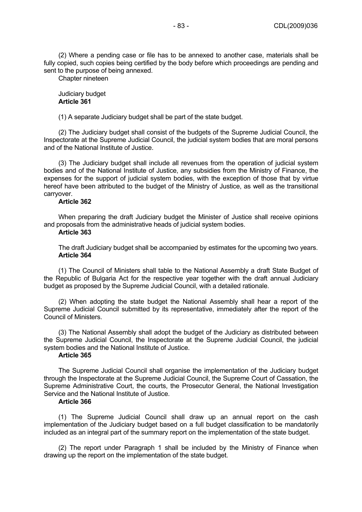(2) Where a pending case or file has to be annexed to another case, materials shall be fully copied, such copies being certified by the body before which proceedings are pending and sent to the purpose of being annexed.

Chapter nineteen

Judiciary budget **Article 361** 

(1) A separate Judiciary budget shall be part of the state budget.

(2) The Judiciary budget shall consist of the budgets of the Supreme Judicial Council, the Inspectorate at the Supreme Judicial Council, the judicial system bodies that are moral persons and of the National Institute of Justice.

(3) The Judiciary budget shall include all revenues from the operation of judicial system bodies and of the National Institute of Justice, any subsidies from the Ministry of Finance, the expenses for the support of judicial system bodies, with the exception of those that by virtue hereof have been attributed to the budget of the Ministry of Justice, as well as the transitional carryover.

#### **Article 362**

When preparing the draft Judiciary budget the Minister of Justice shall receive opinions and proposals from the administrative heads of judicial system bodies.

#### **Article 363**

The draft Judiciary budget shall be accompanied by estimates for the upcoming two years. **Article 364** 

(1) The Council of Ministers shall table to the National Assembly a draft State Budget of the Republic of Bulgaria Act for the respective year together with the draft annual Judiciary budget as proposed by the Supreme Judicial Council, with a detailed rationale.

(2) When adopting the state budget the National Assembly shall hear a report of the Supreme Judicial Council submitted by its representative, immediately after the report of the Council of Ministers.

(3) The National Assembly shall adopt the budget of the Judiciary as distributed between the Supreme Judicial Council, the Inspectorate at the Supreme Judicial Council, the judicial system bodies and the National Institute of Justice.

# **Article 365**

The Supreme Judicial Council shall organise the implementation of the Judiciary budget through the Inspectorate at the Supreme Judicial Council, the Supreme Court of Cassation, the Supreme Administrative Court, the courts, the Prosecutor General, the National Investigation Service and the National Institute of Justice.

### **Article 366**

(1) The Supreme Judicial Council shall draw up an annual report on the cash implementation of the Judiciary budget based on a full budget classification to be mandatorily included as an integral part of the summary report on the implementation of the state budget.

(2) The report under Paragraph 1 shall be included by the Ministry of Finance when drawing up the report on the implementation of the state budget.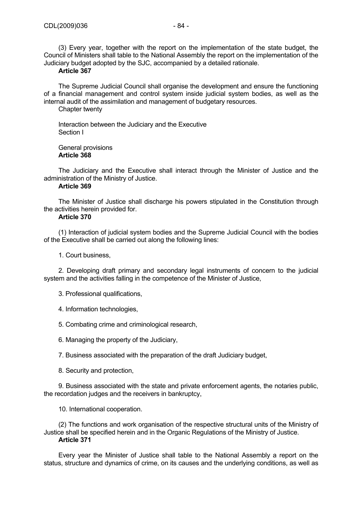(3) Every year, together with the report on the implementation of the state budget, the Council of Ministers shall table to the National Assembly the report on the implementation of the Judiciary budget adopted by the SJC, accompanied by a detailed rationale.

#### **Article 367**

The Supreme Judicial Council shall organise the development and ensure the functioning of a financial management and control system inside judicial system bodies, as well as the internal audit of the assimilation and management of budgetary resources.

Chapter twenty

Interaction between the Judiciary and the Executive Section I

General provisions **Article 368** 

The Judiciary and the Executive shall interact through the Minister of Justice and the administration of the Ministry of Justice.

## **Article 369**

The Minister of Justice shall discharge his powers stipulated in the Constitution through the activities herein provided for.

### **Article 370**

(1) Interaction of judicial system bodies and the Supreme Judicial Council with the bodies of the Executive shall be carried out along the following lines:

1. Court business,

2. Developing draft primary and secondary legal instruments of concern to the judicial system and the activities falling in the competence of the Minister of Justice,

3. Professional qualifications,

- 4. Information technologies,
- 5. Combating crime and criminological research,
- 6. Managing the property of the Judiciary,
- 7. Business associated with the preparation of the draft Judiciary budget,
- 8. Security and protection,

9. Business associated with the state and private enforcement agents, the notaries public, the recordation judges and the receivers in bankruptcy,

10. International cooperation.

(2) The functions and work organisation of the respective structural units of the Ministry of Justice shall be specified herein and in the Organic Regulations of the Ministry of Justice. **Article 371** 

Every year the Minister of Justice shall table to the National Assembly a report on the status, structure and dynamics of crime, on its causes and the underlying conditions, as well as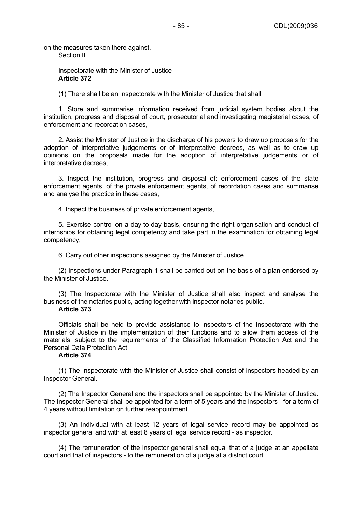on the measures taken there against.

Section II

Inspectorate with the Minister of Justice **Article 372** 

(1) There shall be an Inspectorate with the Minister of Justice that shall:

1. Store and summarise information received from judicial system bodies about the institution, progress and disposal of court, prosecutorial and investigating magisterial cases, of enforcement and recordation cases,

2. Assist the Minister of Justice in the discharge of his powers to draw up proposals for the adoption of interpretative judgements or of interpretative decrees, as well as to draw up opinions on the proposals made for the adoption of interpretative judgements or of interpretative decrees,

3. Inspect the institution, progress and disposal of: enforcement cases of the state enforcement agents, of the private enforcement agents, of recordation cases and summarise and analyse the practice in these cases,

4. Inspect the business of private enforcement agents,

5. Exercise control on a day-to-day basis, ensuring the right organisation and conduct of internships for obtaining legal competency and take part in the examination for obtaining legal competency,

6. Carry out other inspections assigned by the Minister of Justice.

(2) Inspections under Paragraph 1 shall be carried out on the basis of a plan endorsed by the Minister of Justice.

(3) The Inspectorate with the Minister of Justice shall also inspect and analyse the business of the notaries public, acting together with inspector notaries public.

#### **Article 373**

Officials shall be held to provide assistance to inspectors of the Inspectorate with the Minister of Justice in the implementation of their functions and to allow them access of the materials, subject to the requirements of the Classified Information Protection Act and the Personal Data Protection Act.

# **Article 374**

(1) The Inspectorate with the Minister of Justice shall consist of inspectors headed by an Inspector General.

(2) The Inspector General and the inspectors shall be appointed by the Minister of Justice. The Inspector General shall be appointed for a term of 5 years and the inspectors - for a term of 4 years without limitation on further reappointment.

(3) An individual with at least 12 years of legal service record may be appointed as inspector general and with at least 8 years of legal service record - as inspector.

(4) The remuneration of the inspector general shall equal that of a judge at an appellate court and that of inspectors - to the remuneration of a judge at a district court.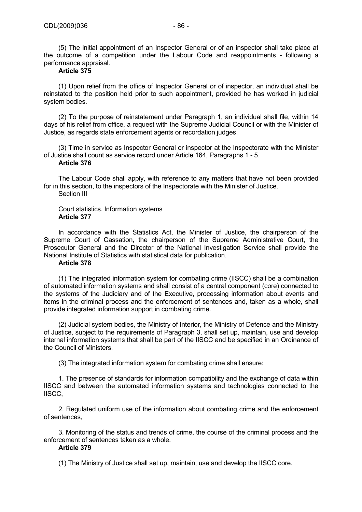(5) The initial appointment of an Inspector General or of an inspector shall take place at the outcome of a competition under the Labour Code and reappointments - following a performance appraisal.

# **Article 375**

(1) Upon relief from the office of Inspector General or of inspector, an individual shall be reinstated to the position held prior to such appointment, provided he has worked in judicial system bodies.

(2) To the purpose of reinstatement under Paragraph 1, an individual shall file, within 14 days of his relief from office, a request with the Supreme Judicial Council or with the Minister of Justice, as regards state enforcement agents or recordation judges.

(3) Time in service as Inspector General or inspector at the Inspectorate with the Minister of Justice shall count as service record under Article 164, Paragraphs 1 - 5.

# **Article 376**

The Labour Code shall apply, with reference to any matters that have not been provided for in this section, to the inspectors of the Inspectorate with the Minister of Justice. Section III

#### Court statistics. Information systems **Article 377**

In accordance with the Statistics Act, the Minister of Justice, the chairperson of the Supreme Court of Cassation, the chairperson of the Supreme Administrative Court, the Prosecutor General and the Director of the National Investigation Service shall provide the National Institute of Statistics with statistical data for publication.

#### **Article 378**

(1) The integrated information system for combating crime (IISCC) shall be a combination of automated information systems and shall consist of a central component (core) connected to the systems of the Judiciary and of the Executive, processing information about events and items in the criminal process and the enforcement of sentences and, taken as a whole, shall provide integrated information support in combating crime.

(2) Judicial system bodies, the Ministry of Interior, the Ministry of Defence and the Ministry of Justice, subject to the requirements of Paragraph 3, shall set up, maintain, use and develop internal information systems that shall be part of the IISCC and be specified in an Ordinance of the Council of Ministers.

(3) The integrated information system for combating crime shall ensure:

1. The presence of standards for information compatibility and the exchange of data within IISCC and between the automated information systems and technologies connected to the IISCC,

2. Regulated uniform use of the information about combating crime and the enforcement of sentences,

3. Monitoring of the status and trends of crime, the course of the criminal process and the enforcement of sentences taken as a whole.

### **Article 379**

(1) The Ministry of Justice shall set up, maintain, use and develop the IISCC core.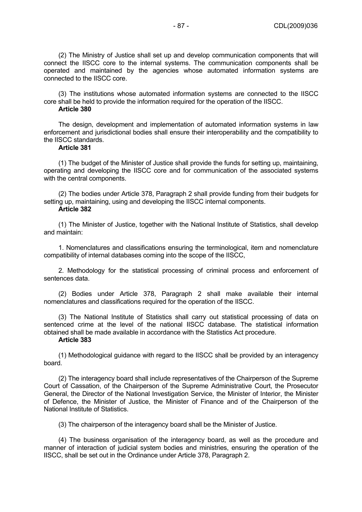(2) The Ministry of Justice shall set up and develop communication components that will connect the IISCC core to the internal systems. The communication components shall be operated and maintained by the agencies whose automated information systems are connected to the IISCC core.

(3) The institutions whose automated information systems are connected to the IISCC core shall be held to provide the information required for the operation of the IISCC.

## **Article 380**

The design, development and implementation of automated information systems in law enforcement and jurisdictional bodies shall ensure their interoperability and the compatibility to the IISCC standards.

### **Article 381**

(1) The budget of the Minister of Justice shall provide the funds for setting up, maintaining, operating and developing the IISCC core and for communication of the associated systems with the central components.

(2) The bodies under Article 378, Paragraph 2 shall provide funding from their budgets for setting up, maintaining, using and developing the IISCC internal components. **Article 382** 

(1) The Minister of Justice, together with the National Institute of Statistics, shall develop and maintain:

1. Nomenclatures and classifications ensuring the terminological, item and nomenclature compatibility of internal databases coming into the scope of the IISCC,

2. Methodology for the statistical processing of criminal process and enforcement of sentences data.

(2) Bodies under Article 378, Paragraph 2 shall make available their internal nomenclatures and classifications required for the operation of the IISCC.

(3) The National Institute of Statistics shall carry out statistical processing of data on sentenced crime at the level of the national IISCC database. The statistical information obtained shall be made available in accordance with the Statistics Act procedure.

#### **Article 383**

(1) Methodological guidance with regard to the IISCC shall be provided by an interagency board.

(2) The interagency board shall include representatives of the Chairperson of the Supreme Court of Cassation, of the Chairperson of the Supreme Administrative Court, the Prosecutor General, the Director of the National Investigation Service, the Minister of Interior, the Minister of Defence, the Minister of Justice, the Minister of Finance and of the Chairperson of the National Institute of Statistics.

(3) The chairperson of the interagency board shall be the Minister of Justice.

(4) The business organisation of the interagency board, as well as the procedure and manner of interaction of judicial system bodies and ministries, ensuring the operation of the IISCC, shall be set out in the Ordinance under Article 378, Paragraph 2.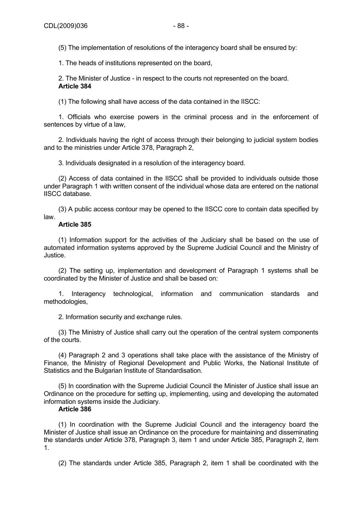(5) The implementation of resolutions of the interagency board shall be ensured by:

1. The heads of institutions represented on the board,

2. The Minister of Justice - in respect to the courts not represented on the board. **Article 384** 

(1) The following shall have access of the data contained in the IISCC:

1. Officials who exercise powers in the criminal process and in the enforcement of sentences by virtue of a law,

2. Individuals having the right of access through their belonging to judicial system bodies and to the ministries under Article 378, Paragraph 2,

3. Individuals designated in a resolution of the interagency board.

(2) Access of data contained in the IISCC shall be provided to individuals outside those under Paragraph 1 with written consent of the individual whose data are entered on the national IISCC database.

(3) A public access contour may be opened to the IISCC core to contain data specified by law.

# **Article 385**

(1) Information support for the activities of the Judiciary shall be based on the use of automated information systems approved by the Supreme Judicial Council and the Ministry of Justice.

(2) The setting up, implementation and development of Paragraph 1 systems shall be coordinated by the Minister of Justice and shall be based on:

1. Interagency technological, information and communication standards and methodologies,

2. Information security and exchange rules.

(3) The Ministry of Justice shall carry out the operation of the central system components of the courts.

(4) Paragraph 2 and 3 operations shall take place with the assistance of the Ministry of Finance, the Ministry of Regional Development and Public Works, the National Institute of Statistics and the Bulgarian Institute of Standardisation.

(5) In coordination with the Supreme Judicial Council the Minister of Justice shall issue an Ordinance on the procedure for setting up, implementing, using and developing the automated information systems inside the Judiciary.

# **Article 386**

(1) In coordination with the Supreme Judicial Council and the interagency board the Minister of Justice shall issue an Ordinance on the procedure for maintaining and disseminating the standards under Article 378, Paragraph 3, item 1 and under Article 385, Paragraph 2, item 1.

(2) The standards under Article 385, Paragraph 2, item 1 shall be coordinated with the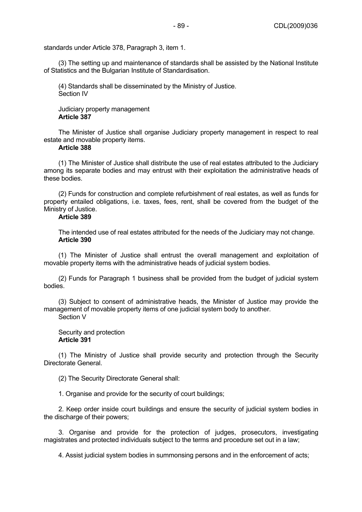standards under Article 378, Paragraph 3, item 1.

(3) The setting up and maintenance of standards shall be assisted by the National Institute of Statistics and the Bulgarian Institute of Standardisation.

(4) Standards shall be disseminated by the Ministry of Justice. Section IV

Judiciary property management **Article 387** 

The Minister of Justice shall organise Judiciary property management in respect to real estate and movable property items.

#### **Article 388**

(1) The Minister of Justice shall distribute the use of real estates attributed to the Judiciary among its separate bodies and may entrust with their exploitation the administrative heads of these bodies.

(2) Funds for construction and complete refurbishment of real estates, as well as funds for property entailed obligations, i.e. taxes, fees, rent, shall be covered from the budget of the Ministry of Justice.

# **Article 389**

The intended use of real estates attributed for the needs of the Judiciary may not change. **Article 390** 

(1) The Minister of Justice shall entrust the overall management and exploitation of movable property items with the administrative heads of judicial system bodies.

(2) Funds for Paragraph 1 business shall be provided from the budget of judicial system bodies.

(3) Subject to consent of administrative heads, the Minister of Justice may provide the management of movable property items of one judicial system body to another. Section V

#### Security and protection **Article 391**

(1) The Ministry of Justice shall provide security and protection through the Security Directorate General.

(2) The Security Directorate General shall:

1. Organise and provide for the security of court buildings;

2. Keep order inside court buildings and ensure the security of judicial system bodies in the discharge of their powers;

3. Organise and provide for the protection of judges, prosecutors, investigating magistrates and protected individuals subject to the terms and procedure set out in a law;

4. Assist judicial system bodies in summonsing persons and in the enforcement of acts;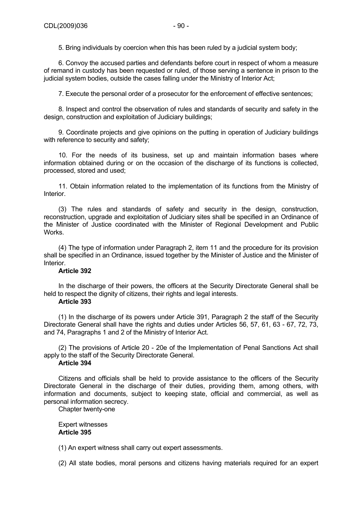5. Bring individuals by coercion when this has been ruled by a judicial system body;

6. Convoy the accused parties and defendants before court in respect of whom a measure of remand in custody has been requested or ruled, of those serving a sentence in prison to the judicial system bodies, outside the cases falling under the Ministry of Interior Act;

7. Execute the personal order of a prosecutor for the enforcement of effective sentences;

8. Inspect and control the observation of rules and standards of security and safety in the design, construction and exploitation of Judiciary buildings;

9. Coordinate projects and give opinions on the putting in operation of Judiciary buildings with reference to security and safety;

10. For the needs of its business, set up and maintain information bases where information obtained during or on the occasion of the discharge of its functions is collected, processed, stored and used;

11. Obtain information related to the implementation of its functions from the Ministry of Interior.

(3) The rules and standards of safety and security in the design, construction, reconstruction, upgrade and exploitation of Judiciary sites shall be specified in an Ordinance of the Minister of Justice coordinated with the Minister of Regional Development and Public Works.

(4) The type of information under Paragraph 2, item 11 and the procedure for its provision shall be specified in an Ordinance, issued together by the Minister of Justice and the Minister of Interior.

### **Article 392**

In the discharge of their powers, the officers at the Security Directorate General shall be held to respect the dignity of citizens, their rights and legal interests.

### **Article 393**

(1) In the discharge of its powers under Article 391, Paragraph 2 the staff of the Security Directorate General shall have the rights and duties under Articles 56, 57, 61, 63 - 67, 72, 73, and 74, Paragraphs 1 and 2 of the Ministry of Interior Act.

(2) The provisions of Article 20 - 20e of the Implementation of Penal Sanctions Act shall apply to the staff of the Security Directorate General.

# **Article 394**

Citizens and officials shall be held to provide assistance to the officers of the Security Directorate General in the discharge of their duties, providing them, among others, with information and documents, subject to keeping state, official and commercial, as well as personal information secrecy.

Chapter twenty-one

Expert witnesses **Article 395** 

(1) An expert witness shall carry out expert assessments.

(2) All state bodies, moral persons and citizens having materials required for an expert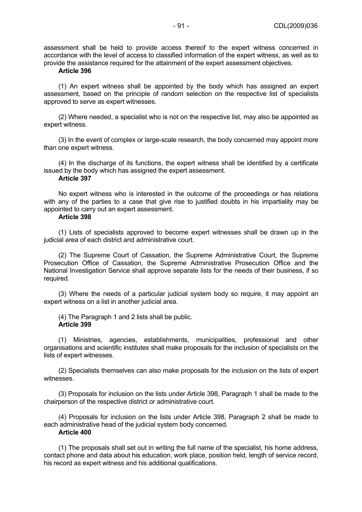assessment shall be held to provide access thereof to the expert witness concerned in accordance with the level of access to classified information of the expert witness, as well as to provide the assistance required for the attainment of the expert assessment objectives.

#### **Article 396**

(1) An expert witness shall be appointed by the body which has assigned an expert assessment, based on the principle of random selection on the respective list of specialists approved to serve as expert witnesses.

(2) Where needed, a specialist who is not on the respective list, may also be appointed as expert witness.

(3) In the event of complex or large-scale research, the body concerned may appoint more than one expert witness.

(4) In the discharge of its functions, the expert witness shall be identified by a certificate issued by the body which has assigned the expert assessment.

# **Article 397**

No expert witness who is interested in the outcome of the proceedings or has relations with any of the parties to a case that give rise to justified doubts in his impartiality may be appointed to carry out an expert assessment.

#### **Article 398**

(1) Lists of specialists approved to become expert witnesses shall be drawn up in the judicial area of each district and administrative court.

(2) The Supreme Court of Cassation, the Supreme Administrative Court, the Supreme Prosecution Office of Cassation, the Supreme Administrative Prosecution Office and the National Investigation Service shall approve separate lists for the needs of their business, if so required.

(3) Where the needs of a particular judicial system body so require, it may appoint an expert witness on a list in another judicial area.

(4) The Paragraph 1 and 2 lists shall be public. **Article 399** 

(1) Ministries, agencies, establishments, municipalities, professional and other organisations and scientific institutes shall make proposals for the inclusion of specialists on the lists of expert witnesses.

(2) Specialists themselves can also make proposals for the inclusion on the lists of expert witnesses.

(3) Proposals for inclusion on the lists under Article 398, Paragraph 1 shall be made to the chairperson of the respective district or administrative court.

(4) Proposals for inclusion on the lists under Article 398, Paragraph 2 shall be made to each administrative head of the judicial system body concerned. **Article 400** 

(1) The proposals shall set out in writing the full name of the specialist, his home address, contact phone and data about his education, work place, position held, length of service record, his record as expert witness and his additional qualifications.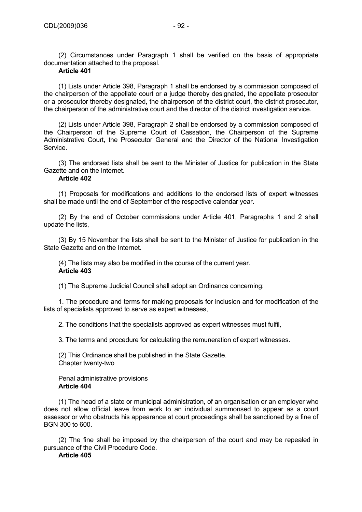(2) Circumstances under Paragraph 1 shall be verified on the basis of appropriate documentation attached to the proposal.

# **Article 401**

(1) Lists under Article 398, Paragraph 1 shall be endorsed by a commission composed of the chairperson of the appellate court or a judge thereby designated, the appellate prosecutor or a prosecutor thereby designated, the chairperson of the district court, the district prosecutor, the chairperson of the administrative court and the director of the district investigation service.

(2) Lists under Article 398, Paragraph 2 shall be endorsed by a commission composed of the Chairperson of the Supreme Court of Cassation, the Chairperson of the Supreme Administrative Court, the Prosecutor General and the Director of the National Investigation **Service** 

(3) The endorsed lists shall be sent to the Minister of Justice for publication in the State Gazette and on the Internet.

# **Article 402**

(1) Proposals for modifications and additions to the endorsed lists of expert witnesses shall be made until the end of September of the respective calendar year.

(2) By the end of October commissions under Article 401, Paragraphs 1 and 2 shall update the lists,

(3) By 15 November the lists shall be sent to the Minister of Justice for publication in the State Gazette and on the Internet.

(4) The lists may also be modified in the course of the current year. **Article 403** 

(1) The Supreme Judicial Council shall adopt an Ordinance concerning:

1. The procedure and terms for making proposals for inclusion and for modification of the lists of specialists approved to serve as expert witnesses,

2. The conditions that the specialists approved as expert witnesses must fulfil,

3. The terms and procedure for calculating the remuneration of expert witnesses.

(2) This Ordinance shall be published in the State Gazette. Chapter twenty-two

Penal administrative provisions **Article 404** 

(1) The head of a state or municipal administration, of an organisation or an employer who does not allow official leave from work to an individual summonsed to appear as a court assessor or who obstructs his appearance at court proceedings shall be sanctioned by a fine of BGN 300 to 600.

(2) The fine shall be imposed by the chairperson of the court and may be repealed in pursuance of the Civil Procedure Code.

**Article 405**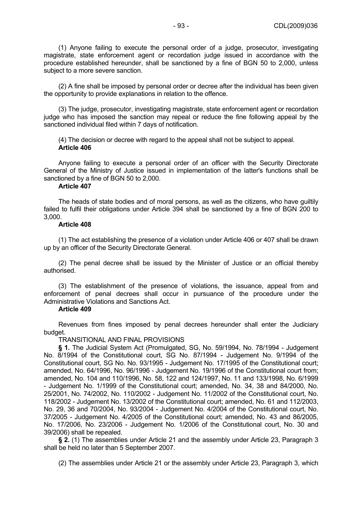(1) Anyone failing to execute the personal order of a judge, prosecutor, investigating magistrate, state enforcement agent or recordation judge issued in accordance with the procedure established hereunder, shall be sanctioned by a fine of BGN 50 to 2,000, unless subject to a more severe sanction.

(2) A fine shall be imposed by personal order or decree after the individual has been given the opportunity to provide explanations in relation to the offence.

(3) The judge, prosecutor, investigating magistrate, state enforcement agent or recordation judge who has imposed the sanction may repeal or reduce the fine following appeal by the sanctioned individual filed within 7 days of notification.

(4) The decision or decree with regard to the appeal shall not be subject to appeal. **Article 406** 

Anyone failing to execute a personal order of an officer with the Security Directorate General of the Ministry of Justice issued in implementation of the latter's functions shall be sanctioned by a fine of BGN 50 to 2,000.

#### **Article 407**

The heads of state bodies and of moral persons, as well as the citizens, who have guiltily failed to fulfil their obligations under Article 394 shall be sanctioned by a fine of BGN 200 to 3,000.

#### **Article 408**

(1) The act establishing the presence of a violation under Article 406 or 407 shall be drawn up by an officer of the Security Directorate General.

(2) The penal decree shall be issued by the Minister of Justice or an official thereby authorised.

(3) The establishment of the presence of violations, the issuance, appeal from and enforcement of penal decrees shall occur in pursuance of the procedure under the Administrative Violations and Sanctions Act.

#### **Article 409**

Revenues from fines imposed by penal decrees hereunder shall enter the Judiciary budget.

TRANSITIONAL AND FINAL PROVISIONS

**§ 1.** The Judicial System Act (Promulgated, SG, No. 59/1994, No. 78/1994 - Judgement No. 8/1994 of the Constitutional court, SG No. 87/1994 - Judgement No. 9/1994 of the Constitutional court, SG No. No. 93/1995 - Judgement No. 17/1995 of the Constitutional court; amended, No. 64/1996, No. 96/1996 - Judgement No. 19/1996 of the Constitutional court from; amended, No. 104 and 110/1996, No. 58, 122 and 124/1997, No. 11 and 133/1998, No. 6/1999 - Judgement No. 1/1999 of the Constitutional court; amended, No. 34, 38 and 84/2000, No. 25/2001, No. 74/2002, No. 110/2002 - Judgement No. 11/2002 of the Constitutional court, No. 118/2002 - Judgement No. 13/2002 of the Constitutional court; amended, No. 61 and 112/2003, No. 29, 36 and 70/2004, No. 93/2004 - Judgement No. 4/2004 of the Constitutional court, No. 37/2005 - Judgement No. 4/2005 of the Constitutional court; amended, No. 43 and 86/2005, No. 17/2006, No. 23/2006 - Judgement No. 1/2006 of the Constitutional court, No. 30 and 39/2006) shall be repealed.

**§ 2.** (1) The assemblies under Article 21 and the assembly under Article 23, Paragraph 3 shall be held no later than 5 September 2007.

(2) The assemblies under Article 21 or the assembly under Article 23, Paragraph 3, which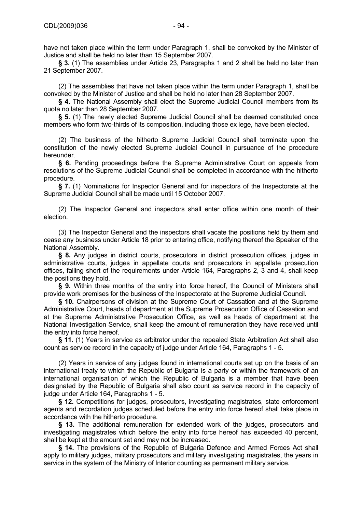have not taken place within the term under Paragraph 1, shall be convoked by the Minister of Justice and shall be held no later than 15 September 2007.

**§ 3.** (1) The assemblies under Article 23, Paragraphs 1 and 2 shall be held no later than 21 September 2007.

(2) The assemblies that have not taken place within the term under Paragraph 1, shall be convoked by the Minister of Justice and shall be held no later than 28 September 2007.

**§ 4.** The National Assembly shall elect the Supreme Judicial Council members from its quota no later than 28 September 2007.

**§ 5.** (1) The newly elected Supreme Judicial Council shall be deemed constituted once members who form two-thirds of its composition, including those ex lege, have been elected.

(2) The business of the hitherto Supreme Judicial Council shall terminate upon the constitution of the newly elected Supreme Judicial Council in pursuance of the procedure hereunder.

**§ 6.** Pending proceedings before the Supreme Administrative Court on appeals from resolutions of the Supreme Judicial Council shall be completed in accordance with the hitherto procedure.

**§ 7.** (1) Nominations for Inspector General and for inspectors of the Inspectorate at the Supreme Judicial Council shall be made until 15 October 2007.

(2) The Inspector General and inspectors shall enter office within one month of their election.

(3) The Inspector General and the inspectors shall vacate the positions held by them and cease any business under Article 18 prior to entering office, notifying thereof the Speaker of the National Assembly.

**§ 8.** Any judges in district courts, prosecutors in district prosecution offices, judges in administrative courts, judges in appellate courts and prosecutors in appellate prosecution offices, falling short of the requirements under Article 164, Paragraphs 2, 3 and 4, shall keep the positions they hold.

**§ 9.** Within three months of the entry into force hereof, the Council of Ministers shall provide work premises for the business of the Inspectorate at the Supreme Judicial Council.

**§ 10.** Chairpersons of division at the Supreme Court of Cassation and at the Supreme Administrative Court, heads of department at the Supreme Prosecution Office of Cassation and at the Supreme Administrative Prosecution Office, as well as heads of department at the National Investigation Service, shall keep the amount of remuneration they have received until the entry into force hereof.

**§ 11.** (1) Years in service as arbitrator under the repealed State Arbitration Act shall also count as service record in the capacity of judge under Article 164, Paragraphs 1 - 5.

(2) Years in service of any judges found in international courts set up on the basis of an international treaty to which the Republic of Bulgaria is a party or within the framework of an international organisation of which the Republic of Bulgaria is a member that have been designated by the Republic of Bulgaria shall also count as service record in the capacity of judge under Article 164, Paragraphs 1 - 5.

**§ 12.** Competitions for judges, prosecutors, investigating magistrates, state enforcement agents and recordation judges scheduled before the entry into force hereof shall take place in accordance with the hitherto procedure.

**§ 13.** The additional remuneration for extended work of the judges, prosecutors and investigating magistrates which before the entry into force hereof has exceeded 40 percent, shall be kept at the amount set and may not be increased.

**§ 14.** The provisions of the Republic of Bulgaria Defence and Armed Forces Act shall apply to military judges, military prosecutors and military investigating magistrates, the years in service in the system of the Ministry of Interior counting as permanent military service.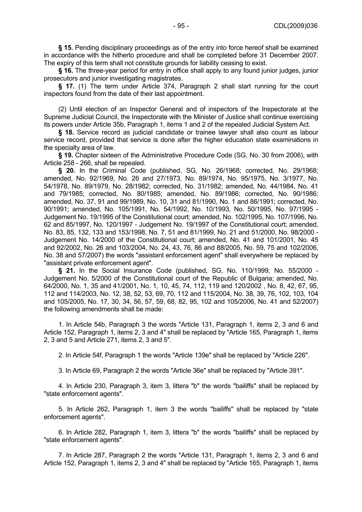**§ 15.** Pending disciplinary proceedings as of the entry into force hereof shall be examined in accordance with the hitherto procedure and shall be completed before 31 December 2007. The expiry of this term shall not constitute grounds for liability ceasing to exist.

**§ 16.** The three-year period for entry in office shall apply to any found junior judges, junior prosecutors and junior investigating magistrates.

**§ 17.** (1) The term under Article 374, Paragraph 2 shall start running for the court inspectors found from the date of their last appointment.

(2) Until election of an Inspector General and of inspectors of the Inspectorate at the Supreme Judicial Council, the Inspectorate with the Minister of Justice shall continue exercising its powers under Article 35b, Paragraph 1, items 1 and 2 of the repealed Judicial System Act.

**§ 18.** Service record as judicial candidate or trainee lawyer shall also count as labour service record, provided that service is done after the higher education state examinations in the specialty area of law.

**§ 19.** Chapter sixteen of the Administrative Procedure Code (SG, No. 30 from 2006), with Article 258 - 266, shall be repealed.

**§ 20.** In the Criminal Code (published, SG, No. 26/1968; corrected, No. 29/1968; amended, No. 92/1969, No. 26 and 27/1973, No. 89/1974, No. 95/1975, No. 3/1977, No. 54/1978, No. 89/1979, No. 28/1982; corrected, No. 31/1982; amended, No. 44/1984, No. 41 and 79/1985; corrected, No. 80/1985; amended, No. 89/1986; corrected, No. 90/1986; amended, No. 37, 91 and 99/1989, No. 10, 31 and 81/1990, No. 1 and 86/1991; corrected, No. 90/1991; amended, No. 105/1991, No. 54/1992, No. 10/1993, No. 50/1995, No. 97/1995 - Judgement No. 19/1995 of the Constitutional court; amended, No. 102/1995, No. 107/1996, No. 62 and 85/1997, No. 120/1997 - Judgement No. 19/1997 of the Constitutional court; amended, No. 83, 85, 132, 133 and 153/1998, No. 7, 51 and 81/1999, No. 21 and 51/2000, No. 98/2000 - Judgement No. 14/2000 of the Constitutional court; amended, No. 41 and 101/2001, No. 45 and 92/2002, No. 26 and 103/2004, No. 24, 43, 76, 86 and 88/2005, No. 59, 75 and 102/2006, No. 38 and 57/2007) the words "assistant enforcement agent" shall everywhere be replaced by "assistant private enforcement agent".

**§ 21.** In the Social Insurance Code (published, SG, No. 110/1999, No. 55/2000 - Judgement No. 5/2000 of the Constitutional court of the Republic of Bulgaria; amended, No. 64/2000, No. 1, 35 and 41/2001, No. 1, 10, 45, 74, 112, 119 and 120/2002 , No. 8, 42, 67, 95, 112 and 114/2003, No. 12, 38, 52, 53, 69, 70, 112 and 115/2004, No. 38, 39, 76, 102, 103, 104 and 105/2005, No. 17, 30, 34, 56, 57, 59, 68, 82, 95, 102 and 105/2006, No. 41 and 52/2007) the following amendments shall be made:

1. In Article 54b, Paragraph 3 the words "Article 131, Paragraph 1, items 2, 3 and 6 and Article 152, Paragraph 1, items 2, 3 and 4" shall be replaced by "Article 165, Paragraph 1, items 2, 3 and 5 and Article 271, items 2, 3 and 5".

2. In Article 54f, Paragraph 1 the words "Article 139e" shall be replaced by "Article 226".

3. In Article 69, Paragraph 2 the words "Article 36e" shall be replaced by "Article 391".

4. In Article 230, Paragraph 3, item 3, littera "b" the words "bailiffs" shall be replaced by "state enforcement agents".

5. In Article 262, Paragraph 1, item 3 the words "bailiffs" shall be replaced by "state enforcement agents".

6. In Article 282, Paragraph 1, item 3, littera "b" the words "bailiffs" shall be replaced by "state enforcement agents".

7. In Article 287, Paragraph 2 the words "Article 131, Paragraph 1, items 2, 3 and 6 and Article 152, Paragraph 1, items 2, 3 and 4" shall be replaced by "Article 165, Paragraph 1, items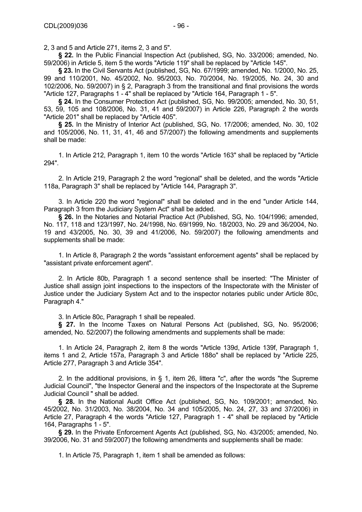2, 3 and 5 and Article 271, items 2, 3 and 5".

**§ 22.** In the Public Financial Inspection Act (published, SG, No. 33/2006; amended, No. 59/2006) in Article 5, item 5 the words "Article 119" shall be replaced by "Article 145".

**§ 23.** In the Civil Servants Act (published, SG, No. 67/1999; amended, No. 1/2000, No. 25, 99 and 110/2001, No. 45/2002, No. 95/2003, No. 70/2004, No. 19/2005, No. 24, 30 and 102/2006, No. 59/2007) in § 2, Paragraph 3 from the transitional and final provisions the words "Article 127, Paragraphs 1 - 4" shall be replaced by "Article 164, Paragraph 1 - 5".

**§ 24.** In the Consumer Protection Act (published, SG, No. 99/2005; amended, No. 30, 51, 53, 59, 105 and 108/2006, No. 31, 41 and 59/2007) in Article 226, Paragraph 2 the words "Article 201" shall be replaced by "Article 405".

**§ 25.** In the Ministry of Interior Act (published, SG, No. 17/2006; amended, No. 30, 102 and 105/2006, No. 11, 31, 41, 46 and 57/2007) the following amendments and supplements shall be made:

1. In Article 212, Paragraph 1, item 10 the words "Article 163" shall be replaced by "Article 294".

2. In Article 219, Paragraph 2 the word "regional" shall be deleted, and the words "Article 118а, Paragraph 3" shall be replaced by "Article 144, Paragraph 3".

3. In Article 220 the word "regional" shall be deleted and in the end "under Article 144, Paragraph 3 from the Judiciary System Act" shall be added.

**§ 26.** In the Notaries and Notarial Practice Act (Published, SG, No. 104/1996; amended, No. 117, 118 and 123/1997, No. 24/1998, No. 69/1999, No. 18/2003, No. 29 and 36/2004, No. 19 and 43/2005, No. 30, 39 and 41/2006, No. 59/2007) the following amendments and supplements shall be made:

1. In Article 8, Paragraph 2 the words "assistant enforcement agents" shall be replaced by "assistant private enforcement agent".

2. In Article 80b, Paragraph 1 a second sentence shall be inserted: "The Minister of Justice shall assign joint inspections to the inspectors of the Inspectorate with the Minister of Justice under the Judiciary System Act and to the inspector notaries public under Article 80c, Paragraph 4."

3. In Article 80c, Paragraph 1 shall be repealed.

**§ 27.** In the Income Taxes on Natural Persons Act (published, SG, No. 95/2006; amended, No. 52/2007) the following amendments and supplements shall be made:

1. In Article 24, Paragraph 2, item 8 the words "Article 139d, Article 139f, Paragraph 1, items 1 and 2, Article 157а, Paragraph 3 and Article 188о" shall be replaced by "Article 225, Article 277, Paragraph 3 and Article 354".

2. In the additional provisions, in § 1, item 26, littera "c", after the words "the Supreme Judicial Council", "the Inspector General and the inspectors of the Inspectorate at the Supreme Judicial Council " shall be added.

**§ 28.** In the National Audit Office Act (published, SG, No. 109/2001; amended, No. 45/2002, No. 31/2003, No. 38/2004, No. 34 and 105/2005, No. 24, 27, 33 and 37/2006) in Article 27, Paragraph 4 the words "Article 127, Paragraph 1 - 4" shall be replaced by "Article 164, Paragraphs 1 - 5".

**§ 29.** In the Private Enforcement Agents Act (published, SG, No. 43/2005; amended, No. 39/2006, No. 31 and 59/2007) the following amendments and supplements shall be made:

1. In Article 75, Paragraph 1, item 1 shall be amended as follows: